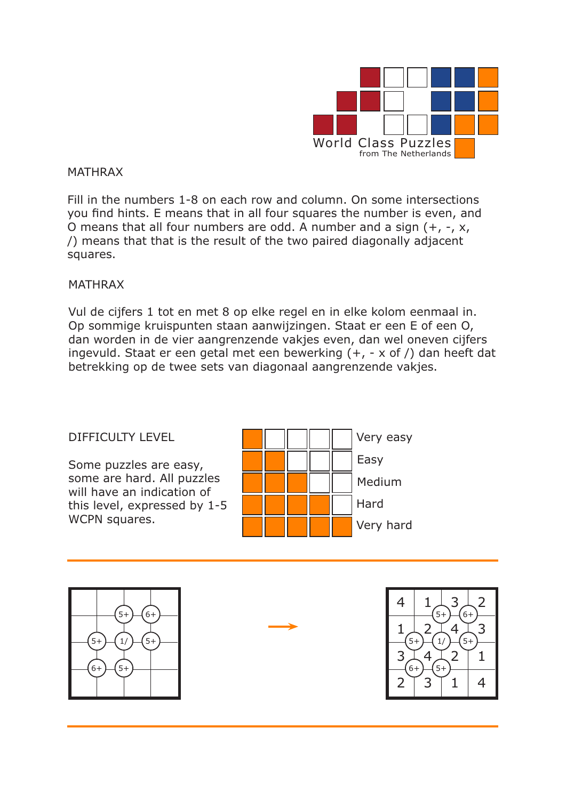

### MATHRAX

Fill in the numbers 1-8 on each row and column. On some intersections you find hints. E means that in all four squares the number is even, and O means that all four numbers are odd. A number and a sign (+, -, x, /) means that that is the result of the two paired diagonally adjacent squares.

#### MATHRAX

Vul de cijfers 1 tot en met 8 op elke regel en in elke kolom eenmaal in. Op sommige kruispunten staan aanwijzingen. Staat er een E of een O, dan worden in de vier aangrenzende vakjes even, dan wel oneven cijfers ingevuld. Staat er een getal met een bewerking (+, - x of /) dan heeft dat betrekking op de twee sets van diagonaal aangrenzende vakjes.

### DIFFICULTY LEVEL

Some puzzles are easy, some are hard. All puzzles will have an indication of this level, expressed by 1-5 WCPN squares.





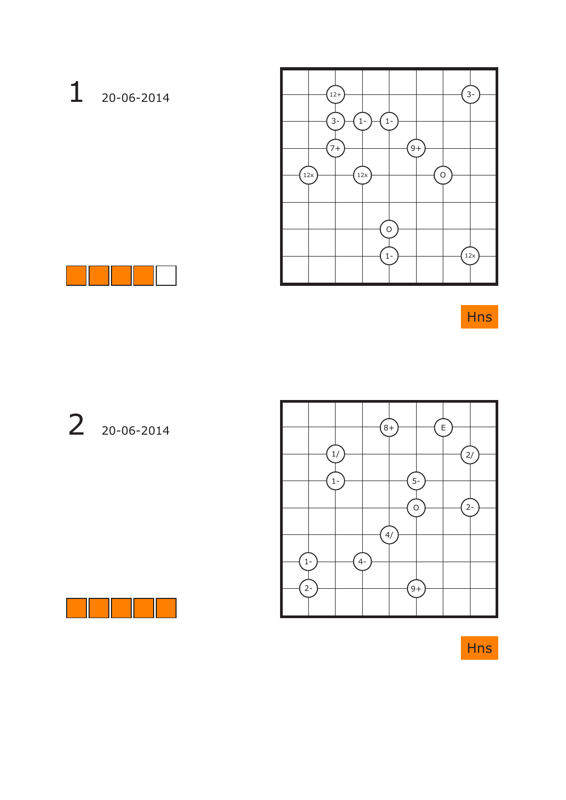# 1 20-06-2014





Hns

# 2 20-06-2014



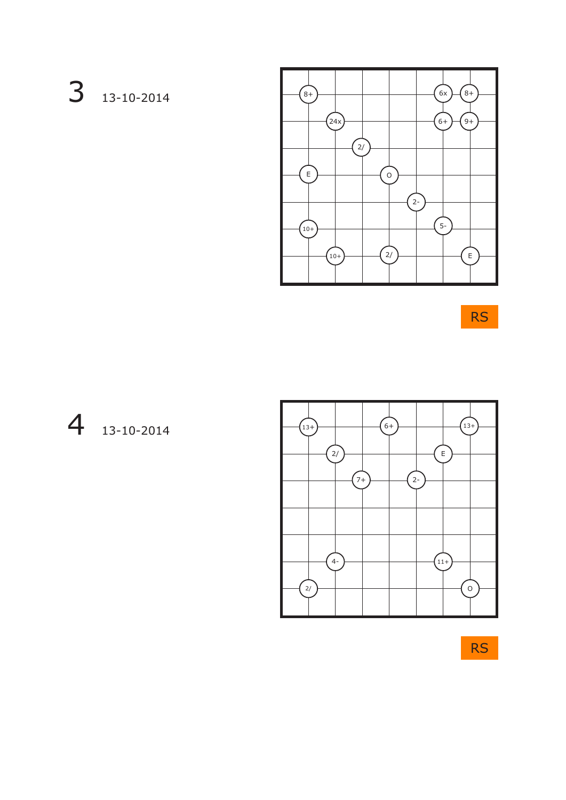### 3 13-10-2014



RS

### 4 13-10-2014



RS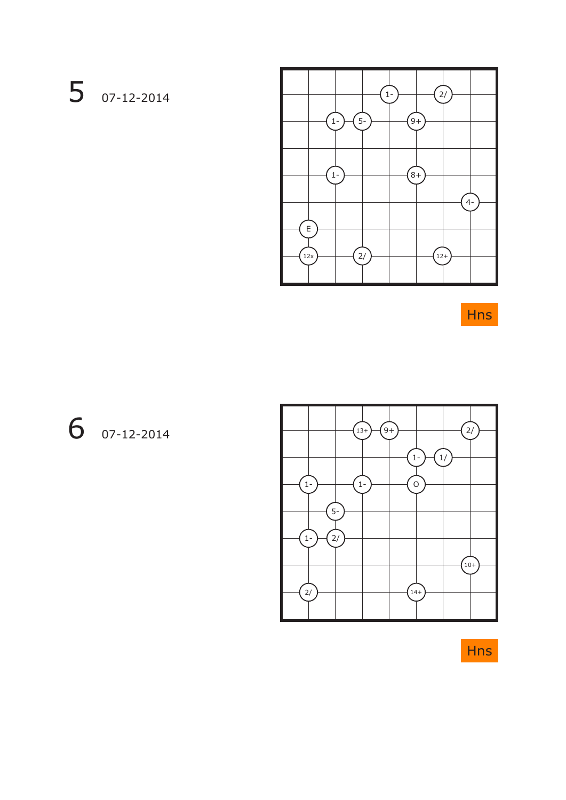# 5 07-12-2014





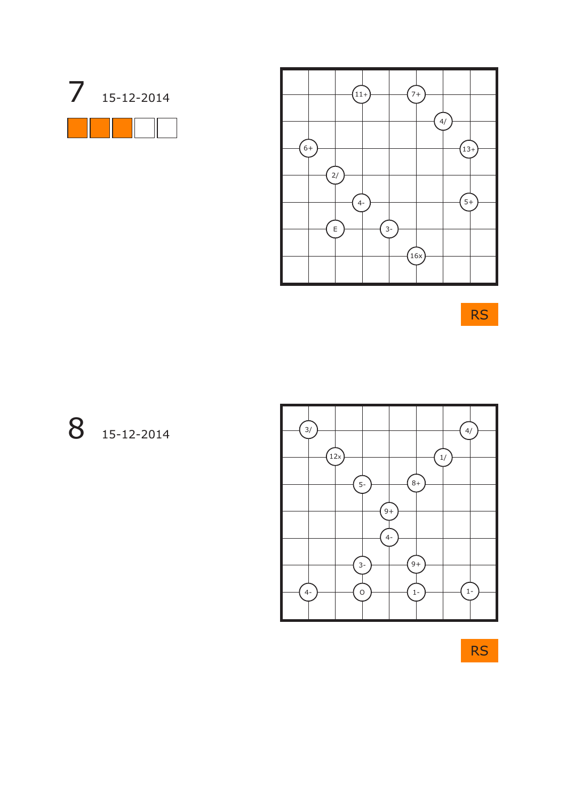



RS

8 15-12-2014



RS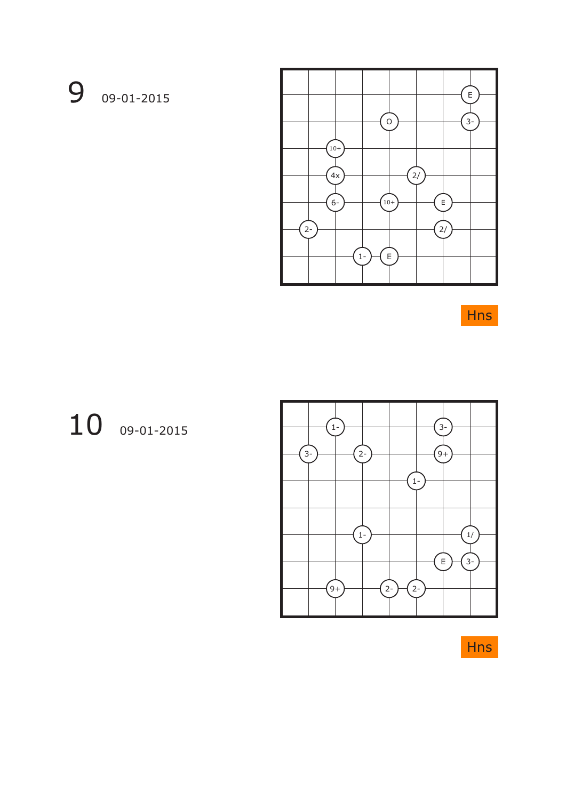# 9 09-01-2015



Hns

# 10 09-01-2015



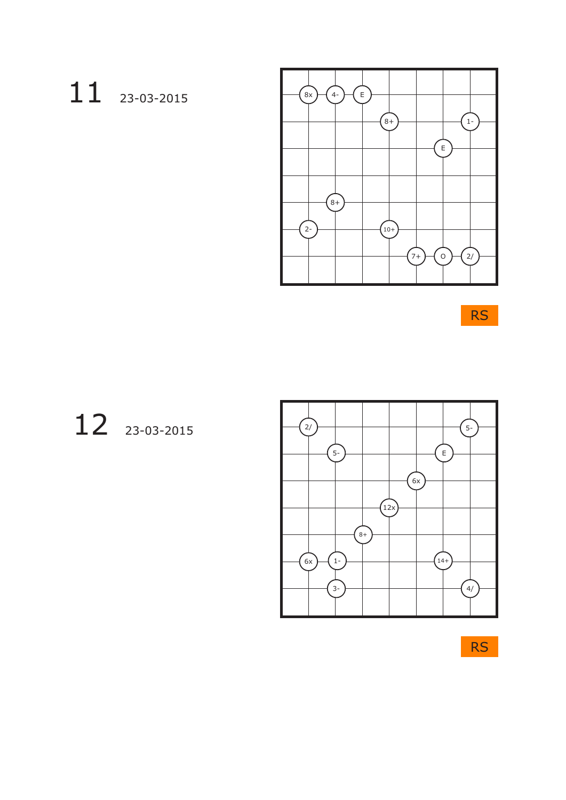# 11 23-03-2015



RS

# 12 23-03-2015



RS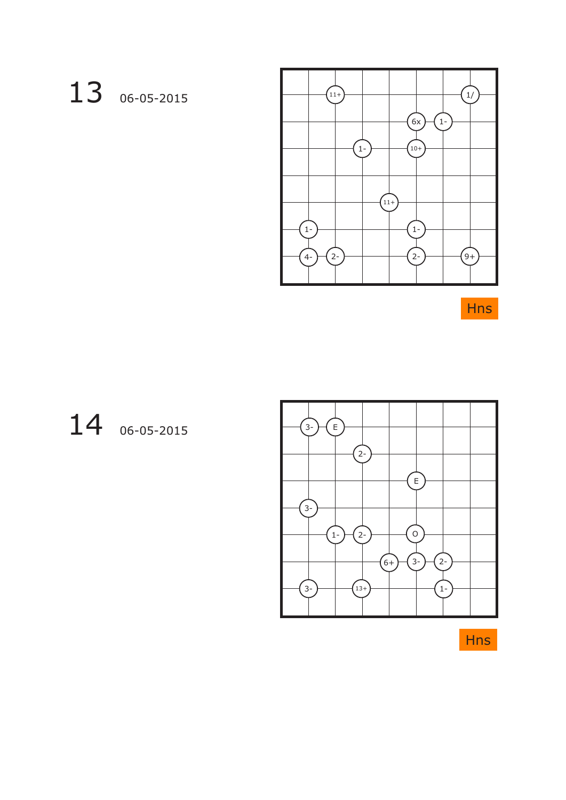# 13 06-05-2015



Hns

### 14 06-05-2015

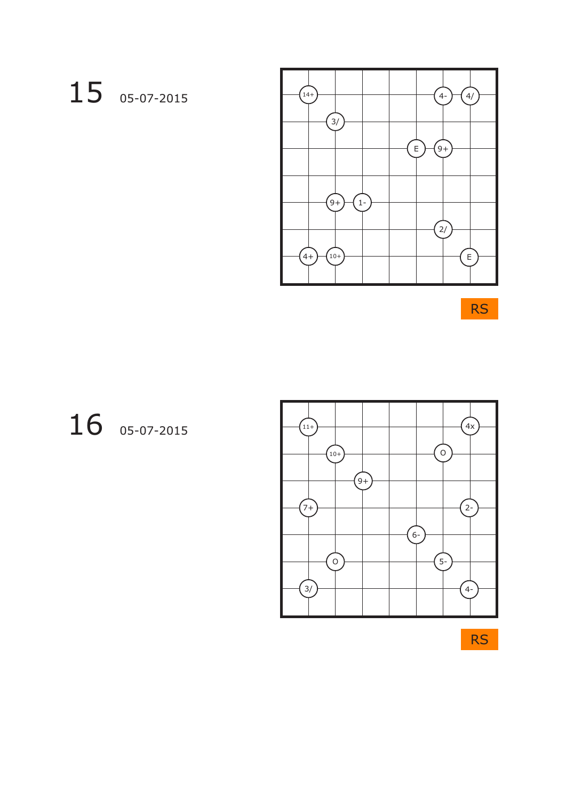# 15 05-07-2015



RS

# 16 05-07-2015



RS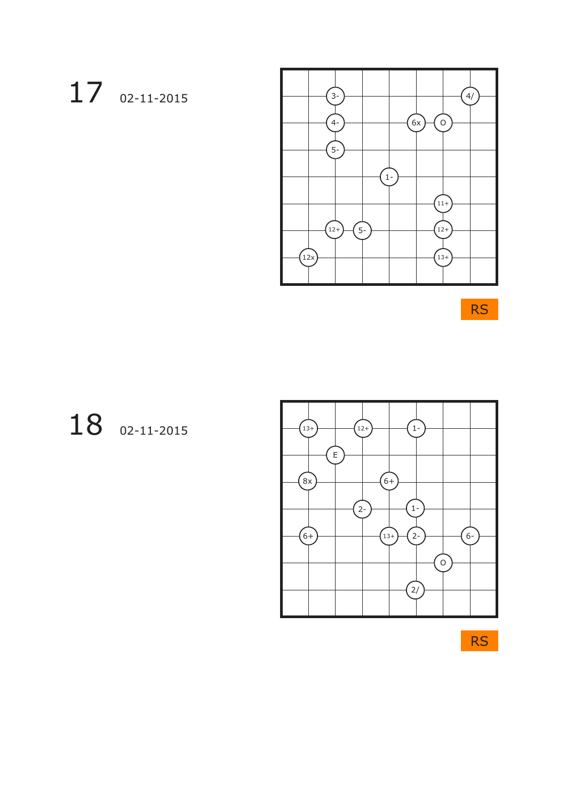# 17 02-11-2015



RS

# 18 02-11-2015



RS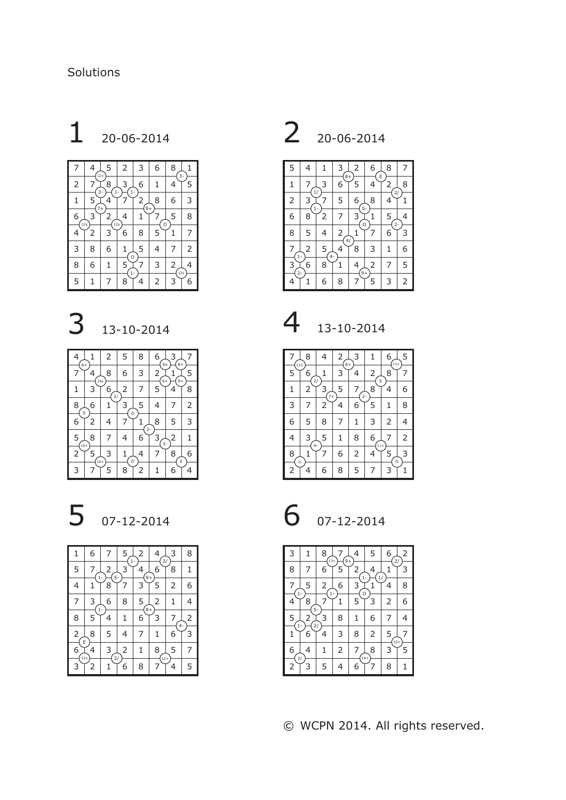# $1 \n20 - 06 - 2014$





| $8+$       |             | 2                 | 5             | 8     | 6         | 6x<br>$8+$ |   |
|------------|-------------|-------------------|---------------|-------|-----------|------------|---|
| 7          | 24x         | 8                 | 6             | 3     | 2<br>$6+$ | $9+$       | 5 |
| 1          | 3           | $\,$ 6 $\,$<br>2/ | 2             | 7     | 5         | 4          | 8 |
| 8<br>E     | 6           | 1                 | 3<br>O        | 5     | 4         |            | 2 |
| 6          | 2           | 4                 |               | $2 -$ | 8         | 5          | 3 |
| 5<br>$10+$ | 8           | 7                 | 4             | 6     | З<br>$5-$ | 2          | 1 |
| 2          | 5<br>$10 +$ | 3                 | $\frac{2}{3}$ | 4     |           | 8<br>E     | 6 |
| 3          |             | 5                 | 8             | 2     |           | 6          | 4 |



| 1                       | 6          | 7                      | 5         | 2         | 4<br>$\overline{2}$ | 3 | 8              |
|-------------------------|------------|------------------------|-----------|-----------|---------------------|---|----------------|
| 5                       | 7<br>$1-$  | $\overline{2}$<br>$5-$ | $1-$<br>3 | 4<br>$9+$ | 6                   | 8 | 1              |
| 4                       | 1          | 8                      |           | 3         | 5                   | 2 | 6              |
| 7                       | 3          | 6                      | 8         | 5         | 2                   | 1 | 4              |
| 8                       | $1 -$<br>5 | 4                      | 1         | $8+$<br>6 | 3                   | 7 | $\overline{c}$ |
| $\overline{\mathbf{c}}$ | 8          | 5                      | 4         | 7         | 1                   | 6 | 3              |
| E<br>6<br>12x           | 4          | 3<br>$\overline{2}$    | 2         | 1         | 8<br>$12+$          | 5 | 7              |
| 3                       | 2          |                        | 6         | 8         | 7                   |   | 5              |

2 20-06-2014



 $4 \frac{13-10-2014}{}$ 

 $7 \perp 8$  | 4 | 2 $\perp$ 3 | 1 | 6 $\perp$ 5  $5$   $\uparrow$  6  $\downarrow$  1  $\mid$  3  $\mid$  4  $\mid$  2  $\downarrow$  8  $\mid$  7  $1 | 2 | 3 | 5 | 7 | 8 | 4 | 6$ 3 | 7 | 2 | 4 | 6 | 5 | 1 | 8 6 | 5 | 8 | 7 | 1 | 3 | 2 | 4  $4 | 3 | 5 | 1 | 8 | 6 | 7 | 2$  $8\,\perp\,1$   $\mid 7\mid 6\mid 2\mid 4$   $\mid 5\,\perp\,3$  $2 \mid 4 \mid 6 \mid 8 \mid 5 \mid 7 \mid 3 \mid 1$  $\overline{13+}$  6  $\mathbf{r}_{2}$  $(13+)$ E 6+ 2/ 7+ 11+ 2/ O 4-



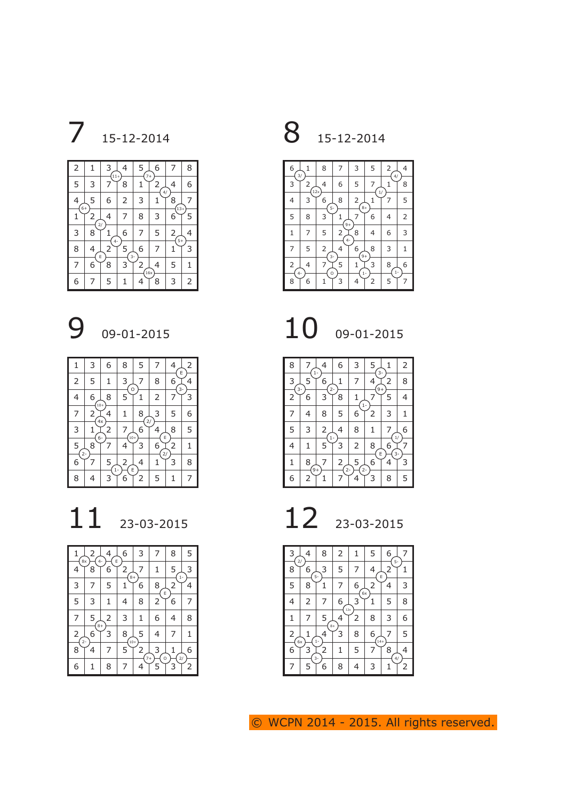**7** 15-12-2014 **8** 15-12-2014

| $\overline{2}$ | 1                  | 3<br>.<br>11+  | 4         | 5<br>$7+$      | 6             | 7          | 8 |
|----------------|--------------------|----------------|-----------|----------------|---------------|------------|---|
| 5              | 3                  |                | 8         | 1              | 2<br>4/       | 4          | 6 |
| 4<br>$6+$      | 5                  | 6              | 2         | 3              |               | 8<br>$13+$ |   |
| 1              | 2<br>$\frac{2}{3}$ | 4              | 7         | 8              | 3             | 6          | 5 |
| 3              | 8                  | $4-$           | 6         | 7              | 5             | 2<br>$5+$  | 4 |
| 8              | 4<br>E             | $\overline{2}$ | 5<br>$3-$ | 6              | 7             | 1          | 3 |
| 7              | 6                  | 8              | 3         | $\overline{2}$ | 4<br>.<br>16x | 5          | 1 |
| 6              | 7                  | 5              |           |                | 8             | 3          | 2 |



| 1              | 3           | 6          | 8           | 5                   | 7                   |           | 2<br>E |
|----------------|-------------|------------|-------------|---------------------|---------------------|-----------|--------|
| $\overline{2}$ | 5           |            | 3<br>O      | 7                   | 8                   | 6<br>$3-$ | 4      |
| 4              | 6<br>$10 +$ | 8          | 5           |                     | 2                   |           | 3      |
| 7              | 2<br>4x     | 4          | 1           | 8                   | 3                   | 5         | 6      |
| 3              | $6-$        | 2          | 7<br>$10 +$ | 2/<br>6             |                     | 8<br>E    | 5      |
| 5<br>$2 -$     | 8           |            |             | 3                   | 6<br>$\overline{2}$ | 2         | 1      |
| 6              |             | 5<br>$1 -$ | 2           | 4                   | 1                   | 3         | 8      |
| 8              | 4           | 3          | 6           | E<br>$\overline{2}$ | 5                   |           | 7      |



| 8x                    | 2<br>4-   | 4              | 6<br>E     | 3         | 7      | 8             | 5 |
|-----------------------|-----------|----------------|------------|-----------|--------|---------------|---|
| 4                     | 8         | 6              | 2          | 7         | 1      | 5<br>$1 -$    | 3 |
| 3                     | 7         | 5              | $8+$       | 6         | 8<br>E | 2             | 4 |
| 5                     | 3         | 1              | 4          | 8         | 2      | 6             | 7 |
| 7                     | 5         | $\overline{2}$ | 3          | 1         | 6      | 4             | 8 |
| 2<br>$\overline{2}$ - | $8+$<br>6 | 3              | 8<br>$10+$ | 5         | 4      | 7             | 1 |
| 8                     | 4         | 7              | 5          | 2<br>$7+$ | 3<br>O | $\frac{2}{3}$ | 6 |
| 6                     | 1         | 8              | 7          | 4         | 5      | 3             | 2 |



10 09-01-2015

| 8                   |           | $1 -$ | 6          | 3          | 5<br>3.   |             | 2 |
|---------------------|-----------|-------|------------|------------|-----------|-------------|---|
| 3<br>$\overline{3}$ | 5         | 6     | 1<br>$2 -$ | 7          | 4<br>$9+$ | 2           | 8 |
| 2                   | 6         | 3     | 8          | 1<br>$1 -$ |           | 5           | 4 |
| 7                   | 4         | 8     | 5          | 6          | 2         | 3           | 1 |
| 5                   | 3         | 2     | 4<br>$1-$  | 8          | 1         |             | 6 |
| 4                   | 1         | 5     | 3          | 2          | 8         | 6<br>E<br>3 |   |
| 1                   | 8<br>$9+$ |       | 2<br>$2 -$ | 5<br>$2-$  | 6         |             | 3 |
| 6                   | 2         |       |            | 4          | 3         | 8           | 5 |

| 3<br>2/ | 4 | 8          | 2         | 1 | 5           | 6                         |                |
|---------|---|------------|-----------|---|-------------|---------------------------|----------------|
| 8       | 6 | 3<br>$5-$  | 5         | 7 | 4           | 5-<br>$\overline{2}$<br>E |                |
| 5       | 8 | 1          | 7         | 6 | 2<br>6x     | 4                         | 3              |
| 4       | 2 | 7          | 6<br>12x  | 3 | 1           | 5                         | 8              |
| 1       | 7 | 5          | 4<br>$8+$ | 2 | 8           | 3                         | 6              |
| 2<br>6x |   | 4<br>$1 -$ | 3         | 8 | 6<br>$14 +$ |                           | 5              |
| 6       | 3 | 2<br>$3-$  | 1         | 5 | 7           | 8<br>4/                   | 4              |
| 7       | 5 | 6          | 8         | 4 | 3           | 1                         | $\overline{2}$ |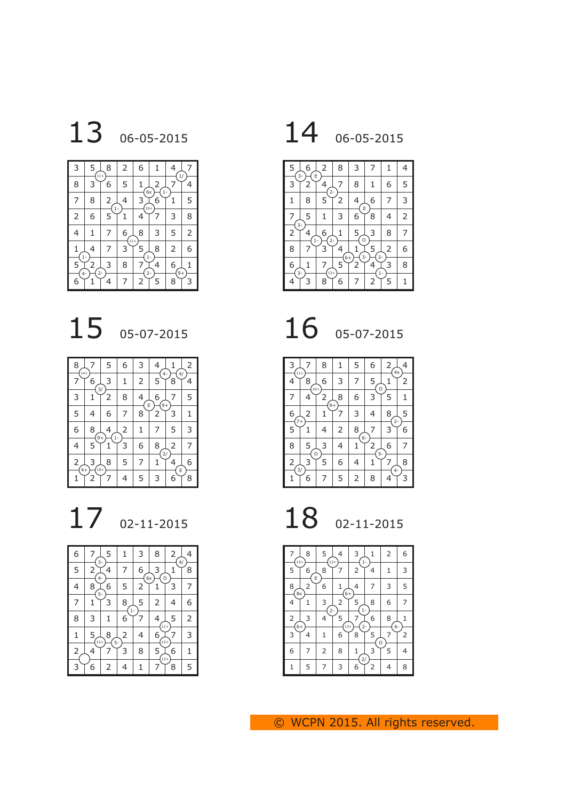

| 3       | 5<br>$11+$ | 8          | 2          | 6              | 1         |           |   |
|---------|------------|------------|------------|----------------|-----------|-----------|---|
| 8       | 3          | 6          | 5          | 6x             | 2         | $1 -$     |   |
| 7       | 8          | 2<br>$1 -$ | 4          | 3<br>$10 +$    | 6         | 1         | 5 |
| 2       | 6          | 5          |            |                |           | 3         | 8 |
| 4       | 1          | 7          | 6<br>$11+$ | 8              | 3         | 5         | 2 |
|         | 4<br>$1-$  | 7          | 3          | 5              | 8<br>$1-$ | 2         | 6 |
| 5       | 2<br>$2 -$ | 3          | 8          | $2 -$          | 4         | 6<br>$9+$ | 1 |
| 4-<br>6 | 1          | 4          | 7          | $\overline{2}$ | 5         | 8         | 3 |



| 8<br>$14 +$ |                    | 5 | 6          | 3 |                     |         | 2 |
|-------------|--------------------|---|------------|---|---------------------|---------|---|
| 7           | 6<br>$\frac{3}{2}$ | 3 | 1          | 2 | 5                   | 4/<br>8 | 4 |
| 3           |                    | 2 | 8          | 4 | 6<br>E<br>$9+$      |         | 5 |
| 5           | 4                  | 6 | 7          | 8 | 2                   | 3       | 1 |
| 6           | 8<br>$9+$          | 4 | 2<br>$1 -$ | 1 | 7                   | 5       | 3 |
| 4           | 5                  | 1 | 3          | 6 | 8<br>$\overline{2}$ | 2       | 7 |
| 2<br>$4+$   | 3<br>$10 +$        | 8 | 5          | 7 | 1                   | 4       | 6 |
|             | 2                  |   | 4          | 5 | 3                   | E<br>6  | 8 |



| 6              | 7<br>3                          | 5    | 1         | 3       | 8           | $\overline{c}$<br>4/ | 4              |
|----------------|---------------------------------|------|-----------|---------|-------------|----------------------|----------------|
| 5              | $\overline{\mathbf{c}}$<br>$4-$ | 4    | 7         | 6<br>6x | 3<br>O      | 1                    | 8              |
| 4              | 8<br>$5-$                       | 6    | 5         | 2       |             | 3                    | 7              |
| 7              | 1                               | 3    | 8<br>$1-$ | 5       | 2           | 4                    | 6              |
| 8              | 3                               | 1    | 6         |         | 4<br>$11+$  | 5                    | $\overline{c}$ |
| 1              | 5<br>$12+$                      | 8    | 2         | 4       | 6<br>$12 -$ |                      | 3              |
| $\overline{c}$ | 4                               | $5-$ | 3         | 8       | 5<br>$13 +$ | 6                    | 1              |
| 3              | 6                               | 2    | 4         | 1       | 7           | 8                    | 5              |





$$
16\,\, \overset{\text{\tiny\textsf{05-07-201}}}{}
$$

3 7 8 1 5 6 2 4 4 8 6 3 7 5 1 2 7 4 2 8 6 3 5 1 6 2 1 7 3 4 8 5 5 1 4 2 8 7 3 6 8 5 3 4 1 2 6 7 2 3 5 6 4 1 7 8 1 6 7 5 2 8 4 3 11+ 10+ 9+ 7+ O 4x 2- O 3/ 4- 5- 6-

$$
18\ \ \text{\tiny 02-11-201}
$$

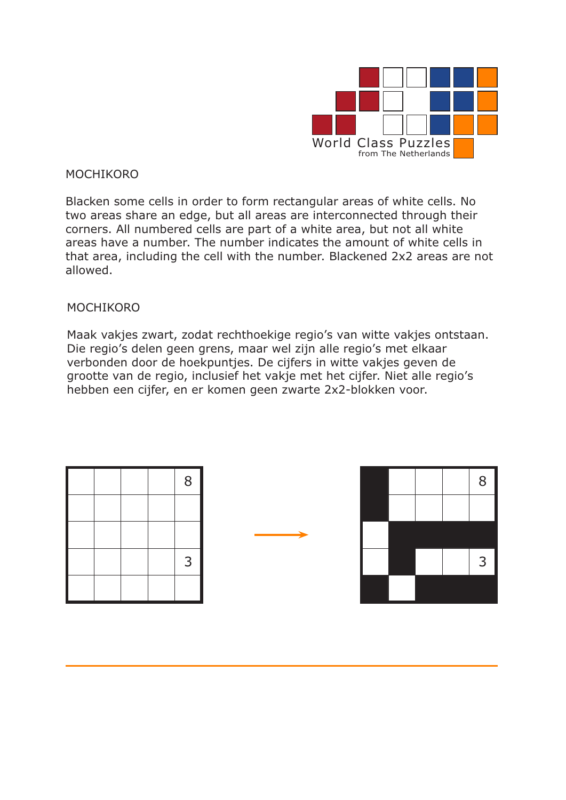

### MOCHIKORO

Blacken some cells in order to form rectangular areas of white cells. No two areas share an edge, but all areas are interconnected through their corners. All numbered cells are part of a white area, but not all white areas have a number. The number indicates the amount of white cells in that area, including the cell with the number. Blackened 2x2 areas are not allowed.

### MOCHIKORO

Maak vakjes zwart, zodat rechthoekige regio's van witte vakjes ontstaan. Die regio's delen geen grens, maar wel zijn alle regio's met elkaar verbonden door de hoekpuntjes. De cijfers in witte vakjes geven de grootte van de regio, inclusief het vakje met het cijfer. Niet alle regio's hebben een cijfer, en er komen geen zwarte 2x2-blokken voor.

|  |  | 8 |
|--|--|---|
|  |  |   |
|  |  |   |
|  |  | 3 |
|  |  |   |



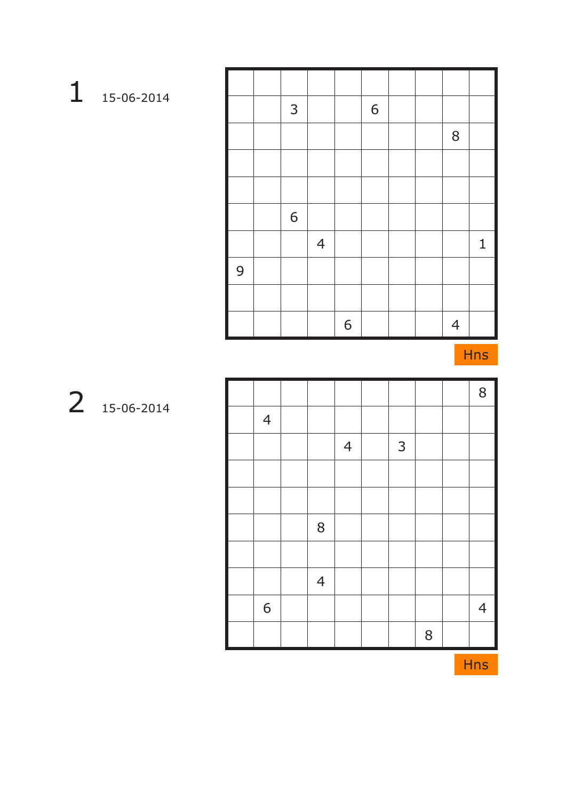|   | $\mathsf{3}$     |                |   | 6 |  |                |   |
|---|------------------|----------------|---|---|--|----------------|---|
|   |                  |                |   |   |  | 8              |   |
|   |                  |                |   |   |  |                |   |
|   |                  |                |   |   |  |                |   |
|   | $\boldsymbol{6}$ |                |   |   |  |                |   |
|   |                  | $\overline{4}$ |   |   |  |                | 1 |
| 9 |                  |                |   |   |  |                |   |
|   |                  |                |   |   |  |                |   |
|   |                  |                | 6 |   |  | $\overline{4}$ |   |

|                |                |                |              |   | $8\,$          |
|----------------|----------------|----------------|--------------|---|----------------|
| $\overline{4}$ |                |                |              |   |                |
|                |                | $\overline{4}$ | $\mathsf{3}$ |   |                |
|                |                |                |              |   |                |
|                |                |                |              |   |                |
|                | $8\,$          |                |              |   |                |
|                |                |                |              |   |                |
|                | $\overline{4}$ |                |              |   |                |
| 6              |                |                |              |   | $\overline{4}$ |
|                |                |                |              | 8 |                |

15-06-2014

15-06-2014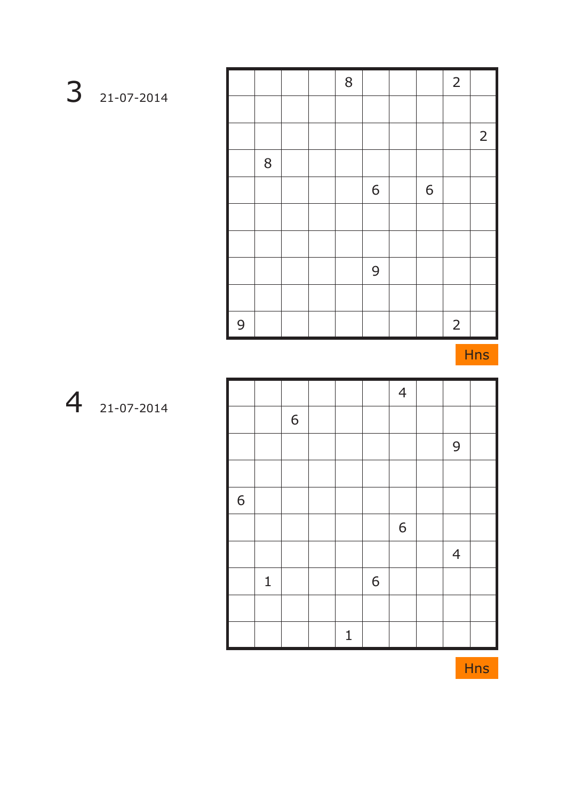|   |   |  | 8 |   |   | $\overline{2}$ |                  |
|---|---|--|---|---|---|----------------|------------------|
|   |   |  |   |   |   |                |                  |
|   |   |  |   |   |   |                | $2 \overline{ }$ |
|   | 8 |  |   |   |   |                |                  |
|   |   |  |   | 6 | 6 |                |                  |
|   |   |  |   |   |   |                |                  |
|   |   |  |   |   |   |                |                  |
|   |   |  |   | 9 |   |                |                  |
|   |   |  |   |   |   |                |                  |
| 9 |   |  |   |   |   | $\overline{2}$ |                  |

|        |             |   |             |   | $\overline{4}$ |                |  |
|--------|-------------|---|-------------|---|----------------|----------------|--|
|        |             | 6 |             |   |                |                |  |
|        |             |   |             |   |                | 9              |  |
|        |             |   |             |   |                |                |  |
| I<br>6 |             |   |             |   |                |                |  |
|        |             |   |             |   | 6              |                |  |
|        |             |   |             |   |                | $\overline{4}$ |  |
|        | $\mathbf 1$ |   |             | 6 |                |                |  |
|        |             |   |             |   |                |                |  |
|        |             |   | $\mathbf 1$ |   |                |                |  |



21-07-2014

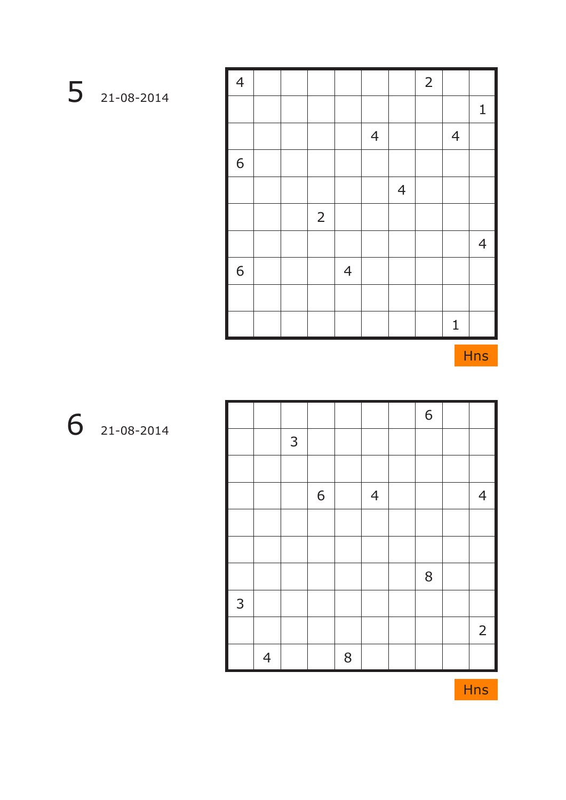| $\overline{4}$ |  |                |                |                |                | $\overline{2}$ |                |                |
|----------------|--|----------------|----------------|----------------|----------------|----------------|----------------|----------------|
|                |  |                |                |                |                |                |                | $\mathbf{1}$   |
|                |  |                |                | $\overline{4}$ |                |                | $\overline{4}$ |                |
| 6              |  |                |                |                |                |                |                |                |
|                |  |                |                |                | $\overline{4}$ |                |                |                |
|                |  | $\overline{2}$ |                |                |                |                |                |                |
|                |  |                |                |                |                |                |                | $\overline{4}$ |
| 6              |  |                | $\overline{4}$ |                |                |                |                |                |
|                |  |                |                |                |                |                |                |                |
|                |  |                |                |                |                |                | $\mathbf 1$    |                |

|                   |                |   |   |   |                | 6 |                |
|-------------------|----------------|---|---|---|----------------|---|----------------|
|                   |                | 3 |   |   |                |   |                |
|                   |                |   |   |   |                |   |                |
|                   |                |   | 6 |   | $\overline{4}$ |   | $\overline{4}$ |
|                   |                |   |   |   |                |   |                |
|                   |                |   |   |   |                |   |                |
|                   |                |   |   |   |                | 8 |                |
| I<br>$\mathsf{3}$ |                |   |   |   |                |   |                |
|                   |                |   |   |   |                |   | $\overline{2}$ |
|                   | $\overline{4}$ |   |   | 8 |                |   |                |

21-08-2014

21-08-2014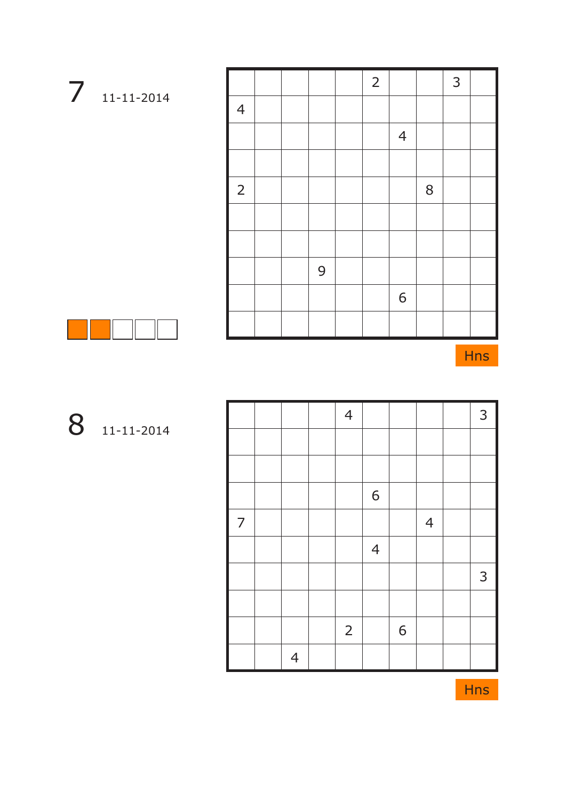|                |  |   | $\overline{2}$ |                |       | 3 |  |
|----------------|--|---|----------------|----------------|-------|---|--|
| $\overline{4}$ |  |   |                |                |       |   |  |
|                |  |   |                | $\overline{4}$ |       |   |  |
|                |  |   |                |                |       |   |  |
| $\overline{2}$ |  |   |                |                | $8\,$ |   |  |
|                |  |   |                |                |       |   |  |
|                |  |   |                |                |       |   |  |
|                |  | 9 |                |                |       |   |  |
|                |  |   |                | 6              |       |   |  |
|                |  |   |                |                |       |   |  |



|                |                | $\overline{4}$ |                |   |                | 3            |
|----------------|----------------|----------------|----------------|---|----------------|--------------|
|                |                |                |                |   |                |              |
|                |                |                |                |   |                |              |
|                |                |                | 6              |   |                |              |
| $\overline{7}$ |                |                |                |   | $\overline{4}$ |              |
|                |                |                | $\overline{4}$ |   |                |              |
|                |                |                |                |   |                | $\mathsf{3}$ |
|                |                |                |                |   |                |              |
|                |                | $\overline{2}$ |                | 6 |                |              |
|                | $\overline{4}$ |                |                |   |                |              |



11-11-2014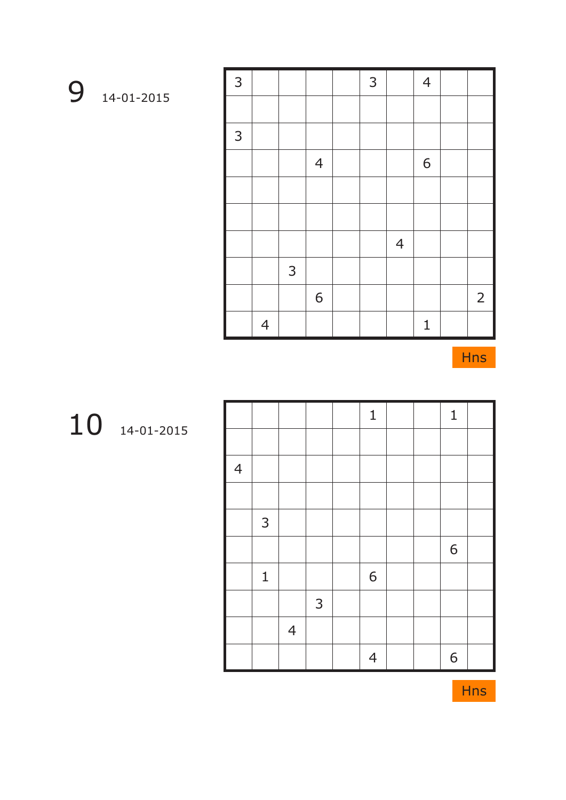| L<br>3 |                |   |                | 3 |                | $\overline{4}$ |             |
|--------|----------------|---|----------------|---|----------------|----------------|-------------|
|        |                |   |                |   |                |                |             |
| 3      |                |   |                |   |                |                |             |
|        |                |   | $\overline{4}$ |   |                | 6              |             |
|        |                |   |                |   |                |                |             |
|        |                |   |                |   |                |                |             |
|        |                |   |                |   | $\overline{4}$ |                |             |
|        |                | 3 |                |   |                |                |             |
|        |                |   | 6              |   |                |                | $2^{\circ}$ |
|        | $\overline{4}$ |   |                |   |                | $\mathbf{1}$   |             |

|                |              |                |              | $\mathbf 1$    |  | $\mathbf 1$ |  |
|----------------|--------------|----------------|--------------|----------------|--|-------------|--|
|                |              |                |              |                |  |             |  |
| $\overline{4}$ |              |                |              |                |  |             |  |
|                |              |                |              |                |  |             |  |
|                | $\mathsf{3}$ |                |              |                |  |             |  |
|                |              |                |              |                |  | 6           |  |
|                | $\mathbf 1$  |                |              | 6              |  |             |  |
|                |              |                | $\mathsf{3}$ |                |  |             |  |
|                |              | $\overline{4}$ |              |                |  |             |  |
|                |              |                |              | $\overline{4}$ |  | 6           |  |

14-01-2015

14-01-2015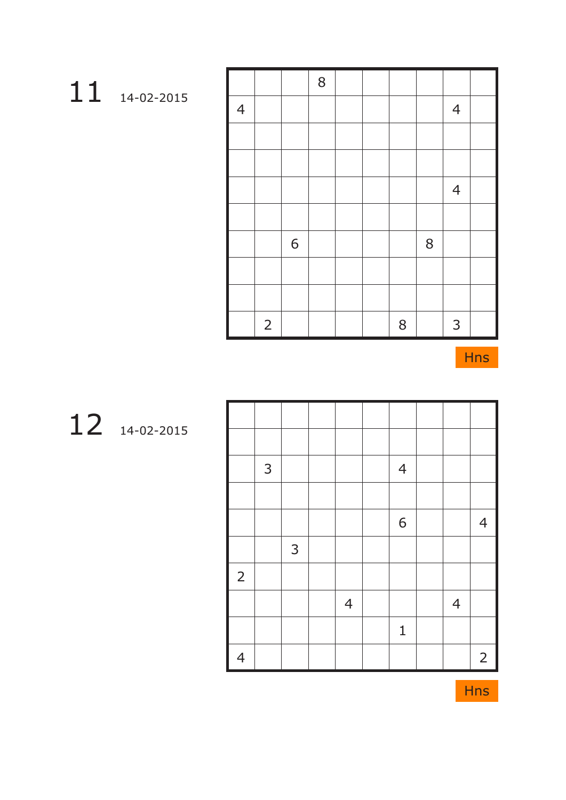| 14-02-2015 |
|------------|

|                     |                |   | $8\,$ |  |       |   |                |  |
|---------------------|----------------|---|-------|--|-------|---|----------------|--|
| I<br>$\overline{4}$ |                |   |       |  |       |   | $\overline{4}$ |  |
|                     |                |   |       |  |       |   |                |  |
|                     |                |   |       |  |       |   |                |  |
|                     |                |   |       |  |       |   | $\overline{4}$ |  |
|                     |                |   |       |  |       |   |                |  |
|                     |                | 6 |       |  |       | 8 |                |  |
|                     |                |   |       |  |       |   |                |  |
|                     |                |   |       |  |       |   |                |  |
|                     | $\overline{2}$ |   |       |  | $8\,$ |   | 3              |  |

|                | $\mathsf{3}$ |              |                | $\overline{4}$ |                |                |
|----------------|--------------|--------------|----------------|----------------|----------------|----------------|
|                |              |              |                |                |                |                |
|                |              |              |                | 6              |                | $\overline{4}$ |
|                |              | $\mathsf{3}$ |                |                |                |                |
| $\overline{2}$ |              |              |                |                |                |                |
|                |              |              | $\overline{4}$ |                | $\overline{4}$ |                |
|                |              |              |                | $\mathbf 1$    |                |                |
| $\overline{4}$ |              |              |                |                |                | $\overline{2}$ |

14-02-2015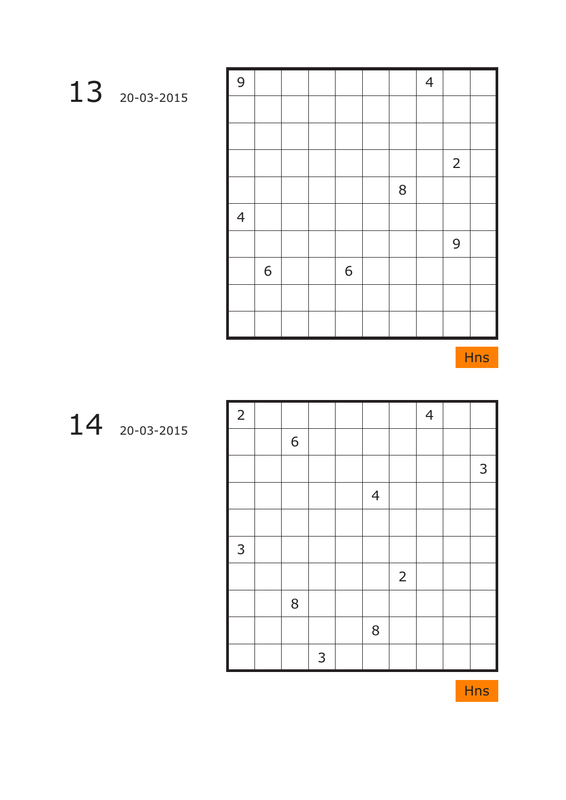| 9              |   |  |   |                | $\overline{4}$ |                |  |
|----------------|---|--|---|----------------|----------------|----------------|--|
|                |   |  |   |                |                |                |  |
|                |   |  |   |                |                |                |  |
|                |   |  |   |                |                | $\overline{2}$ |  |
|                |   |  |   | $8\phantom{1}$ |                |                |  |
| $\overline{4}$ |   |  |   |                |                |                |  |
|                |   |  |   |                |                | 9              |  |
|                | 6 |  | 6 |                |                |                |  |
|                |   |  |   |                |                |                |  |
|                |   |  |   |                |                |                |  |

# 20-03-2015

Hns

| $\overline{2}$ |   |   |                |                | $\overline{4}$ |   |
|----------------|---|---|----------------|----------------|----------------|---|
|                | 6 |   |                |                |                |   |
|                |   |   |                |                |                | 3 |
|                |   |   | $\overline{4}$ |                |                |   |
|                |   |   |                |                |                |   |
| $\overline{3}$ |   |   |                |                |                |   |
|                |   |   |                | $\overline{2}$ |                |   |
|                | 8 |   |                |                |                |   |
|                |   |   | 8              |                |                |   |
|                |   | 3 |                |                |                |   |

20-03-2015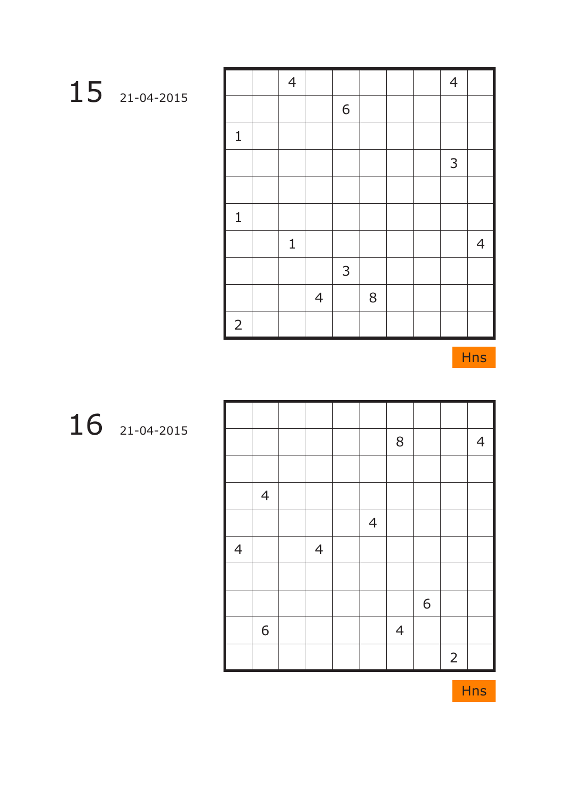|                | $\overline{4}$ |                |              |       |  | $\overline{4}$ |                |
|----------------|----------------|----------------|--------------|-------|--|----------------|----------------|
|                |                |                | 6            |       |  |                |                |
| $\mathbf{1}$   |                |                |              |       |  |                |                |
|                |                |                |              |       |  | 3              |                |
|                |                |                |              |       |  |                |                |
| $\mathbf 1$    |                |                |              |       |  |                |                |
|                | $\mathbf 1$    |                |              |       |  |                | $\overline{4}$ |
|                |                |                | $\mathsf{3}$ |       |  |                |                |
|                |                | $\overline{4}$ |              | $8\,$ |  |                |                |
| $\overline{2}$ |                |                |              |       |  |                |                |

|                |                |                |                | $8\,$          |   |                | $\overline{4}$ |
|----------------|----------------|----------------|----------------|----------------|---|----------------|----------------|
|                |                |                |                |                |   |                |                |
|                | $\overline{4}$ |                |                |                |   |                |                |
|                |                |                | $\overline{4}$ |                |   |                |                |
| $\overline{4}$ |                | $\overline{4}$ |                |                |   |                |                |
|                |                |                |                |                |   |                |                |
|                |                |                |                |                | 6 |                |                |
|                | 6              |                |                | $\overline{4}$ |   |                |                |
|                |                |                |                |                |   | $\overline{2}$ |                |

21-04-2015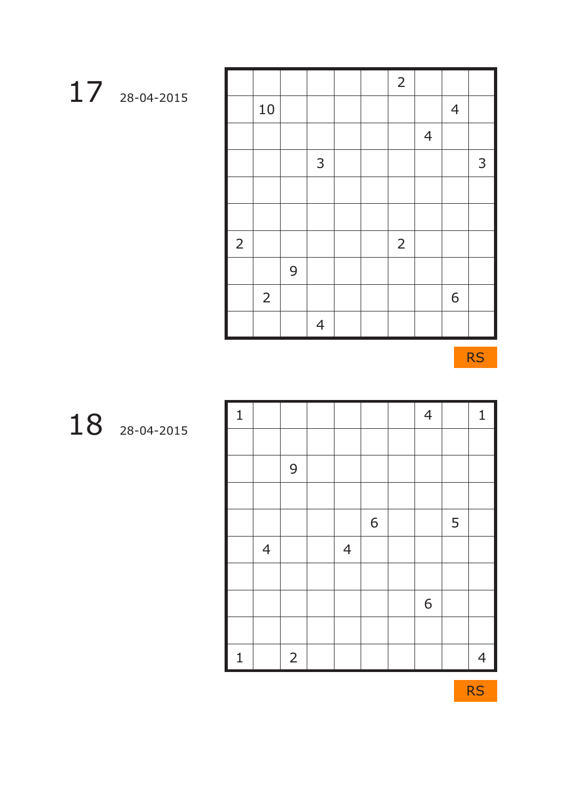|                |                |   |                |  | $\overline{2}$ |                |                |   |
|----------------|----------------|---|----------------|--|----------------|----------------|----------------|---|
|                | 10             |   |                |  |                |                | $\overline{4}$ |   |
|                |                |   |                |  |                | $\overline{4}$ |                |   |
|                |                |   | $\mathsf{3}$   |  |                |                |                | 3 |
|                |                |   |                |  |                |                |                |   |
|                |                |   |                |  |                |                |                |   |
| $\overline{2}$ |                |   |                |  | $\overline{2}$ |                |                |   |
|                |                | 9 |                |  |                |                |                |   |
|                | $\overline{2}$ |   |                |  |                |                | 6              |   |
|                |                |   | $\overline{4}$ |  |                |                |                |   |

RS

| $\mathbf{1}$ |                |                |                |   | $\overline{4}$ |   | $\mathbf{1}$   |
|--------------|----------------|----------------|----------------|---|----------------|---|----------------|
|              |                |                |                |   |                |   |                |
|              |                | 9              |                |   |                |   |                |
|              |                |                |                |   |                |   |                |
|              |                |                |                | 6 |                | 5 |                |
|              | $\overline{4}$ |                | $\overline{4}$ |   |                |   |                |
|              |                |                |                |   |                |   |                |
|              |                |                |                |   | 6              |   |                |
|              |                |                |                |   |                |   |                |
| $\mathbf{1}$ |                | $\overline{2}$ |                |   |                |   | $\overline{4}$ |

28-04-2015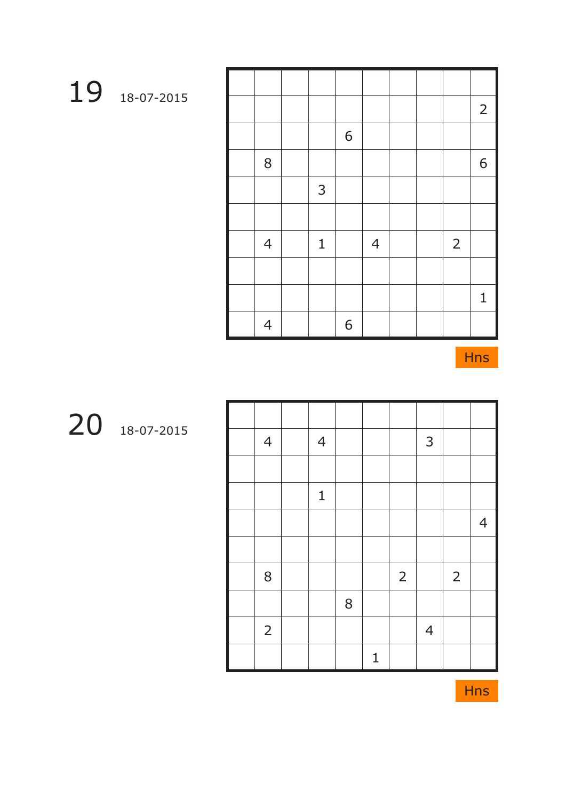|                |              |   |                |  |                | $2\overline{ }$ |
|----------------|--------------|---|----------------|--|----------------|-----------------|
|                |              | 6 |                |  |                |                 |
| 8              |              |   |                |  |                | 6               |
|                | $\mathsf{3}$ |   |                |  |                |                 |
|                |              |   |                |  |                |                 |
| $\overline{4}$ | $\mathbf 1$  |   | $\overline{4}$ |  | $\overline{2}$ |                 |
|                |              |   |                |  |                |                 |
|                |              |   |                |  |                | $\mathbf{1}$    |
| $\overline{4}$ |              | 6 |                |  |                |                 |

| $\overline{4}$ | $\overline{4}$ |   |             |                | 3              |                |                |
|----------------|----------------|---|-------------|----------------|----------------|----------------|----------------|
|                |                |   |             |                |                |                |                |
|                | $\mathbf 1$    |   |             |                |                |                |                |
|                |                |   |             |                |                |                | $\overline{4}$ |
|                |                |   |             |                |                |                |                |
| $8\,$          |                |   |             | $\overline{2}$ |                | $\overline{2}$ |                |
|                |                | 8 |             |                |                |                |                |
| $\overline{2}$ |                |   |             |                | $\overline{4}$ |                |                |
|                |                |   | $\mathbf 1$ |                |                |                |                |

18-07-2015

18-07-2015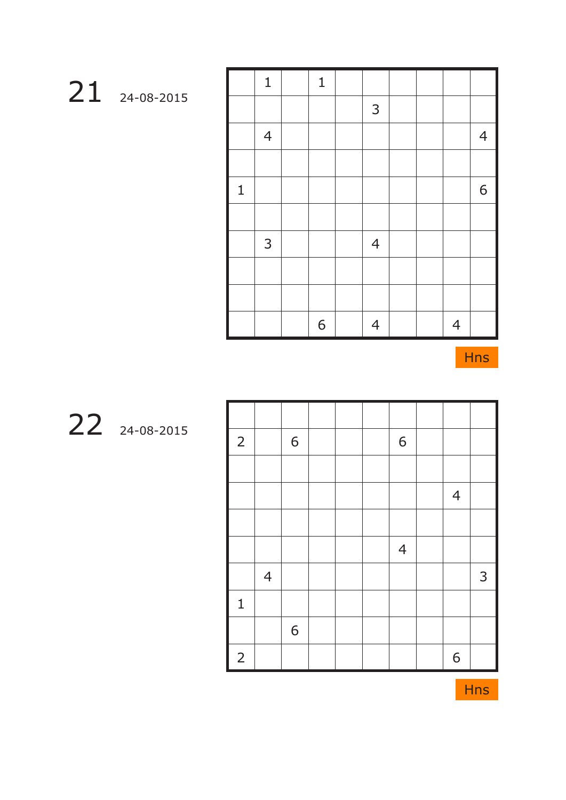|              | $\mathbf{1}$   | $\mathbf{1}$ |                |  |                |                |
|--------------|----------------|--------------|----------------|--|----------------|----------------|
|              |                |              | $\mathsf{3}$   |  |                |                |
|              | $\overline{4}$ |              |                |  |                | $\overline{4}$ |
|              |                |              |                |  |                |                |
| $\mathbf{1}$ |                |              |                |  |                | $6\,$          |
|              |                |              |                |  |                |                |
|              | 3              |              | $\overline{4}$ |  |                |                |
|              |                |              |                |  |                |                |
|              |                |              |                |  |                |                |
|              |                | 6            | $\overline{4}$ |  | $\overline{4}$ |                |

| $\overline{2}$ |                | 6 |  | 6              |                |   |
|----------------|----------------|---|--|----------------|----------------|---|
|                |                |   |  |                |                |   |
|                |                |   |  |                | $\overline{4}$ |   |
|                |                |   |  |                |                |   |
|                |                |   |  | $\overline{4}$ |                |   |
|                | $\overline{4}$ |   |  |                |                | 3 |
| $\mathbf 1$    |                |   |  |                |                |   |
|                |                | 6 |  |                |                |   |
| $\overline{2}$ |                |   |  |                | 6              |   |

24-08-2015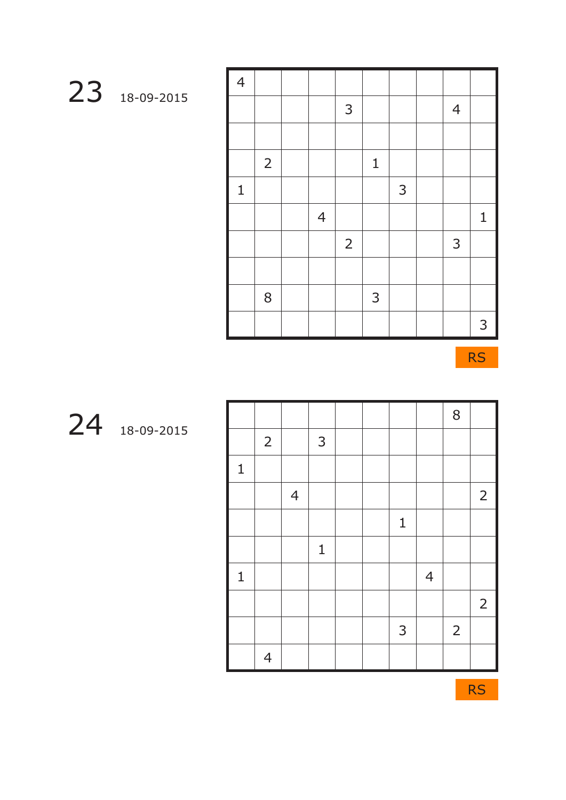| $\overline{4}$ |                |                |                |              |   |                |                |
|----------------|----------------|----------------|----------------|--------------|---|----------------|----------------|
|                |                |                | 3              |              |   | $\overline{4}$ |                |
|                |                |                |                |              |   |                |                |
|                | $\overline{2}$ |                |                | $\mathbf{1}$ |   |                |                |
| $\mathbf 1$    |                |                |                |              | 3 |                |                |
|                |                | $\overline{4}$ |                |              |   |                | $\mathbf{1}$   |
|                |                |                | $\overline{2}$ |              |   | 3              |                |
|                |                |                |                |              |   |                |                |
|                | 8              |                |                | $\mathsf{3}$ |   |                |                |
|                |                |                |                |              |   |                | 3 <sup>1</sup> |

RS

|              |                |                |              |  |              |                | 8              |                |
|--------------|----------------|----------------|--------------|--|--------------|----------------|----------------|----------------|
|              | $\overline{2}$ |                | $\mathsf{3}$ |  |              |                |                |                |
| $\mathbf 1$  |                |                |              |  |              |                |                |                |
|              |                | $\overline{4}$ |              |  |              |                |                | $\overline{2}$ |
|              |                |                |              |  | $\mathbf{1}$ |                |                |                |
|              |                |                | $\mathbf{1}$ |  |              |                |                |                |
| $\mathbf{1}$ |                |                |              |  |              | $\overline{4}$ |                |                |
|              |                |                |              |  |              |                |                | $\overline{2}$ |
|              |                |                |              |  | 3            |                | $\overline{2}$ |                |
|              | $\overline{4}$ |                |              |  |              |                |                |                |

18-09-2015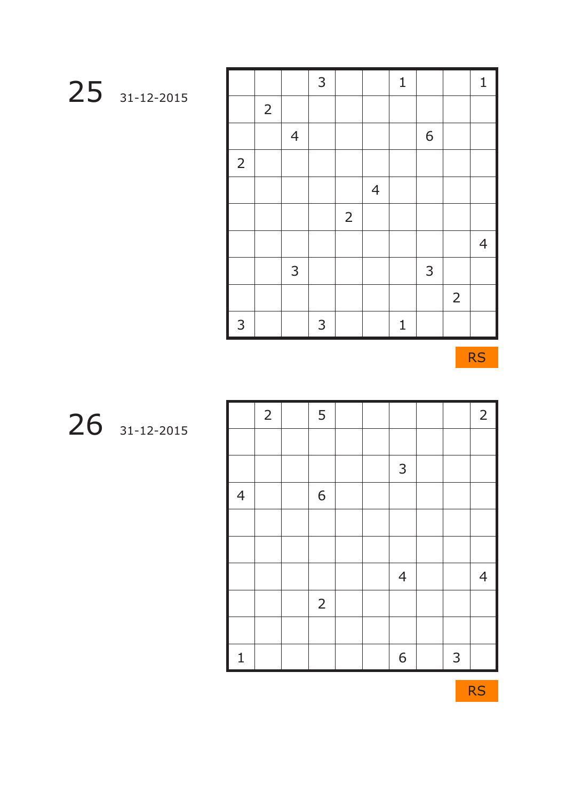| 31-12-2015 |
|------------|

|                |                |                | $\mathsf{3}$ |                |                | $\mathbf{1}$ |   |                | $\mathbf{1}$   |
|----------------|----------------|----------------|--------------|----------------|----------------|--------------|---|----------------|----------------|
|                | $\overline{2}$ |                |              |                |                |              |   |                |                |
|                |                | $\overline{4}$ |              |                |                |              | 6 |                |                |
| $\overline{2}$ |                |                |              |                |                |              |   |                |                |
|                |                |                |              |                | $\overline{4}$ |              |   |                |                |
|                |                |                |              | $\overline{2}$ |                |              |   |                |                |
|                |                |                |              |                |                |              |   |                | $\overline{4}$ |
|                |                | 3              |              |                |                |              | 3 |                |                |
|                |                |                |              |                |                |              |   | $\overline{2}$ |                |
| 3              |                |                | 3            |                |                | $\mathbf 1$  |   |                |                |

RS

|                | $\overline{2}$ | 5              |  |                |              | $2^{\circ}$    |
|----------------|----------------|----------------|--|----------------|--------------|----------------|
|                |                |                |  |                |              |                |
|                |                |                |  | $\mathsf{3}$   |              |                |
| $\overline{4}$ |                | 6              |  |                |              |                |
|                |                |                |  |                |              |                |
|                |                |                |  |                |              |                |
|                |                |                |  | $\overline{4}$ |              | $\overline{4}$ |
|                |                | $\overline{2}$ |  |                |              |                |
|                |                |                |  |                |              |                |
| $\mathbf{1}$   |                |                |  | 6              | $\mathbf{3}$ |                |

31-12-2015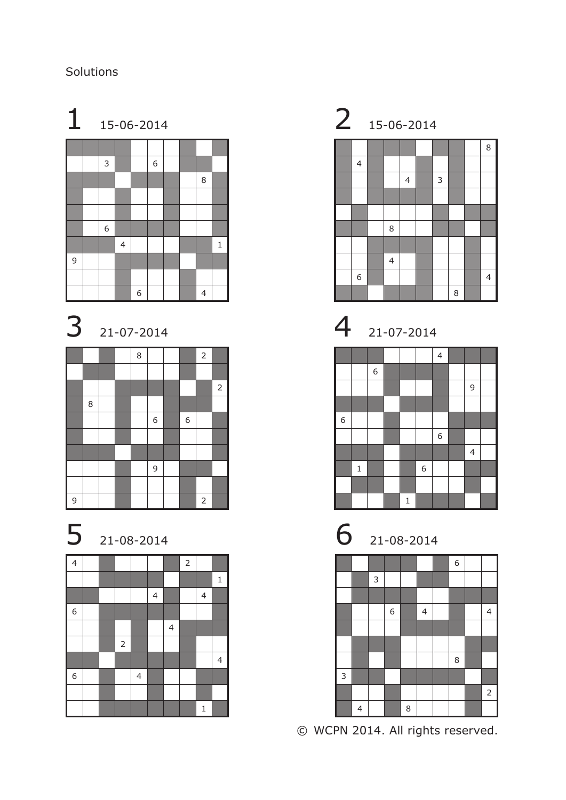Solutions















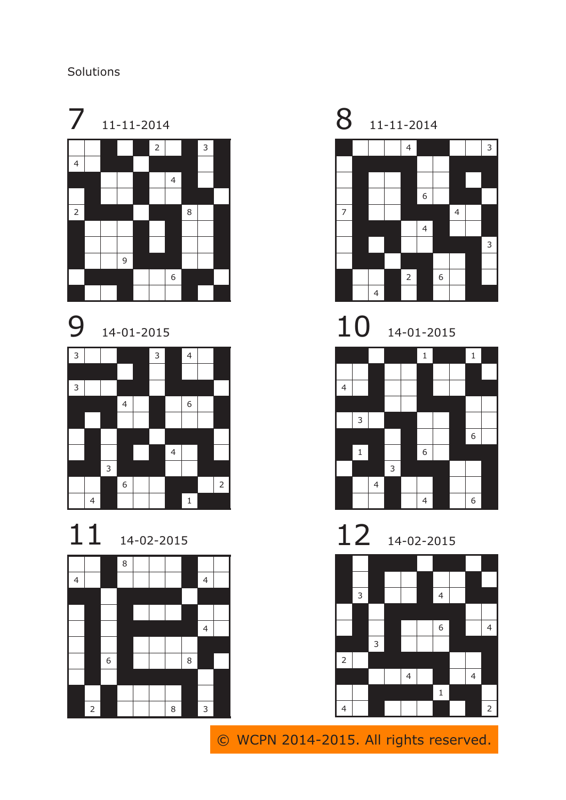### Solutions





14-01-2015



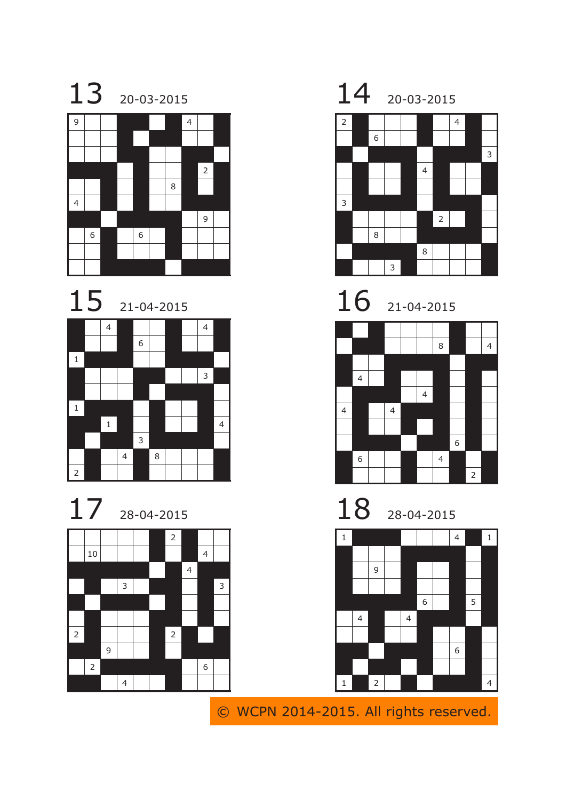









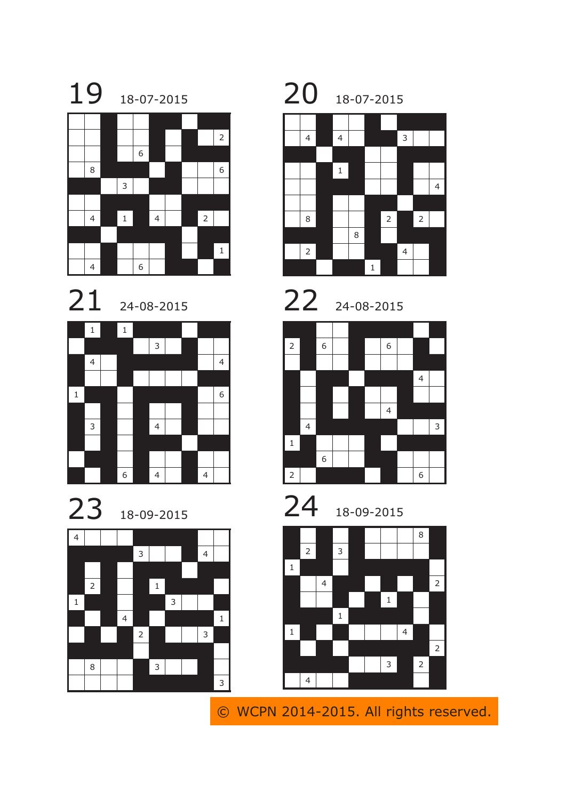





















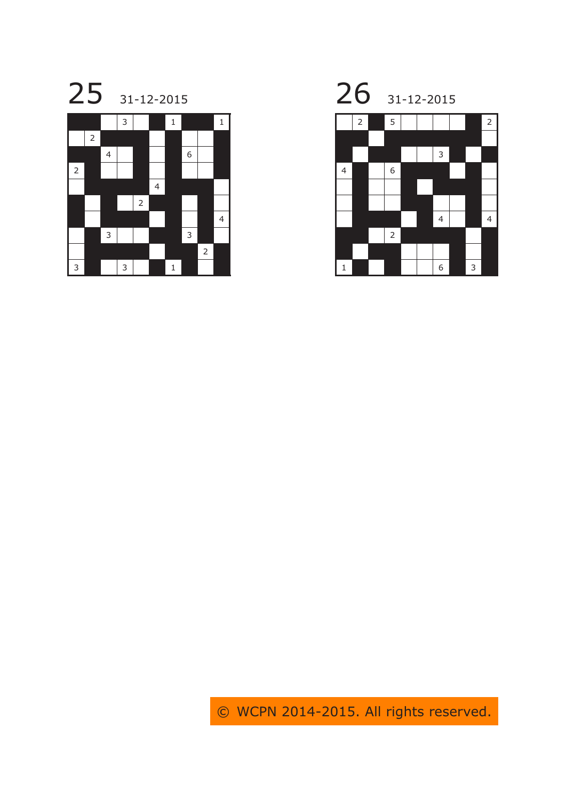



25 31-12-2015 26 31-12-2015 2 5 1 2

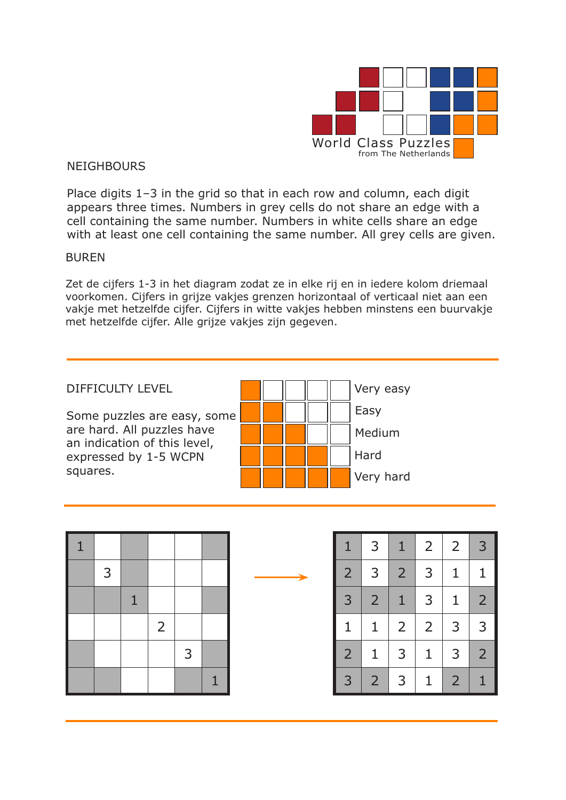

#### **NEIGHBOURS**

Place digits 1–3 in the grid so that in each row and column, each digit appears three times. Numbers in grey cells do not share an edge with a cell containing the same number. Numbers in white cells share an edge with at least one cell containing the same number. All grey cells are given.

#### BUREN

Zet de cijfers 1-3 in het diagram zodat ze in elke rij en in iedere kolom driemaal voorkomen. Cijfers in grijze vakjes grenzen horizontaal of verticaal niet aan een vakje met hetzelfde cijfer. Cijfers in witte vakjes hebben minstens een buurvakje met hetzelfde cijfer. Alle grijze vakjes zijn gegeven.



| $\mathbf{1}$ |   |              |                |   |   |
|--------------|---|--------------|----------------|---|---|
|              | 3 |              |                |   |   |
|              |   | $\mathbf{1}$ |                |   |   |
|              |   |              | $\overline{2}$ |   |   |
|              |   |              |                | 3 |   |
|              |   |              |                |   | 1 |

| $\mathbf{1}$   | 3              | $\mathbf{1}$   | $\overline{2}$ | 2              | 3              |
|----------------|----------------|----------------|----------------|----------------|----------------|
| $\overline{2}$ | 3              | $\overline{2}$ | 3              | $\overline{1}$ | $\overline{1}$ |
| 3              | $\overline{2}$ | 1              | 3              | $\mathbf{1}$   | $\overline{2}$ |
| $\mathbf{1}$   | $\mathbf{1}$   | $\overline{2}$ | $\overline{2}$ | 3              | 3              |
| $\overline{2}$ | $\mathbf{1}$   | 3              | $\mathbf 1$    | 3              | $\overline{2}$ |
| 3              | $\overline{2}$ | 3              | 1              | $\overline{2}$ | 1              |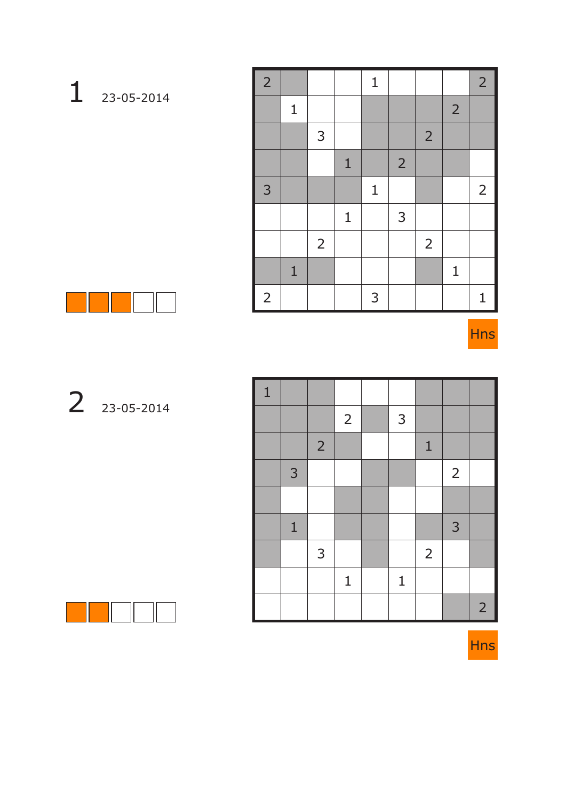| $\overline{2}$ |              |                |              | $\mathbf 1$  |                |                |                | $\overline{2}$   |
|----------------|--------------|----------------|--------------|--------------|----------------|----------------|----------------|------------------|
|                | $\mathbf{1}$ |                |              |              |                |                | $\overline{2}$ |                  |
|                |              | 3              |              |              |                | $\overline{2}$ |                |                  |
|                |              |                | $\mathbf{1}$ |              | $\overline{2}$ |                |                |                  |
| 3              |              |                |              | $\mathbf{1}$ |                |                |                | $2 \overline{ }$ |
|                |              |                | $\mathbf 1$  |              | 3              |                |                |                  |
|                |              | $\overline{2}$ |              |              |                | $\overline{2}$ |                |                  |
|                | $\mathbf{1}$ |                |              |              |                |                | $\mathbf 1$    |                  |
| $\overline{2}$ |              |                |              | 3            |                |                |                | $\mathbf{1}$     |



| 23-05-2014        |
|-------------------|
|                   |
|                   |
|                   |
|                   |
| <b>The Common</b> |
|                   |
| 23-05-2014        |

| $\mathbf 1$ |              |                |                |              |                |                |                |
|-------------|--------------|----------------|----------------|--------------|----------------|----------------|----------------|
|             |              |                | $\overline{2}$ | $\mathsf{3}$ |                |                |                |
|             |              | $\overline{2}$ |                |              | $\mathbf{1}$   |                |                |
|             | 3            |                |                |              |                | $\overline{2}$ |                |
|             |              |                |                |              |                |                |                |
|             | $\mathbf{1}$ |                |                |              |                | 3              |                |
|             |              | 3              |                |              | $\overline{2}$ |                |                |
|             |              |                | $\mathbf{1}$   | $\mathbf{1}$ |                |                |                |
|             |              |                |                |              |                |                | 2 <sup>1</sup> |



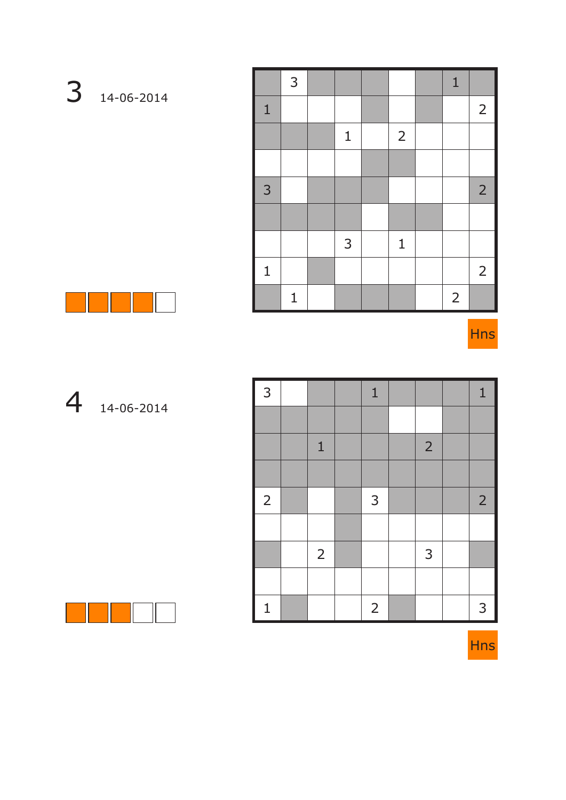|                | 3            |              |                | $\mathbf{1}$   |                |
|----------------|--------------|--------------|----------------|----------------|----------------|
| $\mathbf{1}$   |              |              |                |                | $\overline{2}$ |
|                |              | $\mathbf{1}$ | $\overline{2}$ |                |                |
|                |              |              |                |                |                |
| $\overline{3}$ |              |              |                |                | 2 <sup>1</sup> |
|                |              |              |                |                |                |
|                |              | 3            | $\mathbf{1}$   |                |                |
| $\mathbf{1}$   |              |              |                |                | $2^{\circ}$    |
|                | $\mathbf{1}$ |              |                | $\overline{2}$ |                |



| 3              |                | $\mathbf{1}$   |                | $\mathbf{1}$   |
|----------------|----------------|----------------|----------------|----------------|
|                |                |                |                |                |
|                | $\mathbf{1}$   |                | $\overline{2}$ |                |
|                |                |                |                |                |
| $\overline{2}$ |                | 3              |                | $\overline{2}$ |
|                |                |                |                |                |
|                | $\overline{2}$ |                | 3              |                |
|                |                |                |                |                |
| $\mathbf{1}$   |                | $\overline{2}$ |                | 3              |



14-06-2014

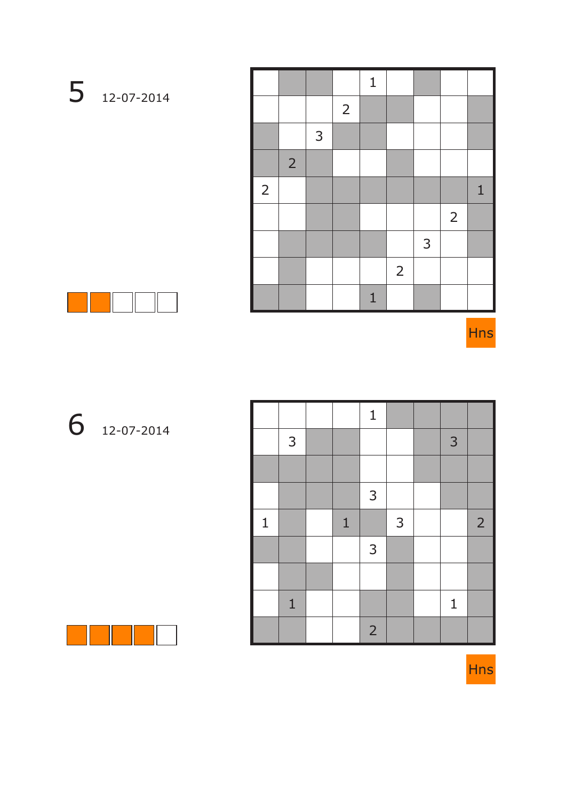|                |                |   |                | $\mathbf{1}$ |                |              |                |              |
|----------------|----------------|---|----------------|--------------|----------------|--------------|----------------|--------------|
|                |                |   | $\overline{2}$ |              |                |              |                |              |
|                |                | 3 |                |              |                |              |                |              |
|                | $\overline{2}$ |   |                |              |                |              |                |              |
| $\overline{2}$ |                |   |                |              |                |              |                | $\mathbf{1}$ |
|                |                |   |                |              |                |              | $\overline{2}$ |              |
|                |                |   |                |              |                | $\mathsf{3}$ |                |              |
|                |                |   |                |              | $\overline{2}$ |              |                |              |
|                |                |   |                | $\mathbf{1}$ |                |              |                |              |



12-07-2014

|              |              |              | $\mathbf{1}$   |   |             |                |
|--------------|--------------|--------------|----------------|---|-------------|----------------|
|              | 3            |              |                |   | 3           |                |
|              |              |              |                |   |             |                |
|              |              |              | $\mathsf{3}$   |   |             |                |
| $\mathbf{1}$ |              | $\mathbf{1}$ |                | 3 |             | $\overline{2}$ |
|              |              |              | $\mathsf{3}$   |   |             |                |
|              |              |              |                |   |             |                |
|              | $\mathbf{1}$ |              |                |   | $\mathbf 1$ |                |
|              |              |              | $\overline{2}$ |   |             |                |



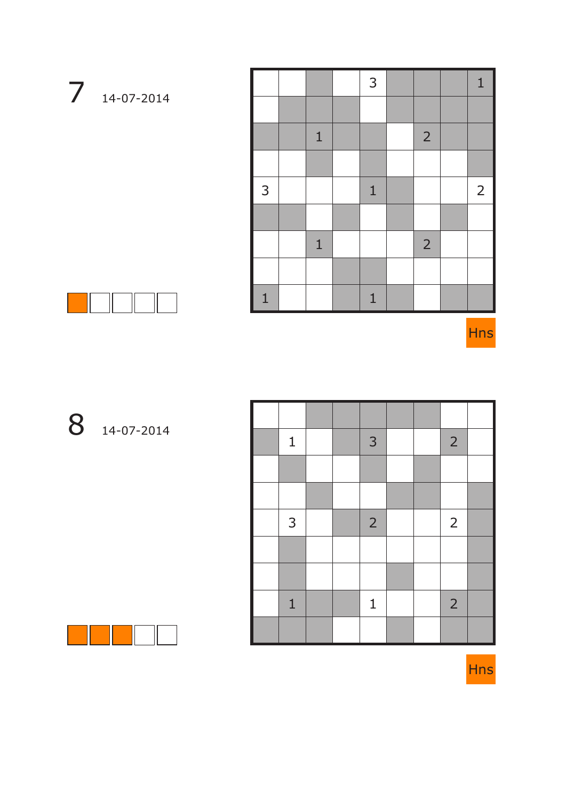|              |              | 3            |                | $\mathbf{1}$    |
|--------------|--------------|--------------|----------------|-----------------|
|              |              |              |                |                 |
|              | $\mathbf{1}$ |              | $\overline{2}$ |                 |
|              |              |              |                |                 |
| 3            |              | $\mathbf{1}$ |                | $2\overline{ }$ |
|              |              |              |                |                 |
|              | $\mathbf{1}$ |              | $\overline{2}$ |                 |
|              |              |              |                |                 |
| $\mathbf{1}$ |              | $\mathbf{1}$ |                |                 |



Hns

### 14-07-2014

| $\mathbf{1}$ |  | 3              |  | $\overline{2}$ |  |
|--------------|--|----------------|--|----------------|--|
|              |  |                |  |                |  |
|              |  |                |  |                |  |
| $\mathsf{3}$ |  | $\overline{2}$ |  | $\overline{2}$ |  |
|              |  |                |  |                |  |
|              |  |                |  |                |  |
| $\mathbf{1}$ |  | $\mathbf 1$    |  | $\overline{2}$ |  |
|              |  |                |  |                |  |



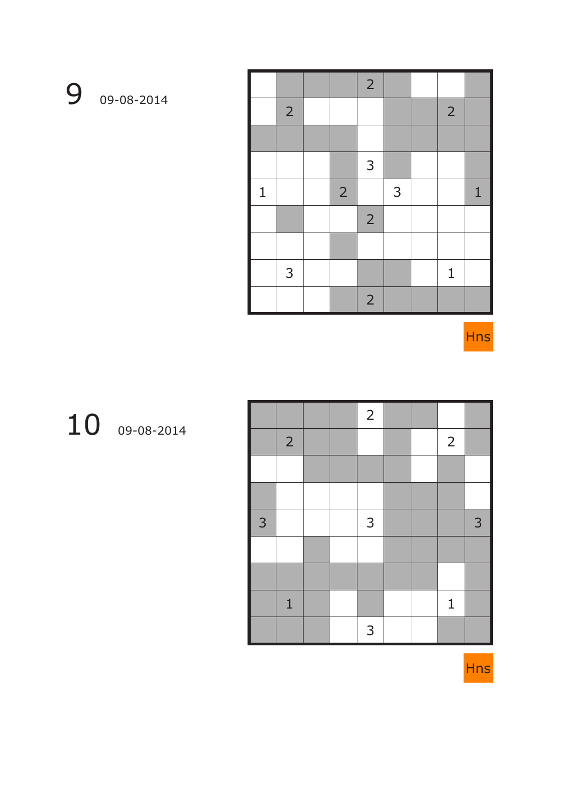$9 - 08 - 2014$ 

|             |                |                | $\overline{2}$ |   |                |              |
|-------------|----------------|----------------|----------------|---|----------------|--------------|
|             | $\overline{2}$ |                |                |   | $\overline{2}$ |              |
|             |                |                |                |   |                |              |
|             |                |                | 3              |   |                |              |
| $\mathbf 1$ |                | $\overline{2}$ |                | 3 |                | $\mathbf{1}$ |
|             |                |                | $\overline{2}$ |   |                |              |
|             |                |                |                |   |                |              |
|             | 3              |                |                |   | $\mathbf{1}$   |              |
|             |                |                | $\overline{2}$ |   |                |              |

Hns

### 09-08-2014

|   |                |  | $\overline{2}$ |  |                |   |
|---|----------------|--|----------------|--|----------------|---|
|   | $\overline{2}$ |  |                |  | $\overline{2}$ |   |
|   |                |  |                |  |                |   |
|   |                |  |                |  |                |   |
| 3 |                |  | $\mathsf{3}$   |  |                | 3 |
|   |                |  |                |  |                |   |
|   |                |  |                |  |                |   |
|   | $\mathbf{1}$   |  |                |  | $\mathbf 1$    |   |
|   |                |  | 3              |  |                |   |

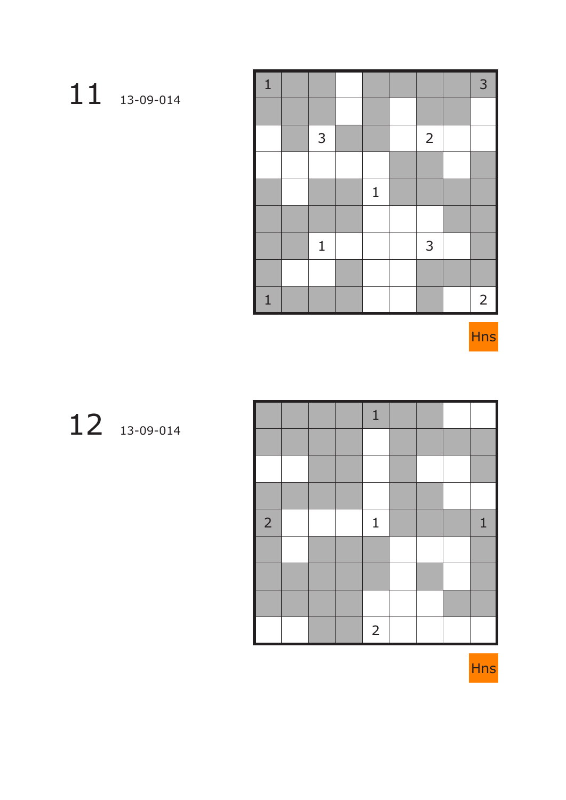# 13-09-014

| $\mathbf{1}$ |              |              |                | 3           |
|--------------|--------------|--------------|----------------|-------------|
|              |              |              |                |             |
|              | $\mathsf{3}$ |              | $\overline{2}$ |             |
|              |              |              |                |             |
|              |              | $\mathbf{1}$ |                |             |
|              |              |              |                |             |
|              | $\mathbf 1$  |              | 3              |             |
|              |              |              |                |             |
| $\mathbf{1}$ |              |              |                | $2^{\circ}$ |

Hns

## 13-09-014

|                |  | $\mathbf{1}$   |  |   |
|----------------|--|----------------|--|---|
|                |  |                |  |   |
|                |  |                |  |   |
|                |  |                |  |   |
| $\overline{2}$ |  | $\mathbf 1$    |  | 1 |
|                |  |                |  |   |
|                |  |                |  |   |
|                |  |                |  |   |
|                |  | $\overline{2}$ |  |   |

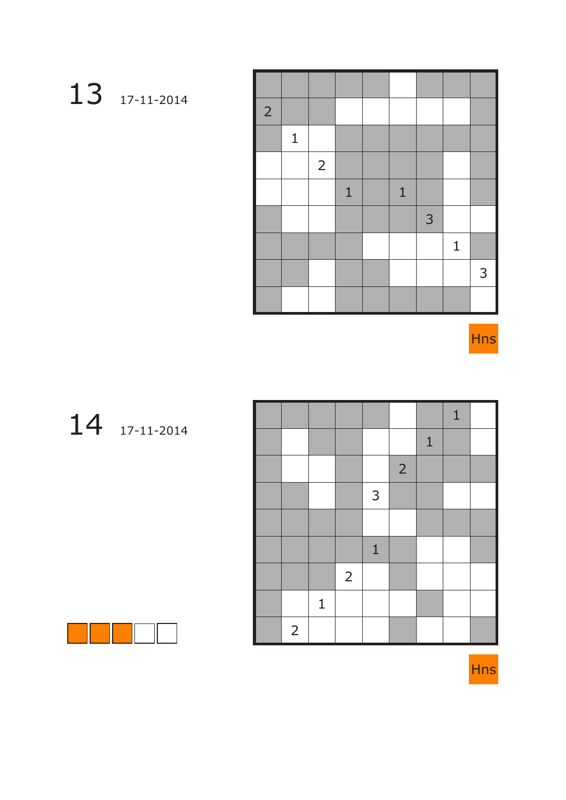# 17-11-2014

| $\overline{2}$ |              |                |              |              |   |              |   |
|----------------|--------------|----------------|--------------|--------------|---|--------------|---|
|                | $\mathbf{1}$ |                |              |              |   |              |   |
|                |              | $\overline{2}$ |              |              |   |              |   |
|                |              |                | $\mathbf{1}$ | $\mathbf{1}$ |   |              |   |
|                |              |                |              |              | 3 |              |   |
|                |              |                |              |              |   | $\mathbf{1}$ |   |
|                |              |                |              |              |   |              | 3 |
|                |              |                |              |              |   |              |   |

Hns

# 17-11-2014

|                |              |                |              |                |              | $\mathbf{1}$ |  |
|----------------|--------------|----------------|--------------|----------------|--------------|--------------|--|
|                |              |                |              |                | $\mathbf{1}$ |              |  |
|                |              |                |              | $\overline{2}$ |              |              |  |
|                |              |                | $\mathsf{3}$ |                |              |              |  |
|                |              |                |              |                |              |              |  |
|                |              |                | $\mathbf{1}$ |                |              |              |  |
|                |              | $\overline{2}$ |              |                |              |              |  |
|                | $\mathbf{1}$ |                |              |                |              |              |  |
| $\overline{2}$ |              |                |              |                |              |              |  |



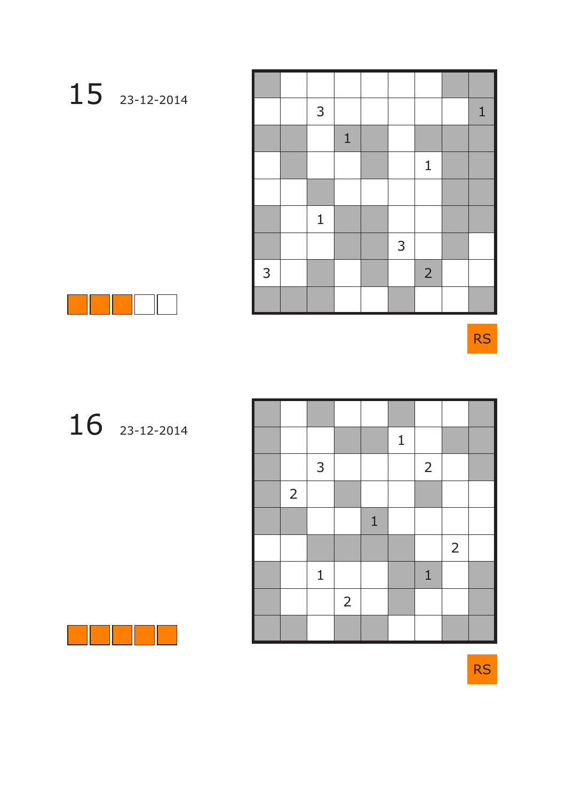|   | 3            |              |              |                | $\mathbf{1}$ |
|---|--------------|--------------|--------------|----------------|--------------|
|   |              | $\mathbf{1}$ |              |                |              |
|   |              |              |              | $\mathbf 1$    |              |
|   |              |              |              |                |              |
|   | $\mathbf{1}$ |              |              |                |              |
|   |              |              | $\mathsf{3}$ |                |              |
| 3 |              |              |              | $\overline{2}$ |              |
|   |              |              |              |                |              |

RS

# 23-12-2014

|                |              |                |              | $\mathbf 1$ |                |                |  |
|----------------|--------------|----------------|--------------|-------------|----------------|----------------|--|
|                | $\mathsf{3}$ |                |              |             | $\overline{2}$ |                |  |
| $\overline{2}$ |              |                |              |             |                |                |  |
|                |              |                | $\mathbf{1}$ |             |                |                |  |
|                |              |                |              |             |                | $\overline{2}$ |  |
|                | $\mathbf{1}$ |                |              |             | $\mathbf 1$    |                |  |
|                |              | $\overline{2}$ |              |             |                |                |  |
|                |              |                |              |             |                |                |  |



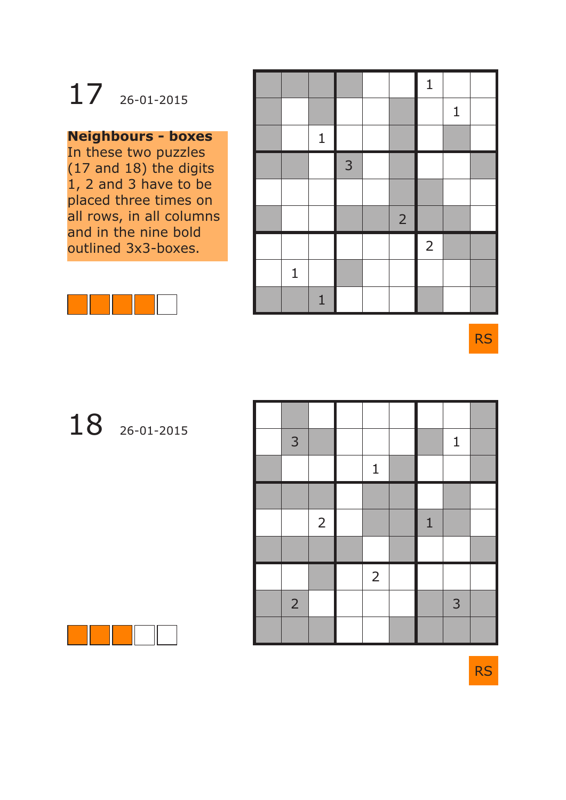# 17 26-01-2015

### **Neighbours - boxes**

In these two puzzles (17 and 18) the digits 1, 2 and 3 have to be placed three times on all rows, in all columns and in the nine bold outlined 3x3-boxes.



|              |                |   |                | $\mathbf 1$    |              |  |
|--------------|----------------|---|----------------|----------------|--------------|--|
|              |                |   |                |                | $\mathbf{1}$ |  |
|              | $\mathbf{1}$   |   |                |                |              |  |
|              |                | 3 |                |                |              |  |
|              |                |   |                |                |              |  |
|              |                |   | $\overline{2}$ |                |              |  |
|              |                |   |                | $\overline{2}$ |              |  |
| $\mathbf{1}$ |                |   |                |                |              |  |
|              | $\overline{1}$ |   |                |                |              |  |

RS

# 18 26-01-2015

| $\mathsf{3}$   |                |                |              | $\mathbf{1}$ |  |
|----------------|----------------|----------------|--------------|--------------|--|
|                |                | $\mathbf{1}$   |              |              |  |
|                |                |                |              |              |  |
|                | $\overline{2}$ |                | $\mathbf{1}$ |              |  |
|                |                |                |              |              |  |
|                |                | $\overline{2}$ |              |              |  |
| $\overline{2}$ |                |                |              | 3            |  |
|                |                |                |              |              |  |

RS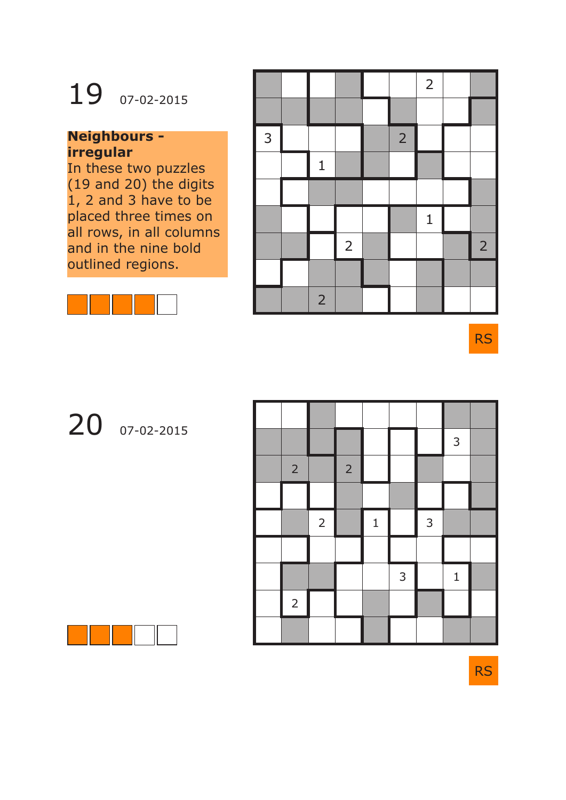# 19 07-02-2015

### **Neighbours irregular**

In these two puzzles (19 and 20) the digits 1, 2 and 3 have to be placed three times on all rows, in all columns and in the nine bold outlined regions.



|              |                |                |                | $\overline{2}$ |                |
|--------------|----------------|----------------|----------------|----------------|----------------|
|              |                |                |                |                |                |
| $\mathsf{3}$ |                |                | $\overline{2}$ |                |                |
|              | $\mathbf{1}$   |                |                |                |                |
|              |                |                |                |                |                |
|              |                |                |                | $\mathbf{1}$   |                |
|              |                | $\overline{2}$ |                |                | $\overline{2}$ |
|              |                |                |                |                |                |
|              | $\overline{2}$ |                |                |                |                |

RS

# 20 07-02-2015

|                |                |                |              |                |              | $\overline{3}$ |  |
|----------------|----------------|----------------|--------------|----------------|--------------|----------------|--|
| $\overline{2}$ |                | $\overline{2}$ |              |                |              |                |  |
|                |                |                |              |                |              |                |  |
|                | $\overline{2}$ |                | $\mathbf{1}$ |                | $\mathsf{3}$ |                |  |
|                |                |                |              |                |              |                |  |
|                |                |                |              | $\overline{3}$ |              | $\mathbf{1}$   |  |
| $\overline{c}$ |                |                |              |                |              |                |  |
|                |                |                |              |                |              |                |  |

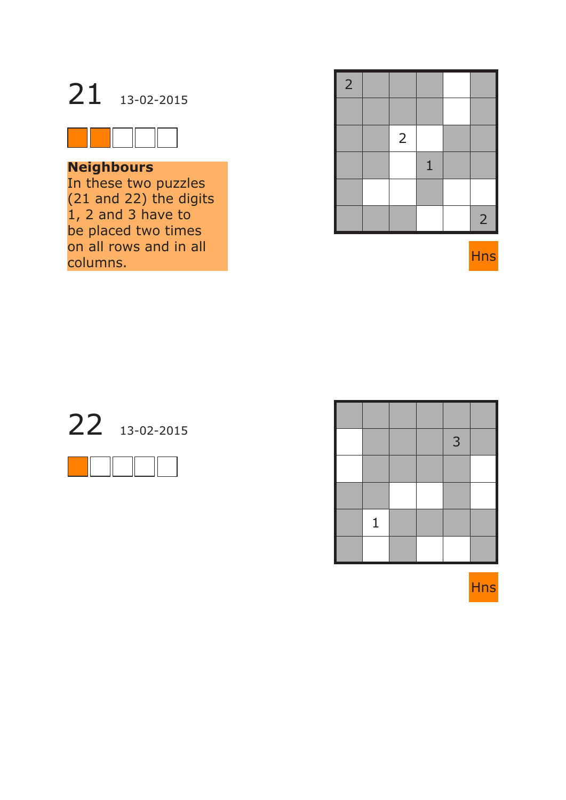



### **Neighbours**

In these two puzzles (21 and 22) the digits 1, 2 and 3 have to be placed two times on all rows and in all columns.

| $\overline{2}$ |                |              |                |
|----------------|----------------|--------------|----------------|
|                |                |              |                |
|                | $\overline{2}$ |              |                |
|                |                | $\mathbf{1}$ |                |
|                |                |              |                |
|                |                |              | $\overline{2}$ |





|              |  | 3 |  |
|--------------|--|---|--|
|              |  |   |  |
|              |  |   |  |
| $\mathbf{1}$ |  |   |  |
|              |  |   |  |

Hns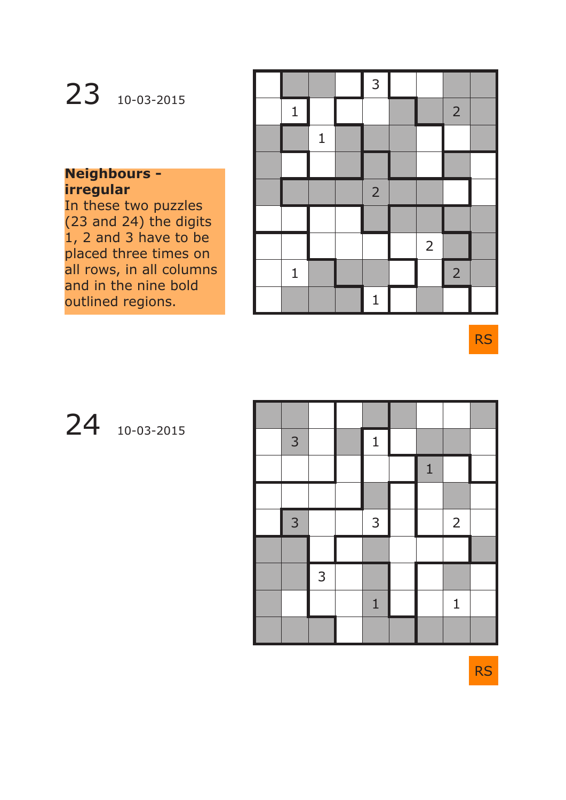# 23 10-03-2015

### **Neighbours irregular**

In these two puzzles (23 and 24) the digits  $\overline{1}$ , 2 and 3 have to be placed three times on all rows, in all columns and in the nine bold outlined regions.

|              |              | 3              |                |                |  |
|--------------|--------------|----------------|----------------|----------------|--|
| $\mathbf{1}$ |              |                |                | $\overline{2}$ |  |
|              | $\mathbf{1}$ |                |                |                |  |
|              |              |                |                |                |  |
|              |              | $\overline{2}$ |                |                |  |
|              |              |                |                |                |  |
|              |              |                | $\overline{2}$ |                |  |
| $\mathbf 1$  |              |                |                | $\overline{2}$ |  |
|              |              | $\mathbf{1}$   |                |                |  |

RS

# 24 10-03-2015

| $\mathsf{3}$   |   | $\mathbf{1}$ |              |                |  |
|----------------|---|--------------|--------------|----------------|--|
|                |   |              | $\mathbf{1}$ |                |  |
|                |   |              |              |                |  |
| $\overline{3}$ |   | 3            |              | $\overline{2}$ |  |
|                |   |              |              |                |  |
|                | 3 |              |              |                |  |
|                |   | $\mathbf{1}$ |              | $\mathbf{1}$   |  |
|                |   |              |              |                |  |

RS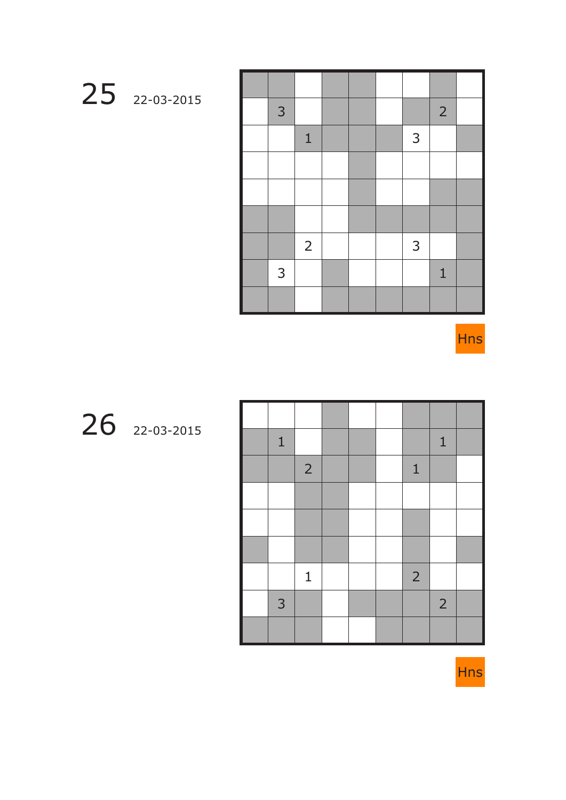| $\mathsf{3}$ |                |  |                | $\overline{2}$ |  |
|--------------|----------------|--|----------------|----------------|--|
|              | $\mathbf 1$    |  | $\overline{3}$ |                |  |
|              |                |  |                |                |  |
|              |                |  |                |                |  |
|              |                |  |                |                |  |
|              | $\overline{2}$ |  | $\mathsf{3}$   |                |  |
| 3            |                |  |                | $\mathbf{1}$   |  |
|              |                |  |                |                |  |

Hns

22-03-2015

| $\mathbf 1$ |                |  |                | $1\,$          |  |
|-------------|----------------|--|----------------|----------------|--|
|             | $\overline{2}$ |  | $\mathbf 1$    |                |  |
|             |                |  |                |                |  |
|             |                |  |                |                |  |
|             |                |  |                |                |  |
|             | $\mathbf{1}$   |  | $\overline{2}$ |                |  |
| 3           |                |  |                | $\overline{2}$ |  |
|             |                |  |                |                |  |

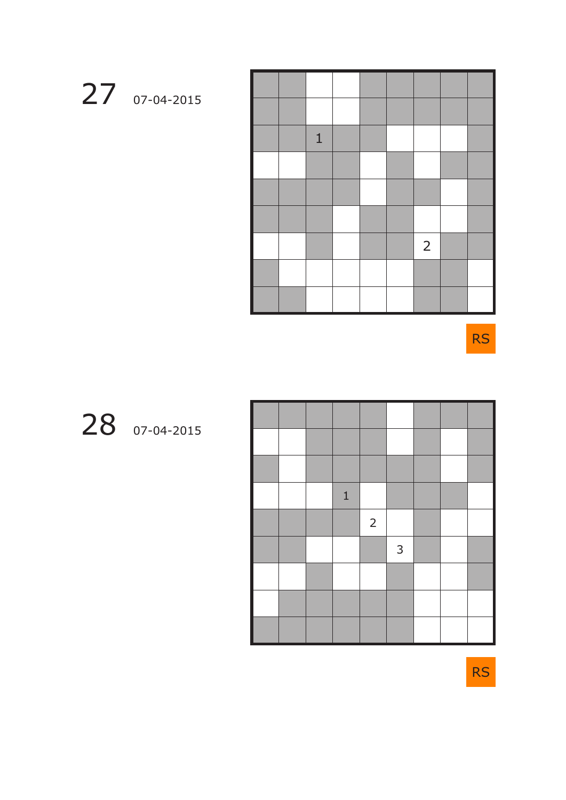

RS

# 07-04-2015

|  | $\mathbf{1}$ |                |   |  |  |
|--|--------------|----------------|---|--|--|
|  |              | $\overline{2}$ |   |  |  |
|  |              |                | 3 |  |  |
|  |              |                |   |  |  |
|  |              |                |   |  |  |
|  |              |                |   |  |  |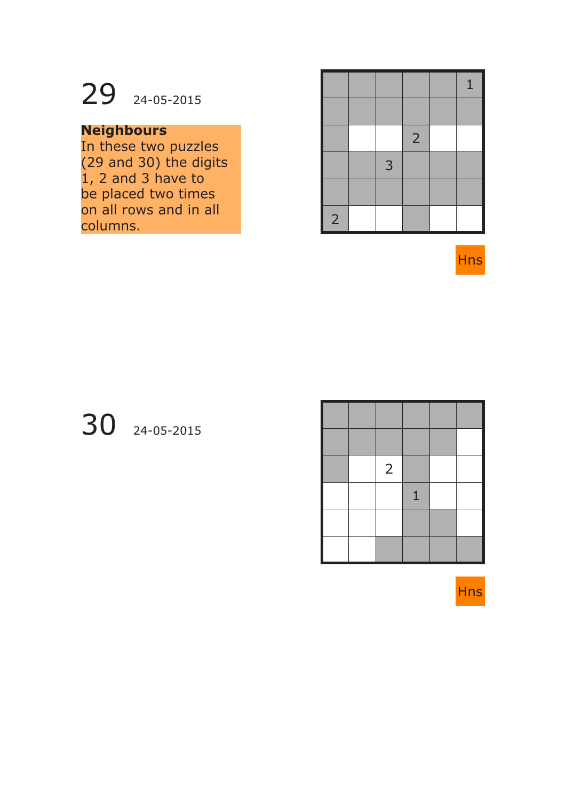

### **Neighbours**

In these two puzzles (29 and 30) the digits 1, 2 and 3 have to be placed two times on all rows and in all columns.

|                |   |                | 1 |
|----------------|---|----------------|---|
|                |   |                |   |
|                |   | $\overline{2}$ |   |
|                | 3 |                |   |
|                |   |                |   |
| $\overline{2}$ |   |                |   |

**Hns** 

### 30 24-05-2015

|  | $\overline{2}$ |   |  |
|--|----------------|---|--|
|  |                | 1 |  |
|  |                |   |  |
|  |                |   |  |

**Hns**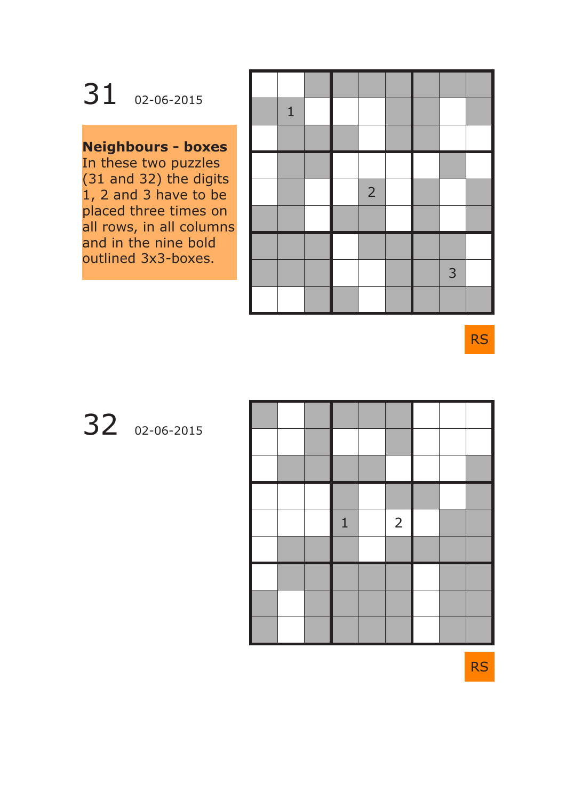31 02-06-2015

### **Neighbours - boxes**

In these two puzzles (31 and 32) the digits 1, 2 and 3 have to be placed three times on all rows, in all columns and in the nine bold outlined 3x3-boxes.

| $\mathbf{1}$ |  |                |  |   |  |
|--------------|--|----------------|--|---|--|
|              |  |                |  |   |  |
|              |  |                |  |   |  |
|              |  | $\overline{2}$ |  |   |  |
|              |  |                |  |   |  |
|              |  |                |  |   |  |
|              |  |                |  | 3 |  |
|              |  |                |  |   |  |

RS

## 32 02-06-2015



RS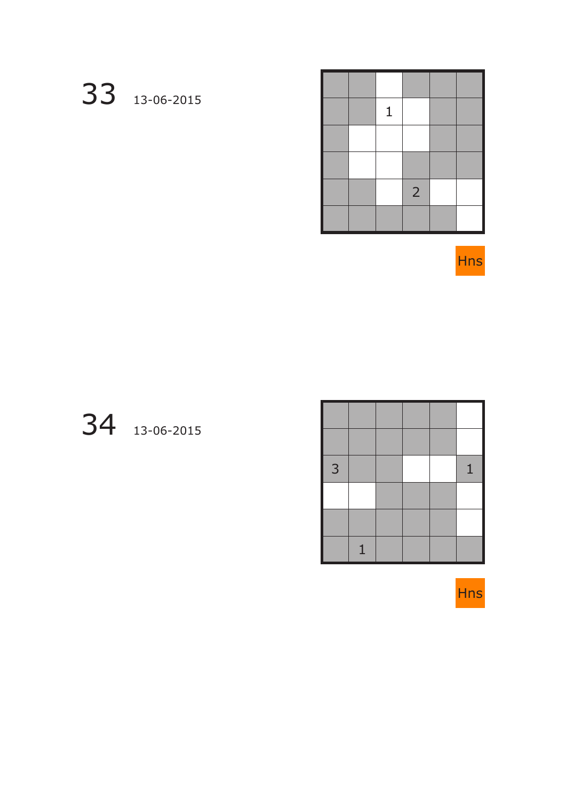# 13-06-2015

|  | $\mathbf{1}$ |                |  |
|--|--------------|----------------|--|
|  |              |                |  |
|  |              |                |  |
|  |              | $\overline{2}$ |  |
|  |              |                |  |

Hns

# 13-06-2015

| 3 |   |  | 1 |
|---|---|--|---|
|   |   |  |   |
|   |   |  |   |
|   | 1 |  |   |

Hns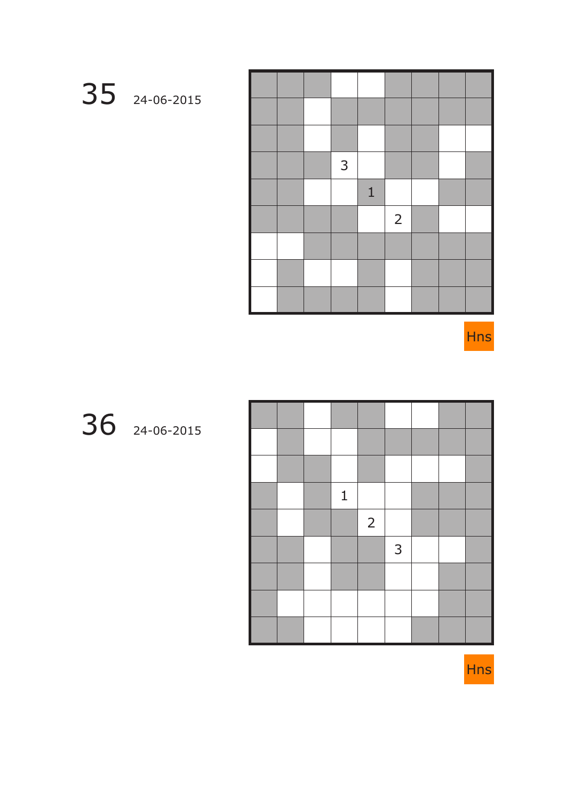

|  | 3 |              |                |  |  |
|--|---|--------------|----------------|--|--|
|  |   | $\mathbf{1}$ |                |  |  |
|  |   |              | $\overline{2}$ |  |  |
|  |   |              |                |  |  |
|  |   |              |                |  |  |
|  |   |              |                |  |  |

Hns

## 24-06-2015

|  | 1 |                |                |  |  |
|--|---|----------------|----------------|--|--|
|  |   | $\overline{2}$ |                |  |  |
|  |   |                | $\overline{3}$ |  |  |
|  |   |                |                |  |  |
|  |   |                |                |  |  |
|  |   |                |                |  |  |

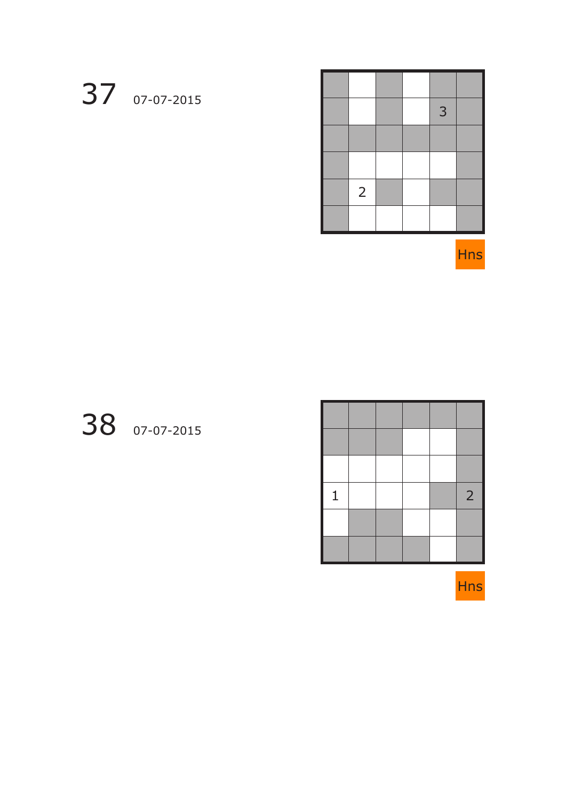# 07-07-2015



Hns

## 07-07-2015

| 1 |  |  | $\overline{2}$ |
|---|--|--|----------------|
|   |  |  |                |
|   |  |  |                |

Hns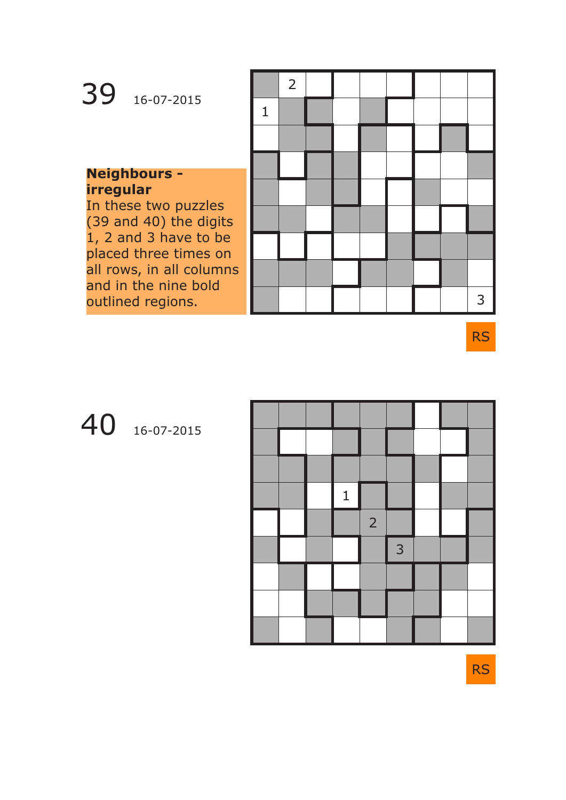| 39<br>16-07-2015                                                                                   | $\overline{2}$ |  |  |  |  |
|----------------------------------------------------------------------------------------------------|----------------|--|--|--|--|
|                                                                                                    |                |  |  |  |  |
| <b>Neighbours -</b><br>irregular<br>In these two puzzles<br>(39 and 40) the digits                 |                |  |  |  |  |
| 1, 2 and 3 have to be<br>placed three times on<br>all rows, in all columns<br>and in the nine bold |                |  |  |  |  |
| outlined regions.                                                                                  |                |  |  |  |  |

RS

## 40 16-07-2015



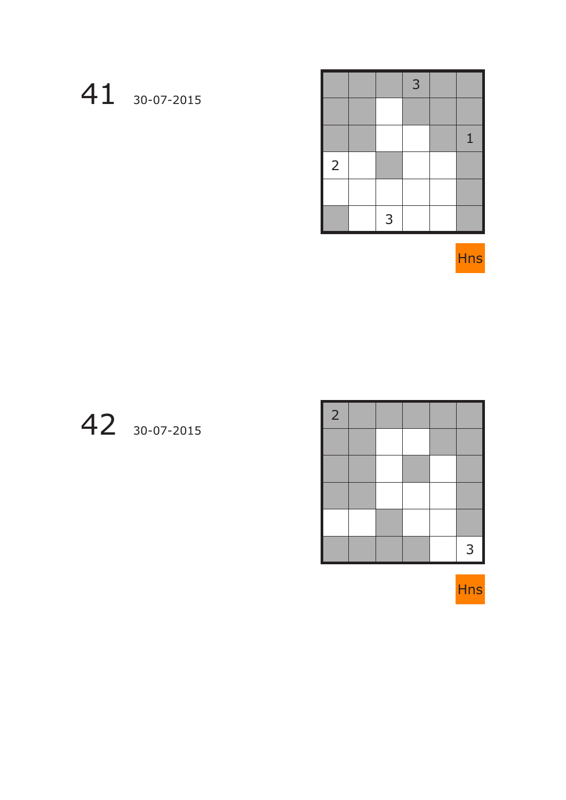# 30-07-2015

|                |   | 3 |              |
|----------------|---|---|--------------|
|                |   |   |              |
|                |   |   | $\mathbf{1}$ |
| $\overline{2}$ |   |   |              |
|                |   |   |              |
|                | 3 |   |              |



## 30-07-2015

| $\overline{2}$ |  |  |   |
|----------------|--|--|---|
|                |  |  |   |
|                |  |  |   |
|                |  |  |   |
|                |  |  |   |
|                |  |  | 3 |

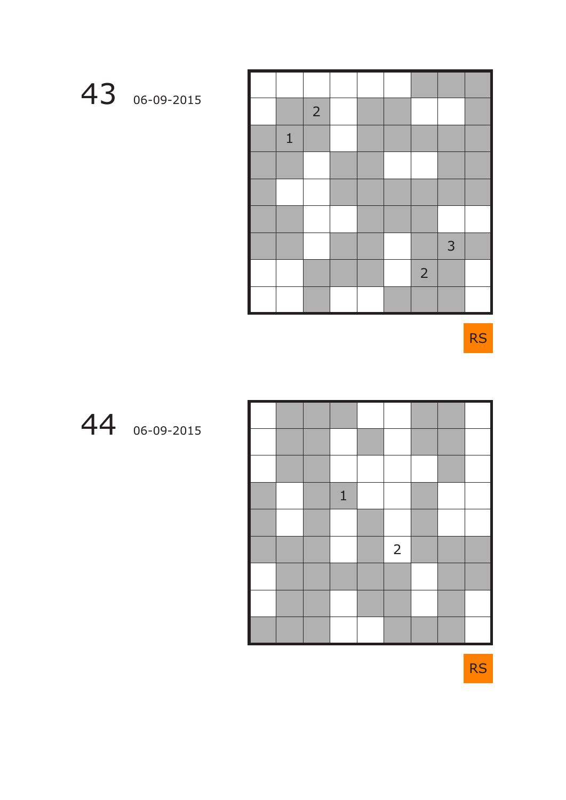

|              | $\overline{2}$ |  |                |   |  |
|--------------|----------------|--|----------------|---|--|
| $\mathbf{1}$ |                |  |                |   |  |
|              |                |  |                |   |  |
|              |                |  |                |   |  |
|              |                |  |                |   |  |
|              |                |  |                | 3 |  |
|              |                |  | $\overline{2}$ |   |  |
|              |                |  |                |   |  |

RS



|  | $\mathbf{1}$ |                |  |  |
|--|--------------|----------------|--|--|
|  |              |                |  |  |
|  |              | $\overline{2}$ |  |  |
|  |              |                |  |  |
|  |              |                |  |  |
|  |              |                |  |  |

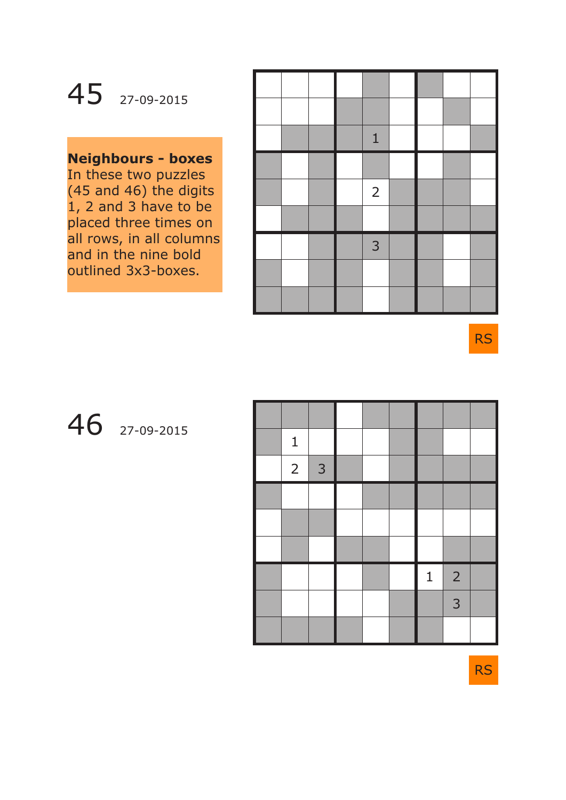## 45 27-09-2015

### **Neighbours - boxes**

In these two puzzles (45 and 46) the digits 1, 2 and 3 have to be placed three times on all rows, in all columns and in the nine bold outlined 3x3-boxes.

|  |  | $\mathbf{1}$   |  |  |
|--|--|----------------|--|--|
|  |  |                |  |  |
|  |  | $\overline{2}$ |  |  |
|  |  |                |  |  |
|  |  | 3              |  |  |
|  |  |                |  |  |
|  |  |                |  |  |

RS

### 46 27-09-2015

| $\mathbf{1}$   |                |  |              |                |  |
|----------------|----------------|--|--------------|----------------|--|
| $\overline{2}$ | $\overline{3}$ |  |              |                |  |
|                |                |  |              |                |  |
|                |                |  |              |                |  |
|                |                |  |              |                |  |
|                |                |  | $\mathbf{1}$ | $\overline{2}$ |  |
|                |                |  |              | 3              |  |
|                |                |  |              |                |  |

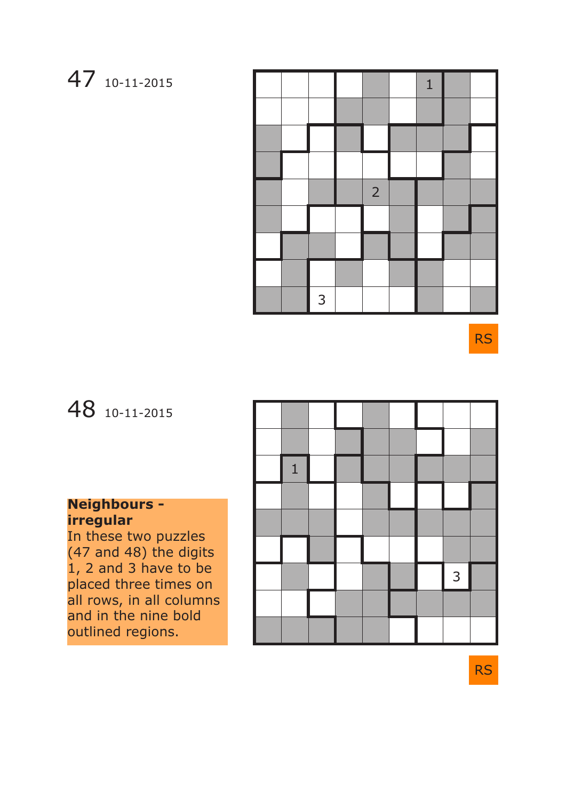### 47 10-11-2015

|  |   |                | $\mathbf{1}$ |  |
|--|---|----------------|--------------|--|
|  |   |                |              |  |
|  |   |                |              |  |
|  |   |                |              |  |
|  |   | $\overline{2}$ |              |  |
|  |   |                |              |  |
|  |   |                |              |  |
|  |   |                |              |  |
|  | 3 |                |              |  |

RS

### 48 10-11-2015

### **Neighbours irregular**

In these two puzzles (47 and 48) the digits 1, 2 and 3 have to be placed three times on all rows, in all columns and in the nine bold outlined regions.

| $\mathbf{1}$ |  |  |   |  |
|--------------|--|--|---|--|
|              |  |  |   |  |
|              |  |  |   |  |
|              |  |  |   |  |
|              |  |  | 3 |  |
|              |  |  |   |  |
|              |  |  |   |  |

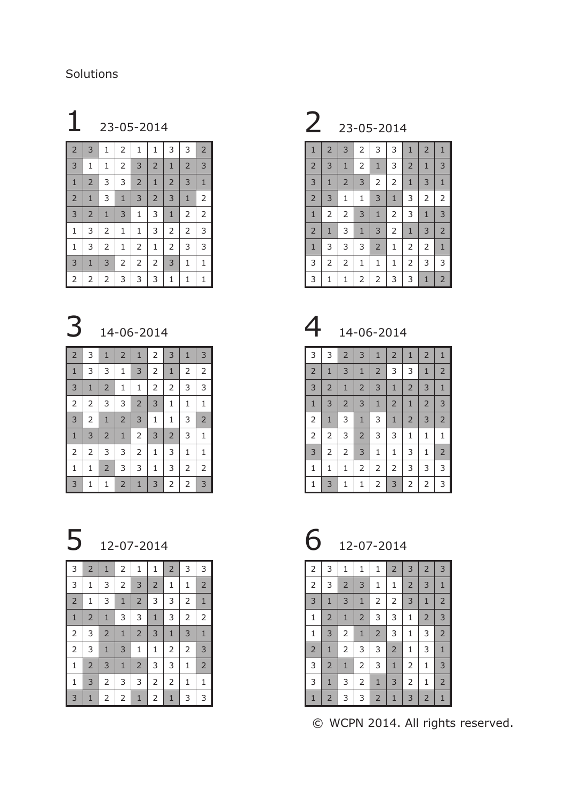### Solutions

### 1 23-05-2014 2 23-05-2014 т

| 2              | 3              | 1              | 2            | 1              | 1              | 3              | 3              | 2              |
|----------------|----------------|----------------|--------------|----------------|----------------|----------------|----------------|----------------|
| 3              | 1              | $\mathbf{1}$   | 2            | 3              | $\overline{2}$ | $\mathbf{1}$   | $\overline{2}$ | 3              |
| $1\,$          | $\overline{2}$ | 3              | 3            | $\overline{2}$ | $\mathbf{1}$   | $\overline{2}$ | 3              | $\mathbf{1}$   |
| $\overline{2}$ | $\mathbf{1}$   | 3              | $\mathbf{1}$ | 3              | $\overline{2}$ | 3              | $\mathbf{1}$   | $\overline{2}$ |
| 3              | $\overline{2}$ | $\mathbf{1}$   | 3            | 1              | 3              | $\mathbf{1}$   | 2              | $\overline{2}$ |
| 1              | 3              | $\mathsf{2}\,$ | $\mathbf{1}$ | 1              | 3              | $\mathsf{2}\,$ | 2              | 3              |
| 1              | 3              | $\overline{2}$ | $\mathbf{1}$ | $\overline{2}$ | 1              | $\overline{2}$ | 3              | 3              |
| 3              | $\mathbf{1}$   | 3              | 2            | $\overline{2}$ | $\overline{2}$ | 3              | 1              | $\mathbf{1}$   |
| 2              | $\overline{2}$ | 2              | 3            | 3              | 3              | 1              | 1              | 1              |

## 14-06-2014

| $\overline{2}$ | 3              | $\mathbf{1}$   | $\overline{2}$ | $\mathbf{1}$   | 2              | 3              | $\mathbf{1}$ | 3              |
|----------------|----------------|----------------|----------------|----------------|----------------|----------------|--------------|----------------|
| $\mathbf{1}$   | 3              | 3              | $\mathbf{1}$   | 3              | 2              | $\mathbf{1}$   | 2            | 2              |
| 3              | $1\,$          | $\overline{2}$ | $\mathbf{1}$   | $1\,$          | $\mathsf{2}\,$ | $\overline{2}$ | 3            | 3              |
| $\overline{2}$ | 2              | 3              | 3              | $\overline{2}$ | 3              | $\mathbf{1}$   | 1            | 1              |
| 3              | 2              | $1\,$          | $\overline{2}$ | $\mathbf{3}$   | $\mathbf{1}$   | $\mathbf{1}$   | 3            | $\overline{2}$ |
| $1\,$          | 3              | $\overline{2}$ | $\mathbf{1}$   | $\overline{2}$ | $\mathsf 3$    | $\overline{2}$ | 3            | 1              |
| $\overline{2}$ | $\overline{2}$ | 3              | 3              | $\overline{2}$ | $\mathbf{1}$   | 3              | 1            | 1              |
| $\mathbf 1$    | $\mathbf 1$    | $\overline{2}$ | 3              | 3              | $\mathbf{1}$   | 3              | 2            | 2              |
| 3              | 1              | 1              | $\overline{2}$ | $\mathbf{1}$   | 3              | 2              | 2            | 3              |

| 3              | $\overline{2}$ | $\mathbf{1}$   | $\overline{2}$ | 1              | 1              | $\overline{2}$ | 3              | 3              |
|----------------|----------------|----------------|----------------|----------------|----------------|----------------|----------------|----------------|
| 3              | 1              | 3              | $\overline{2}$ | 3              | $\overline{2}$ | $\mathbf{1}$   | 1              | $\overline{2}$ |
| $\overline{2}$ | 1              | 3              | $\mathbf{1}$   | $\overline{2}$ | 3              | 3              | $\overline{2}$ | $1\,$          |
| $\mathbf{1}$   | $\overline{2}$ | $1\,$          | 3              | 3              | $\mathbf{1}$   | 3              | $\mathsf{2}\,$ | $\overline{2}$ |
| $\overline{2}$ | 3              | $\overline{2}$ | $\mathbf{1}$   | $\overline{c}$ | 3              | $\mathbf{1}$   | 3              | $1\,$          |
| $\overline{2}$ | 3              | $1\,$          | 3              | 1              | $\mathbf 1$    | $\overline{2}$ | $\overline{2}$ | 3              |
| 1              | $\overline{2}$ | 3              | $\mathbf{1}$   | $\overline{2}$ | 3              | 3              | 1              | $\overline{2}$ |
| 1              | 3              | 2              | 3              | 3              | 2              | $\overline{2}$ | 1              | 1              |
| 3              | 1              | 2              | 2              | $\mathbf{1}$   | 2              | $\mathbf{1}$   | 3              | 3              |

| $\mathbf{1}$   | $\overline{2}$ | 3              | 2     | 3              | 3              | $\mathbf{1}$   | $\overline{2}$ | $\mathbf{1}$   |
|----------------|----------------|----------------|-------|----------------|----------------|----------------|----------------|----------------|
| $\overline{2}$ | 3              | $\mathbf{1}$   | 2     | $\mathbf{1}$   | 3              | $\overline{2}$ | $\mathbf{1}$   | 3              |
| 3              | $\mathbf{1}$   | $\overline{2}$ | 3     | $\overline{2}$ | $\mathsf{2}\,$ | $\mathbf{1}$   | 3              | $\mathbf{1}$   |
| $\overline{2}$ | 3              | $\mathbf{1}$   | 1     | 3              | $\mathbf{1}$   | 3              | $\overline{2}$ | $\overline{2}$ |
| $\mathbf{1}$   | 2              | $\overline{2}$ | 3     | $1\,$          | $\mathsf{2}\,$ | 3              | $\mathbf{1}$   | 3              |
| $\overline{2}$ | $\mathbf{1}$   | 3              | $1\,$ | 3              | $\overline{2}$ | $\mathbf{1}$   | 3              | $\overline{2}$ |
| $\mathbf{1}$   | 3              | 3              | 3     | $\overline{2}$ | $\mathbf{1}$   | 2              | $\overline{2}$ | $\mathbf{1}$   |
| 3              | 2              | $\overline{2}$ | 1     | 1              | $\mathbf{1}$   | 2              | 3              | 3              |
| 3              | 1              | 1              | 2     | 2              | 3              | 3              | $\mathbf{1}$   | $\overline{2}$ |

14-06-2014

| 3              | 3              | $\overline{2}$ | 3              | $\mathbf{1}$   | $\overline{2}$ | $\mathbf{1}$   | $\overline{2}$ | $\mathbf{1}$   |
|----------------|----------------|----------------|----------------|----------------|----------------|----------------|----------------|----------------|
| $\overline{2}$ | $\mathbf{1}$   | 3              | $\mathbf{1}$   | $\overline{2}$ | 3              | 3              | $\mathbf{1}$   | $\overline{2}$ |
| 3              | $\overline{2}$ | $\mathbf{1}$   | $\overline{2}$ | 3              | $\mathbf{1}$   | $\overline{2}$ | 3              | $\mathbf{1}$   |
| $\mathbf{1}$   | 3              | $\overline{2}$ | 3              | $\mathbf{1}$   | $\overline{2}$ | $\mathbf{1}$   | $\overline{2}$ | 3              |
| 2              | $\mathbf{1}$   | 3              | $\mathbf{1}$   | 3              | $\mathbf{1}$   | $\overline{2}$ | 3              | $\overline{2}$ |
| 2              | $\overline{c}$ | 3              | $\overline{2}$ | 3              | 3              | 1              | $\mathbf{1}$   | 1              |
| 3              | $\overline{c}$ | $\overline{2}$ | 3              | 1              | $\mathbf{1}$   | 3              | $\mathbf{1}$   | $\overline{2}$ |
| 1              | 1              | 1              | $\overline{2}$ | $\overline{2}$ | 2              | 3              | 3              | 3              |
| 1              | 3              | 1              | 1              | 2              | 3              | 2              | $\overline{2}$ | 3              |

12-07-2014 6 12-07-2014

| $\overline{2}$ | 3              | $\mathbf{1}$   | 1              | 1              | $\overline{2}$ | 3              | $\overline{2}$ | 3              |
|----------------|----------------|----------------|----------------|----------------|----------------|----------------|----------------|----------------|
| $\overline{2}$ | 3              | $\overline{2}$ | 3              | 1              | $\mathbf{1}$   | $\overline{2}$ | 3              | $\mathbf{1}$   |
| 3              | $\mathbf{1}$   | 3              | $\mathbf{1}$   | $\overline{2}$ | $\overline{2}$ | 3              | $\mathbf{1}$   | $\overline{2}$ |
| $\mathbf 1$    | $\overline{2}$ | $\mathbf{1}$   | $\overline{2}$ | 3              | 3              | 1              | $\overline{2}$ | $\mathsf 3$    |
| $\mathbf 1$    | 3              | $\overline{2}$ | $1\,$          | $\overline{2}$ | 3              | 1              | 3              | $\overline{2}$ |
| $\overline{2}$ | $1\,$          | $\overline{2}$ | 3              | 3              | $\overline{2}$ | 1              | 3              | $\mathbf{1}$   |
| 3              | $\overline{2}$ | $\mathbf{1}$   | $\overline{2}$ | 3              | $\mathbf{1}$   | 2              | 1              | 3              |
| 3              | $\mathbf{1}$   | 3              | $\overline{2}$ | $\mathbf{1}$   | 3              | 2              | $\mathbf{1}$   | $\overline{2}$ |
| $\mathbf{1}$   | $\overline{2}$ | 3              | 3              | $\overline{2}$ | $\mathbf{1}$   | 3              | $\overline{2}$ | $\mathbf{1}$   |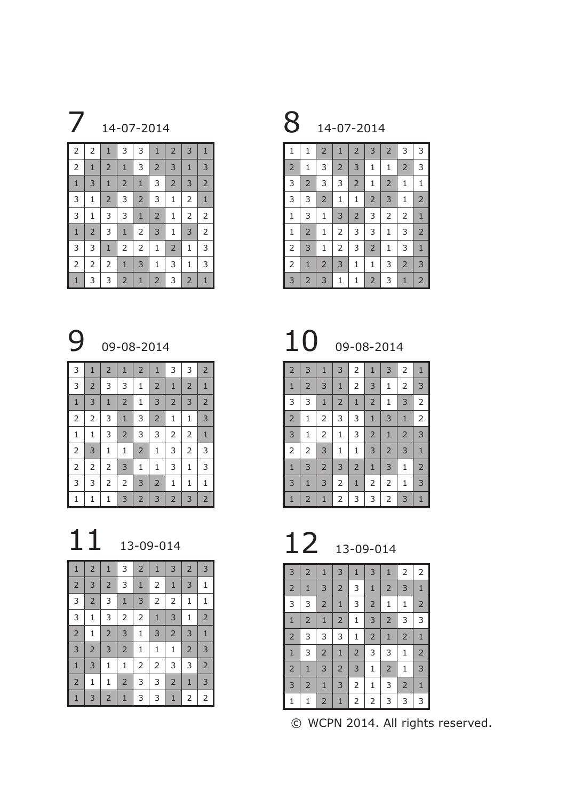

| $\overline{2}$ | $\overline{2}$ | $\mathbf{1}$   | 3              | 3              | $\mathbf{1}$   | $\overline{2}$ | 3              | $\mathbf{1}$   |
|----------------|----------------|----------------|----------------|----------------|----------------|----------------|----------------|----------------|
| $\overline{2}$ | $\mathbf{1}$   | $\overline{2}$ | $\mathbf{1}$   | 3              | $\overline{2}$ | 3              | $\mathbf{1}$   | $\mathsf 3$    |
| $\mathbf{1}$   | 3              | $\mathbf{1}$   | $\overline{2}$ | $\mathbf{1}$   | 3              | $\overline{2}$ | 3              | $\overline{2}$ |
| 3              | 1              | $\overline{2}$ | 3              | $\overline{2}$ | 3              | $\mathbf{1}$   | 2              | $\mathbf{1}$   |
| 3              | $\mathbf 1$    | 3              | 3              | $\mathbf{1}$   | $\overline{2}$ | $\mathbf{1}$   | 2              | $\overline{2}$ |
| $\mathbf{1}$   | $\overline{2}$ | 3              | $\mathbf{1}$   | 2              | 3              | $\mathbf{1}$   | 3              | $\overline{2}$ |
| 3              | 3              | $1\,$          | $\mathsf{2}\,$ | 2              | 1              | $\overline{2}$ | $\mathbf 1$    | 3              |
| $\mathsf{2}\,$ | $\mathsf{2}\,$ | $\mathsf{2}\,$ | $\mathbf{1}$   | 3              | 1              | 3              | 1              | 3              |
| $\mathbf{1}$   | 3              | 3              | $\overline{2}$ | $\mathbf{1}$   | $\overline{2}$ | 3              | $\overline{2}$ | $\mathbf{1}$   |

14-07-2014

| $\mathbf{1}$   | 1              | $\overline{2}$ | $\mathbf{1}$   | $\overline{2}$ | 3              | $\overline{2}$ | 3              | 3              |
|----------------|----------------|----------------|----------------|----------------|----------------|----------------|----------------|----------------|
| $\overline{2}$ | $\mathbf{1}$   | 3              | $\overline{2}$ | 3              | $\mathbf{1}$   | $\mathbf{1}$   | $\overline{2}$ | 3              |
| 3              | $\overline{2}$ | 3              | 3              | $\overline{2}$ | $\mathbf 1$    | $\mathsf{2}$   | $\mathbf 1$    | $\mathbf 1$    |
| 3              | 3              | $\overline{2}$ | $\mathbf{1}$   | 1              | $\overline{2}$ | 3              | $\mathbf{1}$   | $\overline{2}$ |
| $\mathbf 1$    | 3              | 1              | 3              | $\overline{2}$ | 3              | $\overline{2}$ | $\overline{2}$ | $1\,$          |
| $\mathbf 1$    | $\overline{2}$ | 1              | $\overline{2}$ | 3              | 3              | $\mathbf{1}$   | 3              | $\overline{2}$ |
| $\mathbf 2$    | 3              | $\mathbf{1}$   | $\overline{2}$ | 3              | $\overline{2}$ | $\mathbf{1}$   | 3              | $\mathbf{1}$   |
| $\overline{2}$ | $\mathbf{1}$   | $\overline{2}$ | 3              | 1              | $\mathbf{1}$   | 3              | $\overline{2}$ | 3              |
| 3              | 2              | 3              | 1              | 1              | $\overline{2}$ | 3              | $\mathbf{1}$   | $\overline{2}$ |

9 09-08-2014 10 09-08-2014

| $\overline{2}$ | 3              | $\mathbf{1}$   | 3              | 2              | $\mathbf{1}$   | 3              | 2              | $\mathbf{1}$   |
|----------------|----------------|----------------|----------------|----------------|----------------|----------------|----------------|----------------|
| $\mathbf{1}$   | $\overline{2}$ | 3              | $\mathbf{1}$   | $\overline{2}$ | 3              | $\mathbf 1$    | $\overline{2}$ | 3              |
| 3              | 3              | $\mathbf{1}$   | $\overline{2}$ | $\mathbf{1}$   | $\overline{2}$ | $\mathbf 1$    | 3              | $\overline{c}$ |
| $\overline{2}$ | 1              | $\overline{2}$ | 3              | 3              | $1\,$          | 3              | $\mathbf{1}$   | $\overline{2}$ |
| 3              | 1              | 2              | $\mathbf 1$    | 3              | $\overline{2}$ | $\mathbf 1$    | $\overline{2}$ | $\overline{3}$ |
| $\mathsf{2}\,$ | $\overline{2}$ | 3              | 1              | $\mathbf 1$    | 3              | $\overline{2}$ | 3              | $1\,$          |
| $\mathbf{1}$   | 3              | $\overline{2}$ | 3              | $\overline{2}$ | $\mathbf{1}$   | 3              | 1              | $\overline{2}$ |
| 3              | $\mathbf{1}$   | 3              | 2              | $\mathbf{1}$   | $\mathsf{2}\,$ |                | $\mathbf{1}$   | 3              |
| $\mathbf{1}$   | $\overline{2}$ | $\mathbf{1}$   | $\overline{2}$ | 3              | 3              | 2              | 3              | $\mathbf{1}$   |

| 3              | $\overline{2}$ | $\mathbf{1}$   | 3              | $\mathbf{1}$   | 3              | $\mathbf{1}$   | $\overline{2}$ | $\mathsf{2}\,$ |
|----------------|----------------|----------------|----------------|----------------|----------------|----------------|----------------|----------------|
| $\overline{2}$ | $\mathbf{1}$   | 3              | $\overline{2}$ | 3              | $1\,$          | $\overline{2}$ | 3              | $1\,$          |
| 3              | 3              | $\overline{2}$ | $\mathbf{1}$   | 3              | $\overline{2}$ | 1              | 1              | $\overline{2}$ |
| $\mathbf{1}$   | $\overline{2}$ | $1\,$          | $\overline{2}$ | $\mathbf 1$    | 3              | $\overline{2}$ | 3              | 3              |
| $\overline{2}$ | 3              | 3              | 3              | 1              | $\overline{2}$ | $\mathbf{1}$   | $\overline{2}$ | $\mathbf{1}$   |
| $\mathbf{1}$   | 3              | $\overline{2}$ | $\mathbf{1}$   | $\overline{2}$ | 3              | 3              | 1              | $\overline{2}$ |
| $\overline{2}$ | $\mathbf{1}$   | 3              | $\overline{2}$ | 3              | $\mathbf{1}$   | $\overline{2}$ | 1              | 3              |
| $\mathsf 3$    | $\overline{2}$ | $\mathbf{1}$   | 3              | 2              | 1              | 3              | $\overline{2}$ | $\mathbf{1}$   |
| 1              | 1              | $\overline{2}$ | $\mathbf{1}$   | 2              | 2              | 3              | 3              | 3              |

© WCPN 2014. All rights reserved.

| 3              | $\mathbf{1}$   | $\overline{2}$ | $\mathbf{1}$   | $\overline{2}$ | $\mathbf{1}$   | 3              | 3              | $\overline{2}$ |
|----------------|----------------|----------------|----------------|----------------|----------------|----------------|----------------|----------------|
| 3              | $\overline{2}$ | 3              | 3              | 1              | $\overline{2}$ | $\mathbf{1}$   | $\overline{2}$ | $\mathbf{1}$   |
| $\mathbf{1}$   | 3              | $\mathbf{1}$   | $\overline{2}$ | 1              | 3              | $\overline{2}$ | 3              | $\overline{2}$ |
| $\overline{2}$ | $\overline{2}$ | 3              | $\mathbf 1$    | 3              | $\overline{2}$ | 1              | 1              | 3              |
| $\mathbf{1}$   | 1              | 3              | $\overline{2}$ | 3              | 3              | 2              | $\overline{2}$ | $\mathbf{1}$   |
|                | 3              | 1              | $\mathbf{1}$   | $\overline{2}$ | 1              | 3              | $\overline{2}$ | 3              |
| $\overline{2}$ | $\overline{2}$ | $\overline{2}$ | 3              | 1              | $\mathbf 1$    | 3              | 1              | 3              |
| 3              | 3              | 2              | $\overline{2}$ | 3              | $\overline{2}$ | $\mathbf{1}$   | 1              | 1              |
| 1              | 1              | 1              | 3              | $\overline{2}$ | 3              | $\overline{2}$ | 3              | $\overline{2}$ |

# 11 13-09-014 12 13-09-014

| $\mathbf{1}$   | $\overline{2}$ | $\mathbf{1}$   | 3              | $\overline{2}$ | $\mathbf{1}$   | 3              | $\overline{2}$ | 3              |
|----------------|----------------|----------------|----------------|----------------|----------------|----------------|----------------|----------------|
| $\overline{2}$ | 3              | $\overline{2}$ | 3              | $\mathbf{1}$   | 2              | $\mathbf{1}$   | 3              | $\mathbf 1$    |
| 3              | $\overline{2}$ | 3              | $\mathbf 1$    | 3              | $\overline{2}$ | $\overline{2}$ | $\mathbf{1}$   | $\mathbf 1$    |
| 3              | 1              | 3              | $\overline{2}$ | $\overline{2}$ | $\mathbf{1}$   | 3              | $\mathbf{1}$   | $\overline{2}$ |
| $\overline{2}$ | 1              | $\overline{2}$ | 3              | 1              | 3              | $\overline{2}$ | 3              | $1\,$          |
| 3              | $\overline{2}$ | 3              | $\overline{2}$ | $\mathbf 1$    | 1              | 1              | $\overline{2}$ | 3              |
| $\mathbf{1}$   | 3              | 1              | $\mathbf 1$    | $\overline{2}$ | 2              | 3              | 3              | $\overline{2}$ |
| $\overline{2}$ | 1              | 1              | $\overline{2}$ | 3              | 3              | $\overline{2}$ | $\mathbf{1}$   | $\mathsf 3$    |
| $\mathbf{1}$   | 3              | $\overline{2}$ | $\mathbf{1}$   | 3              | 3              | $\mathbf{1}$   | 2              | 2              |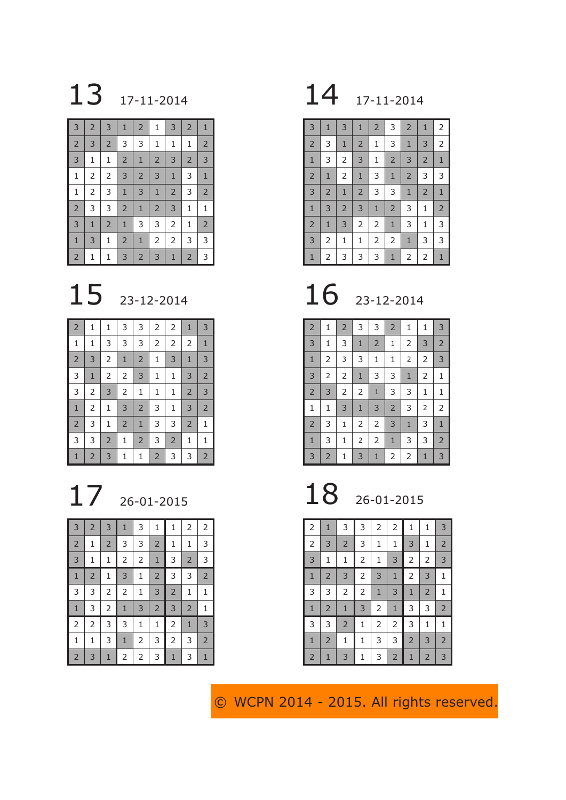# 13 17-11-2014 17-11-2014

| 3              | $\overline{2}$ | 3              | $\mathbf{1}$   | $\overline{2}$ | 1              | 3              | $\overline{2}$ | $\mathbf{1}$   |
|----------------|----------------|----------------|----------------|----------------|----------------|----------------|----------------|----------------|
| $\overline{2}$ | 3              | $\overline{2}$ | 3              | 3              | 1              | $\mathbf{1}$   | 1              | $\overline{2}$ |
| 3              | $\mathbf 1$    | 1              | $\overline{2}$ | $\mathbf{1}$   | $\overline{2}$ | 3              | $\overline{2}$ | 3              |
| $\mathbf{1}$   | $\overline{2}$ | 2              | 3              | $\overline{2}$ | 3              | $\mathbf{1}$   | 3              | $1\,$          |
| $\mathbf 1$    | $\overline{2}$ | 3              | $\mathbf{1}$   | 3              | $1\,$          | $\overline{2}$ | 3              | $\overline{2}$ |
| $\overline{2}$ | 3              | 3              | $\overline{2}$ | $\mathbf{1}$   | $\overline{2}$ | 3              | $\mathbf{1}$   | $1\,$          |
| 3              | $\mathbf{1}$   | $\overline{2}$ | $\mathbf{1}$   | 3              | 3              | 2              | 1              | $\overline{2}$ |
| $\mathbf 1$    | 3              | $\mathbf{1}$   | $\overline{2}$ | $\mathbf{1}$   | 2              | $\overline{2}$ | 3              | 3              |
| $\overline{2}$ | 1              | 1              | 3              | $\overline{2}$ | 3              | $\mathbf{1}$   | $\overline{2}$ | 3              |

# 23-12-2014

| $\overline{2}$ | 1              | 1              | 3              | 3              | 2              | $\overline{2}$ | $\mathbf{1}$   | 3              |
|----------------|----------------|----------------|----------------|----------------|----------------|----------------|----------------|----------------|
| $\mathbf{1}$   | 1              | 3              | 3              | 3              | 2              | $\mathsf{2}\,$ | $\overline{2}$ | $\mathbf{1}$   |
| $\overline{2}$ | 3              | $\overline{2}$ | $\mathbf{1}$   | $\overline{2}$ | 1              | 3              | $\mathbf{1}$   | 3              |
| 3              | $1\,$          | $\overline{2}$ | $\overline{2}$ | $\mathsf 3$    | 1              | 1              | 3              | $\overline{2}$ |
| 3              | $\overline{2}$ | $\overline{3}$ | $\overline{2}$ | $\mathbf 1$    | 1              | $\mathbf{1}$   | $\overline{2}$ | 3              |
| $\mathbf{1}$   | $\overline{2}$ | 1              | 3              | $\overline{2}$ | 3              | $\mathbf{1}$   | 3              | $\overline{2}$ |
| $\overline{2}$ | 3              | 1              | $\overline{2}$ | $\mathbf{1}$   | 3              | 3              | $\overline{2}$ | $\mathbf{1}$   |
| 3              | 3              | $\overline{2}$ | 1              | $\overline{2}$ | 3              | $\overline{2}$ | 1              | 1              |
| 1              | $\overline{2}$ | 3              | 1              | 1              | $\overline{2}$ | 3              | 3              | $\overline{2}$ |

| 3              | $\overline{2}$ | 3              | $\mathbf{1}$   | 3              | 1              | $\mathbf{1}$   | 2              | 2              |
|----------------|----------------|----------------|----------------|----------------|----------------|----------------|----------------|----------------|
| $\overline{2}$ | 1              | $\overline{2}$ | 3              | 3              | $\overline{2}$ | 1              | 1              | 3              |
| 3              | $\mathbf 1$    | $\mathbf{1}$   | 2              | $\overline{c}$ | $\mathbf{1}$   | 3              | $\overline{2}$ | 3              |
| $\mathbf{1}$   | $\overline{2}$ | $\mathbf{1}$   | 3              | $\mathbf{1}$   | $\overline{c}$ | 3              | 3              | $\overline{2}$ |
| 3              | 3              | $\overline{2}$ | $\overline{2}$ | 1              | 3              | $\overline{2}$ | 1              | 1              |
| $\mathbf{1}$   | 3              | $\overline{c}$ | $\mathbf{1}$   | 3              | $\overline{c}$ | 3              | $\overline{2}$ | $\mathbf 1$    |
| $\overline{2}$ | 2              | 3              | 3              | $\mathbf 1$    | $\mathbf 1$    | $\overline{2}$ | $\mathbf{1}$   | 3              |
| $\mathbf{1}$   | 1              | 3              | $\mathbf{1}$   | 2              | 3              | $\overline{2}$ | 3              | $\overline{2}$ |
| $\overline{c}$ | 3              | $\mathbf{1}$   | 2              | $\overline{c}$ | 3              | $\mathbf{1}$   | 3              | $\mathbf{1}$   |

| 3              | $\mathbf{1}$   | 3              | $\mathbf{1}$   | $\overline{2}$ | 3              | $\overline{2}$ | $\mathbf{1}$   | 2              |
|----------------|----------------|----------------|----------------|----------------|----------------|----------------|----------------|----------------|
| $\overline{2}$ | 3              | $\mathbf{1}$   | $\overline{2}$ | $\mathbf{1}$   | 3              | $\mathbf{1}$   | 3              | $\overline{2}$ |
| $1\,$          | 3              | 2              | 3              | $\mathbf{1}$   | $\overline{2}$ | 3              | $\overline{2}$ | $\mathbf{1}$   |
| $\overline{2}$ | $\mathbf 1$    | $\overline{2}$ | $1\,$          | 3              | $\mathbf{1}$   | $\overline{2}$ | 3              | 3              |
| 3              | $\overline{2}$ | $\mathbf{1}$   | $\overline{2}$ | 3              | 3              | $1\,$          | $\overline{2}$ | $1\,$          |
| $1\,$          | 3              | $\overline{2}$ | 3              | $\mathbf 1$    | $\overline{2}$ | 3              | $\mathbf 1$    | $\overline{2}$ |
| $\overline{2}$ | $\mathbf{1}$   | 3              | 2              | $\overline{2}$ | $1\,$          | 3              | $\mathbf 1$    | 3              |
| 3              | $\overline{2}$ | $\mathbf 1$    | $\mathbf 1$    | $\overline{2}$ | $\overline{2}$ | $1\,$          | 3              | 3              |
| $\mathbf{1}$   | $\overline{2}$ | 3              | 3              | 3              | $\mathbf{1}$   | 2              | $\overline{2}$ | $\mathbf{1}$   |

23-12-2014

| $\overline{2}$ | $\mathbf 1$    | $\overline{2}$          | 3              | 3              | $\overline{2}$ | 1              | 1                       | 3              |
|----------------|----------------|-------------------------|----------------|----------------|----------------|----------------|-------------------------|----------------|
| 3              | $\mathbf 1$    | 3                       | $\mathbf{1}$   | $\overline{2}$ | $\mathbf 1$    | $\overline{c}$ | 3                       | $\overline{c}$ |
| $\mathbf{1}$   | 2              | 3                       | 3              | $\mathbf 1$    | 1              | $\overline{2}$ | $\overline{c}$          | 3              |
| 3              | $\overline{2}$ | $\overline{\mathbf{c}}$ | $\mathbf{1}$   | 3              | 3              | $\mathbf{1}$   | $\overline{c}$          | 1              |
| $\overline{2}$ | 3              | 2                       | $\overline{2}$ | $\mathbf{1}$   | 3              | 3              | 1                       | 1              |
| 1              | $\mathbf 1$    | 3                       | $\mathbf{1}$   | 3              | $\overline{2}$ | 3              | $\overline{\mathbf{c}}$ | 2              |
| $\overline{2}$ | 3              | $\mathbf 1$             | 2              | $\overline{2}$ | 3              | $\mathbf{1}$   | 3                       | $\mathbf{1}$   |
| $\mathbf{1}$   | 3              | 1                       | $\overline{2}$ | $\overline{2}$ | $\mathbf{1}$   | 3              | 3                       | $\overline{2}$ |
| 3              | $\overline{2}$ | 1                       | 3              | $\mathbf{1}$   | $\overline{2}$ | 2              | $\mathbf{1}$            | 3              |

17 26-01-2015 18 26-01-2015

| $\overline{2}$ | $\mathbf{1}$   | 3              | 3              | 2            | $\overline{c}$ | $\mathbf 1$    | 1              | 3              |
|----------------|----------------|----------------|----------------|--------------|----------------|----------------|----------------|----------------|
| $\overline{2}$ | 3              | $\overline{2}$ | 3              | 1            | 1              | 3              | 1              | $\overline{2}$ |
| 3              | 1              | 1              | 2              | 1            | 3              | $\overline{2}$ | $\overline{2}$ | 3              |
| $\mathbf{1}$   | $\overline{2}$ | 3              | $\overline{2}$ | 3            | $\mathbf{1}$   | $\overline{2}$ | 3              | 1              |
| 3              | 3              | $\overline{2}$ | $\overline{2}$ | $\mathbf{1}$ | 3              | $\mathbf{1}$   | $\overline{2}$ | 1              |
| $\mathbf{1}$   | $\overline{2}$ | $\mathbf{1}$   | 3              | 2            | $\mathbf{1}$   | 3              | 3              | $\overline{c}$ |
| 3              | 3              | $\overline{2}$ | 1              | 2            | $\overline{c}$ | 3              | 1              | 1              |
| $\mathbf{1}$   | $\overline{c}$ | 1              | 1              | 3            | 3              | $\overline{2}$ | 3              | $\overline{2}$ |
| $\overline{c}$ | $\mathbf{1}$   | 3              | 1              | 3            | $\overline{c}$ | $\mathbf{1}$   | $\overline{2}$ | 3              |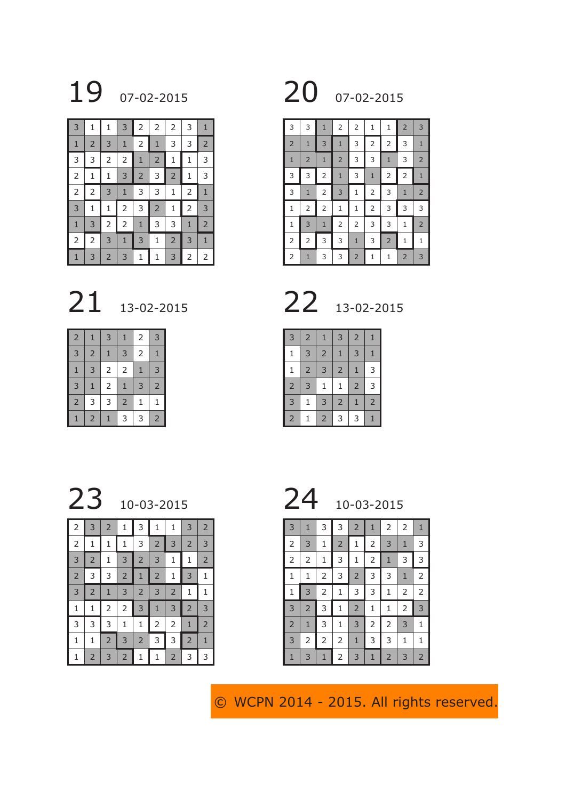

| 3              | 1              | 1              | 3              | 2              | 2              | 2              | 3              | $\mathbf{1}$   |
|----------------|----------------|----------------|----------------|----------------|----------------|----------------|----------------|----------------|
| $\mathbf{1}$   | $\overline{2}$ | 3              | $\mathbf{1}$   | $\overline{c}$ | $\mathbf{1}$   | 3              | 3              | $\overline{2}$ |
| 3              | 3              | $\overline{2}$ | $\overline{c}$ | $\mathbf{1}$   | $\overline{2}$ | 1              | $\mathbf{1}$   | 3              |
| $\overline{2}$ | 1              | 1              | 3              | $\overline{2}$ | 3              | $\overline{2}$ | 1              | 3              |
| $\overline{c}$ | 2              | 3              | $\mathbf{1}$   | 3              | 3              | 1              | $\overline{2}$ | $1\,$          |
| 3              | 1              | 1              | 2              | 3              | $\overline{2}$ | 1              | $\overline{2}$ | 3              |
| $\mathbf{1}$   | 3              | $\overline{2}$ | 2              | $\mathbf{1}$   | 3              | 3              | $\mathbf{1}$   | $\overline{2}$ |
| 2              | 2              | 3              | $\mathbf{1}$   | 3              | 1              | $\overline{2}$ | 3              | $\mathbf{1}$   |
| 1              | 3              | $\overline{2}$ | 3              | 1              | 1              | 3              | $\overline{2}$ | 2              |

13-02-2015 22 13-02-2015

| $\overline{2}$ | $\mathbf{1}$   | 3              | 1              | 2              | 3              |
|----------------|----------------|----------------|----------------|----------------|----------------|
| 3              | $\overline{2}$ | $\overline{1}$ | 3              | $\overline{2}$ | 1              |
| $\mathbf{1}$   | 3              | 2              | 2              | $\overline{1}$ | 3              |
| 3              | $\mathbf{1}$   | 2              | $\overline{1}$ | 3              | $\overline{2}$ |
| $\overline{2}$ | 3              | 3              | $\overline{2}$ | 1              | 1              |
|                | $\overline{2}$ |                | 3              | 3              | $\overline{c}$ |

19 07-02-2015 20 07-02-2015

| 3              | 3              | $\mathbf{1}$   | 2              | 2              | 1              | 1              | $\overline{2}$ | 3              |
|----------------|----------------|----------------|----------------|----------------|----------------|----------------|----------------|----------------|
| $\overline{2}$ | $\mathbf{1}$   | 3              | $\mathbf{1}$   | 3              | $\overline{2}$ | 2              | 3              | $\mathbf{1}$   |
| $\mathbf{1}$   | $\overline{2}$ | $\mathbf{1}$   | $\overline{2}$ | 3              | 3              | $\mathbf{1}$   | 3              | $\overline{2}$ |
| 3              | 3              | $\overline{2}$ | $\mathbf{1}$   | 3              | $\mathbf{1}$   | $\overline{2}$ | $\overline{2}$ | $\mathbf{1}$   |
| 3              | $\mathbf{1}$   | $\overline{2}$ | 3              | $\mathbf{1}$   | $\overline{2}$ | 3              | $\mathbf{1}$   | $\overline{2}$ |
| $\mathbf{1}$   | $\overline{2}$ | $\overline{2}$ | 1              | 1              | $\overline{2}$ | 3              | 3              | 3              |
| 1              | 3              | $\mathbf{1}$   | $\overline{2}$ | 2              | 3              | 3              | 1              | $\overline{2}$ |
| $\overline{2}$ | $\overline{2}$ | 3              | 3              | $\mathbf{1}$   | 3              | $\overline{2}$ | 1              | 1              |
| $\overline{2}$ | $\mathbf{1}$   | 3              | 3              | $\overline{2}$ | $\mathbf 1$    | 1              | $\overline{2}$ | 3              |

| 3              | $\overline{2}$ | 1              | 3              | $\overline{2}$ | 1              |
|----------------|----------------|----------------|----------------|----------------|----------------|
| 1              | 3              | $\overline{c}$ | $\overline{1}$ | 3              | $\mathbf{1}$   |
| 1              | $\overline{2}$ | 3              | $\overline{c}$ | $\mathbf{1}$   | 3              |
| $\overline{2}$ | 3              | $\mathbf 1$    | $\mathbf 1$    | $\overline{c}$ | 3              |
| 3              | 1              | 3              | $\overline{2}$ | $\mathbf{1}$   | $\overline{c}$ |
| $\overline{2}$ |                | $\overline{2}$ | 3              | 3              | $\mathbf{1}$   |

 10-03-2015 24 10-03-2015 3  $2$  1 3 1 1 3 2 2 1 1 1 3 2 3 2 3 3 2 1 3 2 3 1 1 2 3 3 2 1 2 1 3 1 3 | 2 | 1 | 3 | 2 | 3 | 2 | 1 | 1  $1 \mid 1 \mid 2 \mid 2 \mid 3 \mid 1 \mid 3 \mid 2 \mid 3$ 3 3 3 1 1 2 2 1 2  $1 \mid 1 \mid 2 \mid 3 \mid 2 \mid 3 \mid 3 \mid 2 \mid 1$ 

1 2 3 2 1 1 2 3 3

| 3              | $\mathbf{1}$   | 3              | 3              | 2              | 1              | 2              | 2              | $\mathbf{1}$   |
|----------------|----------------|----------------|----------------|----------------|----------------|----------------|----------------|----------------|
| $\overline{2}$ | 3              | 1              | $\overline{2}$ | 1              | 2              | 3              | $\mathbf{1}$   | 3              |
| $\overline{2}$ | $\overline{2}$ | 1              | 3              | 1              | $\overline{2}$ | $\mathbf{1}$   | 3              | 3              |
| 1              | 1              | 2              | 3              | $\overline{2}$ | 3              | 3              | $\mathbf{1}$   | 2              |
| 1              | 3              | $\overline{c}$ | 1              | 3              | 3              | $\mathbf{1}$   | 2              | $\overline{2}$ |
| 3              | $\overline{c}$ | 3              | 1              | $\overline{c}$ | 1              | 1              | $\overline{c}$ | 3              |
| $\overline{2}$ | $\mathbf{1}$   | 3              | 1              | 3              | 2              | $\overline{2}$ | 3              | 1              |
| 3              | $\mathsf{2}\,$ | $\overline{2}$ | 2              | $\mathbf{1}$   | 3              | 3              | 1              | 1              |
| 1              | 3              | 1              | 2              | 3              | $\mathbf{1}$   | $\overline{2}$ | 3              | $\overline{2}$ |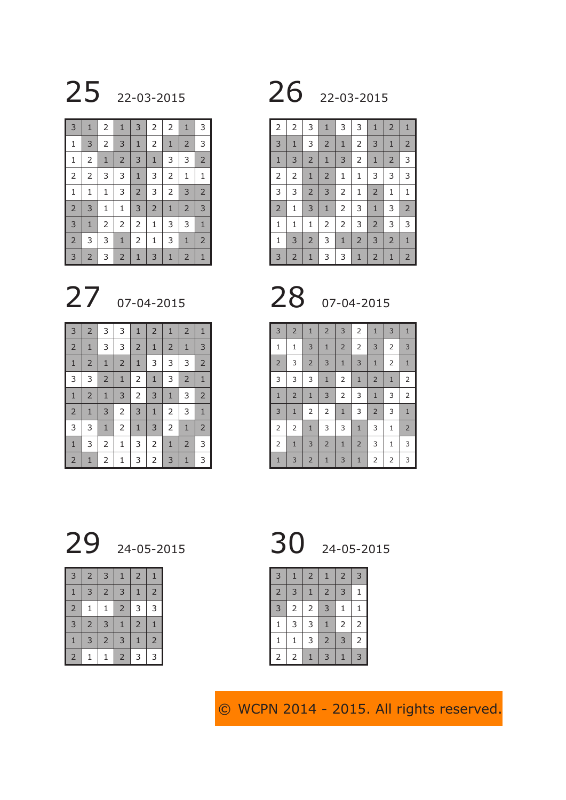### 22-03-2015

| 3              | $\mathbf{1}$   | 2              | $\mathbf{1}$   | 3              | $\overline{2}$ | $\overline{2}$ | $\mathbf{1}$   | 3              |
|----------------|----------------|----------------|----------------|----------------|----------------|----------------|----------------|----------------|
| $\mathbf 1$    | 3              | $\overline{2}$ | 3              | $\mathbf{1}$   | $\overline{2}$ | $\mathbf{1}$   | $\overline{2}$ | 3              |
| $\mathbf{1}$   | $\overline{2}$ | $1\,$          | $\overline{2}$ | 3              | $\mathbf 1$    | 3              | 3              | $\overline{2}$ |
| $\overline{2}$ | $\mathsf{2}\,$ | 3              | 3              | $1\,$          | 3              | $\overline{2}$ | $\mathbf 1$    | 1              |
| $\mathbf 1$    | $\mathbf 1$    | $\mathbf 1$    | 3              | $\overline{2}$ | 3              | $\mathsf{2}\,$ | 3              | $\overline{2}$ |
| $\overline{2}$ | 3              | $\mathbf 1$    | $\mathbf 1$    | 3              | $\overline{2}$ | $\mathbf{1}$   | $\overline{2}$ | 3              |
| 3              | $\mathbf{1}$   | 2              | 2              | 2              | $\mathbf{1}$   | 3              | 3              | $\mathbf{1}$   |
| $\overline{2}$ | 3              | 3              | $\mathbf{1}$   | $\overline{2}$ | $\mathbf{1}$   | 3              | $\mathbf{1}$   | $\overline{2}$ |
| 3              | $\overline{2}$ | 3              | $\overline{2}$ | $\mathbf{1}$   | 3              | $\mathbf{1}$   | $\overline{2}$ | $\mathbf{1}$   |

# 27 07-04-2015 28 07-04-2015

| $\overline{3}$ | $\overline{2}$ | 3              | 3              | $\mathbf{1}$   | $\overline{2}$ | $\mathbf{1}$   | $\overline{2}$ | $\mathbf{1}$   |
|----------------|----------------|----------------|----------------|----------------|----------------|----------------|----------------|----------------|
| $\overline{2}$ | $1\,$          | 3              | 3              | $\overline{2}$ | $\mathbf{1}$   | $\overline{2}$ | $\mathbf{1}$   | 3              |
| $\mathbf{1}$   | $\overline{2}$ | $\mathbf 1$    | $\overline{2}$ | $\mathbf{1}$   | 3              | 3              | 3              | $\overline{2}$ |
| 3              | 3              | $\overline{2}$ | $\mathbf{1}$   | $\overline{2}$ | $\mathbf{1}$   | 3              | $\overline{2}$ | $\mathbf{1}$   |
| $\mathbf{1}$   | $\overline{2}$ | $\mathbf 1$    | 3              | $\mathsf{2}\,$ | 3              | $1\,$          | 3              | $\overline{2}$ |
| $\overline{2}$ | $1\,$          | 3              | $\overline{2}$ | $\mathsf 3$    | $\mathbf{1}$   | $\overline{2}$ | 3              | $1\,$          |
| 3              | 3              | $\mathbf{1}$   | $\overline{2}$ | $\mathbf{1}$   | 3              | $\overline{2}$ | $\mathbf{1}$   | $\overline{2}$ |
| $1\,$          | 3              | 2              | 1              | 3              | 2              | $\mathbf{1}$   | $\overline{2}$ | 3              |
| $\overline{2}$ | $\mathbf{1}$   | $\overline{2}$ | 1              | 3              | 2              | 3              | $\mathbf{1}$   | 3              |

## 22-03-2015

| $\overline{2}$ | $\overline{2}$ | 3              | $\mathbf{1}$   | 3              | 3              | $\mathbf{1}$   | $\overline{2}$ | $\mathbf{1}$   |
|----------------|----------------|----------------|----------------|----------------|----------------|----------------|----------------|----------------|
| 3              | $\mathbf{1}$   | 3              | $\overline{2}$ | $1\,$          | $\overline{2}$ | 3              | $\mathbf{1}$   | $\overline{2}$ |
| $\mathbf{1}$   | 3              | $\overline{2}$ | $\mathbf{1}$   | 3              | $\overline{2}$ | $\mathbf{1}$   | $\overline{2}$ | 3              |
| $\overline{2}$ | $\overline{2}$ | $\mathbf{1}$   | $\overline{2}$ | $\mathbf 1$    | $\mathbf{1}$   | 3              | 3              | 3              |
| 3              | 3              | $\overline{2}$ | 3              | $\overline{2}$ | $\mathbf{1}$   | $\overline{2}$ | 1              | $\mathbf 1$    |
| $\overline{2}$ | $\mathbf 1$    | 3              | $\mathbf 1$    | $\overline{2}$ | 3              | $\mathbf{1}$   | 3              | $\overline{2}$ |
| $\mathbf 1$    | $\mathbf 1$    | 1              | $\overline{2}$ | $\overline{2}$ | 3              | $\overline{2}$ | 3              | 3              |
| $\mathbf{1}$   | 3              | $\overline{2}$ | 3              | $1\,$          | $\overline{2}$ | 3              | $\overline{2}$ | $\mathbf 1$    |
| $\overline{3}$ | $\overline{2}$ | $\mathbf{1}$   | 3              | 3              | $\mathbf{1}$   | $\overline{2}$ | $\mathbf{1}$   | $\overline{2}$ |

| 3              | $\overline{2}$ | $\mathbf{1}$   | $\overline{2}$ | 3              | $\overline{2}$ | $1\,$          | 3              | $\mathbf{1}$   |
|----------------|----------------|----------------|----------------|----------------|----------------|----------------|----------------|----------------|
| $\mathbf 1$    | $\mathbf{1}$   | 3              | $\mathbf{1}$   | $\overline{2}$ | $\overline{2}$ | 3              | $\overline{2}$ | 3              |
| $\overline{2}$ | 3              | $\overline{2}$ | 3              | $\mathbf 1$    | 3              | $\mathbf{1}$   | $\overline{2}$ | $1\,$          |
| 3              | 3              | 3              | $\mathbf{1}$   | $\overline{2}$ | $\mathbf{1}$   | $\overline{2}$ | $\mathbf{1}$   | $\overline{2}$ |
| $\mathbf{1}$   | $\overline{2}$ | $\mathbf{1}$   | 3              | $\overline{2}$ | 3              | $\mathbf{1}$   | 3              | $\overline{2}$ |
| 3              | $\mathbf 1$    | $\overline{2}$ | $\overline{2}$ | $\mathbf{1}$   | 3              | $\overline{2}$ | 3              | $\mathbf{1}$   |
| $\overline{2}$ | $\overline{2}$ | $\mathbf{1}$   | 3              | 3              | $\mathbf{1}$   | 3              | 1              | $\overline{2}$ |
| $\overline{2}$ | $\mathbf{1}$   | 3              | $\overline{2}$ | $\mathbf{1}$   | $\overline{2}$ | 3              | 1              | 3              |
| $\mathbf{1}$   | 3              | $\overline{2}$ | $\mathbf{1}$   | 3              | $\mathbf{1}$   | 2              | 2              | 3              |

# 24-05-2015 30 24-05-2015

| 3              | $\overline{2}$ | 3              | $\mathbf{1}$   | $\overline{2}$ | $\mathbf{1}$   |
|----------------|----------------|----------------|----------------|----------------|----------------|
| $\mathbf{1}$   | 3              | $\overline{2}$ | 3              | $\mathbf{1}$   | $\overline{c}$ |
| $\overline{2}$ | 1              | $\mathbf{1}$   | $\overline{2}$ | 3              | 3              |
| 3              | $\overline{2}$ | 3              | $\mathbf{1}$   | $\overline{2}$ | $\mathbf{1}$   |
| $\mathbf{1}$   | 3              | $\overline{2}$ | 3              | $\mathbf{1}$   | $\overline{2}$ |
| $\overline{2}$ | 1              | 1              | $\overline{2}$ | 3              | 3              |

| 3              | 1              | $\overline{2}$ | 1              | $\overline{2}$ | 3              |
|----------------|----------------|----------------|----------------|----------------|----------------|
| $\overline{2}$ | 3              | $\mathbf{1}$   | $\overline{2}$ | 3              | $\mathbf{1}$   |
| 3              | 2              | $\overline{2}$ | 3              | $\mathbf{1}$   | $\mathbf{1}$   |
| $\mathbf 1$    | 3              | 3              | $\mathbf{1}$   | $\overline{2}$ | $\overline{a}$ |
| $\mathbf{1}$   | $\mathbf{1}$   | 3              | $\overline{2}$ | 3              | $\overline{c}$ |
| $\overline{2}$ | $\overline{c}$ | $\mathbf{1}$   | 3              | $\mathbf{1}$   | $\overline{3}$ |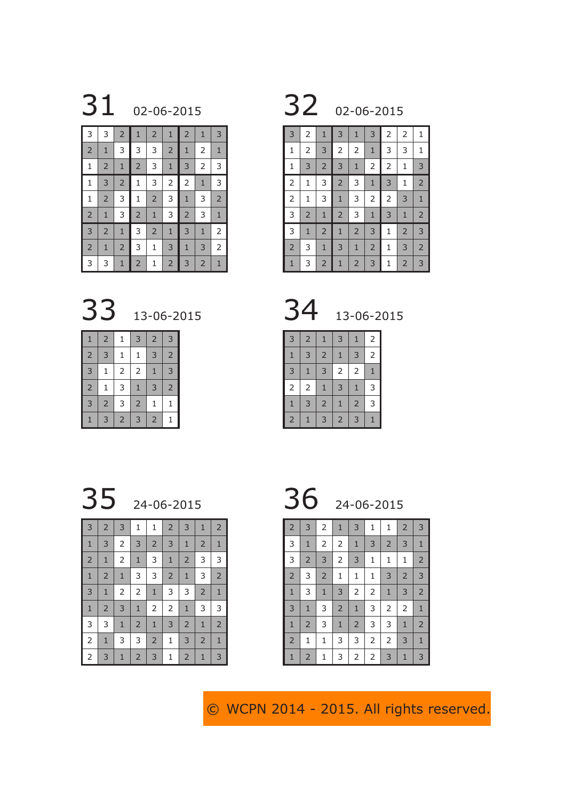02-06-2015 32 02-06-2015

| 3              | 3              | $\overline{2}$ | $\mathbf{1}$   | $\overline{2}$ | $\mathbf{1}$   | $\overline{2}$ | $\mathbf{1}$   | 3              |
|----------------|----------------|----------------|----------------|----------------|----------------|----------------|----------------|----------------|
| $\overline{2}$ | $\mathbf 1$    | 3              | 3              | 3              | $\overline{2}$ | $\mathbf{1}$   | $\overline{2}$ | $\mathbf{1}$   |
| $\mathbf 1$    | $\overline{2}$ | $\mathbf{1}$   | $\overline{2}$ | 3              | $1\,$          | 3              | $\overline{2}$ | 3              |
| $\mathbf{1}$   | 3              | $\overline{2}$ | 1              | 3              | $\overline{c}$ | $\overline{2}$ | $\mathbf{1}$   | 3              |
| 1              | $\overline{2}$ | 3              | 1              | $\overline{2}$ | 3              | $\mathbf{1}$   | 3              | $\overline{2}$ |
| $\overline{2}$ | $\mathbf{1}$   | 3              | $\overline{2}$ | $\mathbf{1}$   | 3              | $\overline{2}$ | 3              | $\mathbf{1}$   |
| 3              | $\overline{2}$ | $\mathbf{1}$   | 3              | $\overline{2}$ | $1\,$          | 3              | $\mathbf{1}$   | $\overline{c}$ |
| $\overline{2}$ | $\mathbf{1}$   | $\overline{2}$ | 3              | $\mathbf{1}$   | 3              | $\mathbf{1}$   | 3              | $\overline{2}$ |
| 3              | 3              | $\mathbf{1}$   | $\overline{2}$ | $\mathbf{1}$   | $\overline{2}$ | 3              | $\overline{2}$ | $\mathbf{1}$   |

| 3              | $\overline{2}$ | $\mathbf{1}$   | 3              | $\mathbf{1}$   | 3              | 2              | 2              | 1              |
|----------------|----------------|----------------|----------------|----------------|----------------|----------------|----------------|----------------|
| $\mathbf 1$    | $\overline{c}$ | 3              | $\overline{c}$ | $\overline{2}$ | $\mathbf{1}$   | 3              | 3              | 1              |
| $\mathbf{1}$   | 3              | $\overline{2}$ | 3              | $\mathbf{1}$   | $\overline{c}$ | $\overline{2}$ | $\mathbf 1$    | 3              |
| $\overline{2}$ | $\mathbf{1}$   | 3              | $\overline{c}$ | 3              | $\mathbf{1}$   | 3              | 1              | $\overline{2}$ |
| $\overline{c}$ | $\mathbf{1}$   | 3              | $\mathbf{1}$   | 3              | $\overline{2}$ | $\overline{2}$ | 3              | $\mathbf{1}$   |
| 3              | $\overline{2}$ | $1\,$          | $\overline{2}$ | 3              | $\mathbf{1}$   | 3              | $\mathbf{1}$   | $\overline{2}$ |
| 3              | $\mathbf{1}$   | $\overline{2}$ | $\mathbf{1}$   | $\overline{2}$ | 3              | 1              | $\overline{2}$ | 3              |
| $\overline{2}$ | 3              | $\mathbf{1}$   | 3              | $\mathbf{1}$   | $\overline{2}$ | 1              | 3              | $\overline{2}$ |
| $\mathbf{1}$   | 3              | $\overline{2}$ | $\mathbf{1}$   | $\overline{2}$ | 3              | 1              | $\overline{2}$ | 3              |

13-06-2015 34 13-06-2015

| $\mathbf{1}$   | $\overline{2}$ | 1              | 3              | $\overline{2}$ | 3              |
|----------------|----------------|----------------|----------------|----------------|----------------|
| $\overline{2}$ | 3              | 1              | $\mathbf 1$    | 3              | $\overline{c}$ |
| 3              | 1              | 2              | $\overline{2}$ | $\mathbf{1}$   | 3              |
| $\overline{2}$ | 1              | 3              | $\mathbf{1}$   | 3              | $\overline{2}$ |
| 3              | $\overline{2}$ | 3              | $\overline{2}$ | $\mathbf{1}$   | $\mathbf 1$    |
| 1              | 3              | $\overline{2}$ | 3              | $\overline{2}$ | 1              |

| 34 | 13-06-201 |
|----|-----------|
|    |           |

| 3              | $\overline{2}$ | $\mathbf{1}$   | 3              | $\mathbf{1}$   | 2              |
|----------------|----------------|----------------|----------------|----------------|----------------|
| $\mathbf{1}$   | 3              | $\overline{2}$ | $\mathbf{1}$   | 3              | $\overline{c}$ |
| 3              | $\overline{1}$ | 3              | $\overline{c}$ | $\overline{c}$ | $\overline{1}$ |
| $\mathsf{2}$   | 2              | $\mathbf{1}$   | 3              | $\mathbf{1}$   | 3              |
| $\mathbf{1}$   | 3              | $\overline{2}$ | $\mathbf{1}$   | $\overline{c}$ | 3              |
| $\overline{2}$ |                | 3              | $\overline{2}$ | 3              |                |

24-06-2015 36 24-06-2015

| 3              | $\overline{2}$ | 3              | 1              | $\mathbf{1}$   | $\overline{2}$ | 3              | $\mathbf{1}$   | $\overline{2}$ |
|----------------|----------------|----------------|----------------|----------------|----------------|----------------|----------------|----------------|
| $\mathbf{1}$   | 3              | $\overline{2}$ | 3              | $\overline{2}$ | 3              | $\mathbf 1$    | $\overline{2}$ | $\mathbf{1}$   |
| $\overline{2}$ | $\mathbf{1}$   | $\overline{2}$ | $1\,$          | 3              | $1\,$          | $\overline{2}$ | 3              | 3              |
| $\mathbf{1}$   | $\overline{2}$ | $1\,$          | 3              | 3              | $\overline{2}$ | $\mathbf 1$    | 3              | $\overline{2}$ |
| 3              | $\mathbf{1}$   | $\overline{2}$ | $\mathsf{2}\,$ | $\mathbf 1$    | 3              | 3              | $\overline{2}$ | $\mathbf{1}$   |
| $1\,$          | $\overline{2}$ | 3              | $1\,$          | 2              | $\overline{2}$ | $\mathbf{1}$   | 3              | 3              |
| 3              | 3              | $\mathbf{1}$   | $\overline{2}$ | $\mathbf 1$    | 3              | $\overline{2}$ | $\mathbf{1}$   | $\overline{2}$ |
| 2              | $\mathbf{1}$   | 3              | 3              | $\overline{2}$ | 1              | $\mathsf 3$    | $\overline{2}$ | $\mathbf{1}$   |
| $\overline{2}$ | 3              | $\mathbf{1}$   | $\overline{2}$ | 3              | 1              | $\overline{2}$ | $\mathbf{1}$   | 3              |

| $\overline{2}$ | 3              | 2              | $\mathbf{1}$   | 3              | 1              | 1              | $\overline{2}$ | 3              |
|----------------|----------------|----------------|----------------|----------------|----------------|----------------|----------------|----------------|
| 3              | $\mathbf{1}$   | 2              | $\overline{2}$ | $\mathbf{1}$   | 3              | $\overline{2}$ | 3              | $\mathbf{1}$   |
| 3              | $\overline{2}$ | 3              | $\overline{2}$ | $\mathsf 3$    | 1              | 1              | 1              | $\overline{2}$ |
| $\overline{2}$ | 3              | $\overline{2}$ | $\mathbf{1}$   | 1              | 1              | 3              | $\overline{2}$ | 3              |
| $\mathbf{1}$   | 3              | $1\,$          | 3              | $\overline{2}$ | $\overline{2}$ | $\mathbf{1}$   | 3              | $\overline{2}$ |
| 3              | $\mathbf 1$    | 3              | $\mathsf{2}$   | $\mathbf{1}$   | 3              | 2              | 2              | $\mathbf{1}$   |
| $\mathbf{1}$   | $\overline{2}$ | 3              | $\mathbf{1}$   | $\overline{2}$ | 3              | 3              | $\mathbf{1}$   | $\overline{2}$ |
| $\overline{2}$ | 1              | $\mathbf{1}$   | 3              | 3              | $\mathsf{2}\,$ | $\overline{2}$ | 3              | $\mathbf{1}$   |
| $\mathbf{1}$   | $\overline{2}$ | 1              | 3              | 2              | $\mathsf{2}\,$ | 3              | $\mathbf{1}$   | 3              |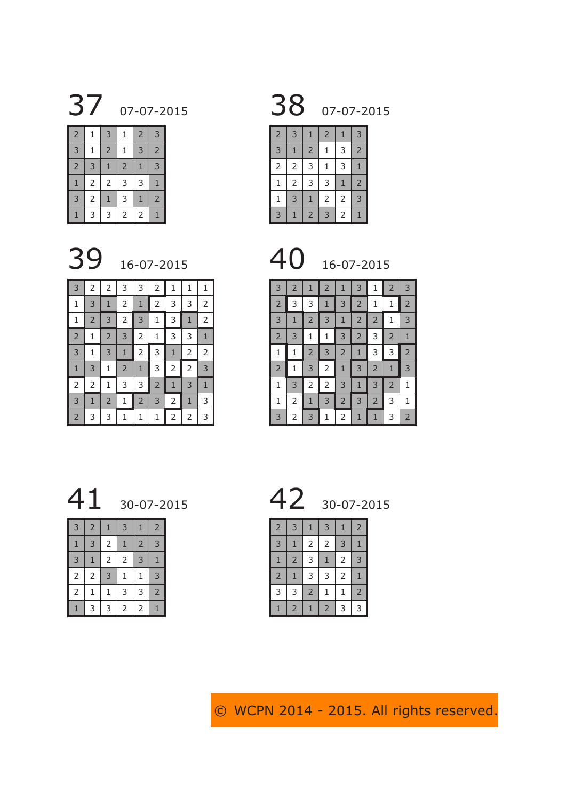07-07-2015 38 07-07-2015

| $\overline{2}$ | 1 | 3              | $\mathbf{1}$   | $\overline{2}$ | 3              |
|----------------|---|----------------|----------------|----------------|----------------|
| 3              | 1 | $\overline{2}$ | $\mathbf{1}$   | 3              | $\overline{2}$ |
| $\overline{2}$ | 3 | $\mathbf{1}$   | $\overline{2}$ | $\mathbf{1}$   | 3              |
| $\mathbf{1}$   | 2 | $\overline{2}$ | 3              | 3              | 1              |
| 3              | 2 | $\overline{1}$ | 3              | $\mathbf{1}$   | $\overline{2}$ |
| 1              | 3 | 3              | 2              | 2              |                |



| $\overline{2}$ | 3              | 1              | $\overline{2}$ | 1              | 3              |
|----------------|----------------|----------------|----------------|----------------|----------------|
| 3              | $\mathbf{1}$   | $\overline{2}$ | 1              | 3              | $\overline{2}$ |
| $\overline{2}$ | $\overline{c}$ | 3              | $\mathbf{1}$   | 3              | $\overline{1}$ |
| $\mathbf 1$    | $\overline{c}$ | 3              | 3              | $\overline{1}$ | $\overline{2}$ |
| $\mathbf{1}$   | 3              | $\overline{1}$ | 2              | $\overline{c}$ | 3              |
| 3              | 1              | $\overline{2}$ | 3              | 2              | 1              |



| 3              | $\overline{2}$ | 1              | $\overline{2}$ | 1              | 3              | 1              | $\overline{2}$ | 3              |
|----------------|----------------|----------------|----------------|----------------|----------------|----------------|----------------|----------------|
| $\overline{2}$ | 3              | 3              | $\mathbf{1}$   | 3              | $\overline{2}$ | 1              | 1              | $\overline{a}$ |
| 3              | 1              | $\overline{c}$ | 3              | $\mathbf{1}$   | $\overline{2}$ | $\overline{c}$ | 1              | 3              |
| $\overline{2}$ | 3              | 1              | 1              | 3              | $\overline{2}$ | 3              | $\overline{2}$ | 1              |
| 1              | $\mathbf 1$    | $\overline{c}$ | 3              | $\overline{2}$ | 1              | 3              | 3              | $\overline{a}$ |
| $\overline{2}$ | 1              | 3              | $\overline{2}$ | $\mathbf{1}$   | 3              | $\overline{2}$ | $\mathbf{1}$   | 3              |
| 1              | 3              | $\overline{c}$ | $\overline{2}$ | 3              | 1              | 3              | $\overline{2}$ | $\mathbf{1}$   |
| 1              | 2              | 1              | 3              | $\overline{2}$ | 3              | $\overline{2}$ | 3              | 1              |
| 3              | 2              | 3              | 1              | $\overline{2}$ | 1              | $\mathbf{1}$   | 3              | $\overline{2}$ |

 2 2 3 3 2 1 1 1  $1 \mid 3 \mid 1 \mid 2 \mid 1 \mid 2 \mid 3 \mid 3 \mid 2$  2 3 2 3 1 3 1 2 1 2 3 2 1 3 3 1  $3 | 1 | 3 | 1 | 2 | 3 | 1 | 2 | 2$ 1 3 1 2 1 3 2 2 3 2 1 3 3 2 1 3 1  $3 \mid 1 \mid 2 \mid 1 \mid 2 \mid 3 \mid 2 \mid 1 \mid 3$ 3 3 1 1 1 2 2 3



| 3              | $\overline{2}$ | $\mathbf{1}$   | 3              | $\mathbf{1}$   | $\overline{2}$ |
|----------------|----------------|----------------|----------------|----------------|----------------|
| $\mathbf{1}$   | 3              | $\overline{2}$ | $\mathbf{1}$   | $\overline{2}$ | 3              |
| 3              | $\mathbf{1}$   | $\mathsf{2}\,$ | $\overline{2}$ | 3              | $\mathbf{1}$   |
| $\mathsf{2}\,$ | $\mathsf{2}\,$ | 3              | $\mathbf{1}$   | 1              | 3              |
| $\overline{2}$ | 1              | 1              | 3              | 3              | $\overline{c}$ |
| $\mathbf{1}$   | 3              | 3              | $\overline{2}$ | 2              | $\mathbf{1}$   |



| $\overline{2}$ | 3              | $\mathbf{1}$   | 3              | 1 | $\overline{2}$ |
|----------------|----------------|----------------|----------------|---|----------------|
| 3              | $\overline{1}$ | $\mathsf{2}\,$ | $\overline{2}$ | 3 | 1              |
| $\mathbf{1}$   | $\overline{2}$ | 3              | $\overline{1}$ | 2 | 3              |
| $\overline{2}$ | $\overline{1}$ | 3              | 3              | 2 | 1              |
| 3              | 3              | $\overline{2}$ | 1              | 1 | $\overline{2}$ |
| $\mathbf{1}$   | $\overline{2}$ | $\mathbf{1}$   | $\overline{2}$ | 3 | 3              |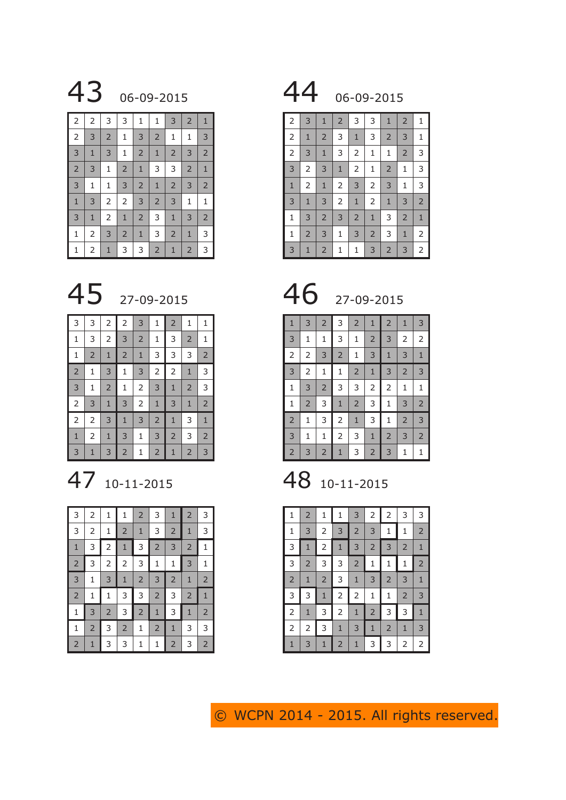

| $\overline{2}$ | $\overline{2}$ | 3              | 3              | 1              | 1              | 3              | $\overline{2}$ | $\mathbf{1}$   |
|----------------|----------------|----------------|----------------|----------------|----------------|----------------|----------------|----------------|
| $\overline{2}$ | 3              | $\overline{2}$ | $\mathbf{1}$   | 3              | $\overline{2}$ | $\mathbf 1$    | 1              | 3              |
| 3              | $\mathbf{1}$   | 3              | 1              | $\overline{2}$ | $\mathbf{1}$   | $\overline{2}$ | 3              | $\overline{2}$ |
| $\overline{2}$ | 3              | 1              | $\overline{2}$ | $\mathbf{1}$   | 3              | 3              | $\overline{2}$ | $1\,$          |
| $\overline{3}$ | $\mathbf 1$    | 1              | 3              | $\overline{2}$ | $1\,$          | $\overline{2}$ | $\mathsf 3$    | $\overline{2}$ |
| $\mathbf{1}$   | 3              | $\overline{2}$ | $\overline{2}$ | 3              | $\overline{2}$ | 3              | 1              | $\mathbf{1}$   |
| 3              | $1\,$          | 2              | $\mathbf{1}$   | $\overline{2}$ | 3              | $\mathbf{1}$   | 3              | $\overline{2}$ |
| $\mathbf 1$    | $\overline{2}$ | 3              | $\overline{2}$ | $\mathbf{1}$   | 3              | $\overline{2}$ | $1\,$          | 3              |
| $\mathbf{1}$   | $\overline{2}$ | $\mathbf{1}$   | 3              | 3              | $\overline{2}$ | $\mathbf{1}$   | $\overline{2}$ | 3              |



| 3              | 3              | $\overline{2}$ | $\overline{2}$ | 3              | 1              | $\overline{2}$ | 1              | 1              |
|----------------|----------------|----------------|----------------|----------------|----------------|----------------|----------------|----------------|
| $\mathbf 1$    | 3              | $\overline{c}$ | 3              | $\overline{2}$ | 1              | 3              | $\overline{2}$ | $\mathbf{1}$   |
| 1              | $\overline{2}$ | $\mathbf{1}$   | $\overline{2}$ | $\mathbf{1}$   | 3              | 3              | 3              | $\overline{2}$ |
| $\overline{2}$ | 1              | 3              | $\mathbf{1}$   | 3              | $\overline{c}$ | $\overline{2}$ | $\mathbf{1}$   | 3              |
| 3              | $\mathbf 1$    | $\overline{c}$ | $\mathbf{1}$   | $\overline{c}$ | 3              | $\mathbf 1$    | $\overline{2}$ | 3              |
| $\overline{c}$ | 3              | $\mathbf{1}$   | 3              |                | $\mathbf{1}$   | 3              | $\mathbf{1}$   | $\overline{2}$ |
| $\overline{2}$ | $\overline{2}$ | 3              | $\mathbf{1}$   | 3              | $\overline{2}$ | $\mathbf 1$    | 3              | $\mathbf{1}$   |
| $\mathbf{1}$   | 2              | $\mathbf{1}$   | 3              | 1              | 3              | $\overline{2}$ | 3              | $\overline{2}$ |
| 3              | $\mathbf{1}$   | 3              | $\overline{2}$ | 1              | $\overline{2}$ | $\mathbf{1}$   | $\overline{2}$ | 3              |

47 10-11-2015 48 10-11-2015

| 3              | 2              | 1              | $\mathbf{1}$   | $\overline{2}$ | 3              | $\mathbf{1}$   | $\overline{2}$ | 3              |
|----------------|----------------|----------------|----------------|----------------|----------------|----------------|----------------|----------------|
| 3              | 2              | 1              | $\overline{2}$ | $\mathbf{1}$   | 3              | $\overline{2}$ | $\mathbf{1}$   | 3              |
| $\mathbf{1}$   | 3              | $\overline{2}$ | $\mathbf{1}$   | 3              | $\overline{2}$ | 3              | $\overline{2}$ | $\mathbf{1}$   |
| $\overline{c}$ | 3              | $\overline{c}$ | $\overline{2}$ | 3              | 1              | 1              | 3              | 1              |
| 3              | 1              | 3              | $\mathbf{1}$   | $\overline{2}$ | 3              | $\overline{2}$ | $\mathbf{1}$   | $\overline{2}$ |
| $\overline{c}$ | $\mathbf 1$    | 1              | 3              | 3              | $\overline{2}$ | 3              | $\overline{2}$ | $1\,$          |
| 1              | 3              | $\overline{2}$ | 3              | $\overline{2}$ | $1\,$          | 3              | $\mathbf{1}$   | $\overline{2}$ |
| $\mathbf{1}$   | $\overline{2}$ | 3              | $\overline{2}$ | 1              | $\overline{2}$ | $\mathbf{1}$   | 3              | 3              |
| $\overline{2}$ | 1              | 3              | 3              | 1              | 1              | $\overline{2}$ | 3              | $\overline{2}$ |

06-09-2015 44 06-09-2015

| 2              | 3              | $\mathbf{1}$   | $\overline{2}$ | 3              | 3              | $\mathbf{1}$   | $\overline{2}$ | $\mathbf{1}$   |
|----------------|----------------|----------------|----------------|----------------|----------------|----------------|----------------|----------------|
| 2              | $\mathbf 1$    | $\overline{2}$ | 3              | $\mathbf{1}$   | 3              | $\overline{2}$ | 3              | 1              |
| $\overline{c}$ | 3              | $1\,$          | 3              | 2              | 1              | $\mathbf{1}$   | $\overline{2}$ | 3              |
| 3              | $\overline{2}$ | 3              | $\mathbf{1}$   | $\overline{2}$ | $\mathbf 1$    | $\overline{2}$ | 1              | 3              |
| $\mathbf{1}$   | $\overline{2}$ | $\mathbf{1}$   | $\mathsf{2}\,$ | 3              | 2              | 3              | 1              | 3              |
| 3              | $\mathbf 1$    | 3              | $\mathbf{2}$   | $\mathbf{1}$   | 2              | $\mathbf{1}$   | 3              | $\overline{2}$ |
| $\mathbf{1}$   | 3              | $\overline{2}$ | 3              | $\overline{2}$ | $\mathbf{1}$   | 3              | $\overline{2}$ | $1\,$          |
| $\mathbf{1}$   | $\overline{2}$ | 3              | $\mathbf{1}$   | 3              | $\overline{2}$ | 3              | $\mathbf{1}$   | 2              |
| 3              | $\mathbf{1}$   | $\overline{2}$ | $\mathbf{1}$   | 1              | 3              | $\overline{2}$ | 3              | 2              |

| $\mathbf{1}$   | 3              | $\overline{2}$ | 3              | $\overline{2}$ | 1              | $\overline{2}$ | $\mathbf{1}$   | 3              |
|----------------|----------------|----------------|----------------|----------------|----------------|----------------|----------------|----------------|
| 3              | $\mathbf{1}$   | 1              | 3              | 1              | $\overline{c}$ | 3              | $\overline{2}$ | $\overline{2}$ |
| $\overline{2}$ | $\overline{2}$ | 3              | $\overline{2}$ | 1              | 3              | 1              | 3              | $\mathbf{1}$   |
| 3              | $\overline{2}$ | $\mathbf 1$    | $\mathbf 1$    | $\overline{2}$ | $\mathbf{1}$   | 3              | $\overline{2}$ | 3              |
| 1              | 3              | $\overline{2}$ | 3              | 3              | 2              | 2              | 1              | 1              |
| 1              | $\overline{2}$ | 3              | $\mathbf{1}$   | $\overline{2}$ | 3              | $\mathbf 1$    | 3              | $\overline{2}$ |
| $\overline{2}$ | $\mathbf{1}$   | 3              | $\overline{2}$ | $\mathbf{1}$   | 3              | $\mathbf{1}$   | $\overline{2}$ | 3              |
| 3              | $\mathbf{1}$   | 1              | $\overline{2}$ | 3              | $\mathbf{1}$   | $\overline{2}$ | 3              | $\overline{2}$ |
| $\overline{2}$ | 3              | $\overline{2}$ | $\mathbf{1}$   | 3              | $\overline{2}$ | 3              | 1              | 1              |

| 1              | $\overline{2}$ | 1              | 1              | 3              | $\overline{2}$ | 2              | 3              | 3              |
|----------------|----------------|----------------|----------------|----------------|----------------|----------------|----------------|----------------|
| 1              | 3              | 2              | 3              | $\overline{2}$ | 3              | 1              | 1              | $\overline{2}$ |
| 3              | 1              | 2              | $\mathbf{1}$   | 3              | $\overline{2}$ | 3              | $\overline{2}$ | 1              |
| 3              | $\overline{2}$ | 3              | 3              | $\overline{2}$ | 1              | 1              | 1              | $\overline{2}$ |
| $\overline{2}$ | 1              | $\overline{2}$ | 3              | $\mathbf{1}$   | 3              | $\overline{2}$ | 3              | $\mathbf{1}$   |
| 3              | 3              | $\mathbf{1}$   | 2              | 2              | 1              | 1              | $\overline{2}$ | 3              |
| 2              | 1              | 3              | 2              | $\mathbf{1}$   | $\overline{2}$ | 3              | 3              | $\mathbf{1}$   |
| 2              | 2              | 3              | $\mathbf{1}$   | 3              | 1              | $\overline{2}$ | $\mathbf{1}$   | 3              |
| 1              | 3              | 1              | $\overline{2}$ | 1              | 3              | 3              | 2              | 2              |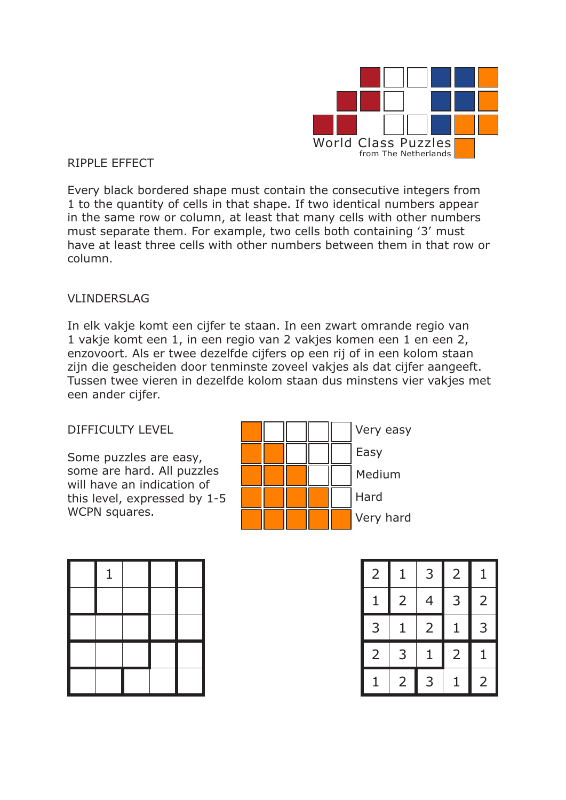

### RIPPLE EFFECT

Every black bordered shape must contain the consecutive integers from 1 to the quantity of cells in that shape. If two identical numbers appear in the same row or column, at least that many cells with other numbers must separate them. For example, two cells both containing '3' must have at least three cells with other numbers between them in that row or column.

### VLINDERSLAG

In elk vakje komt een cijfer te staan. In een zwart omrande regio van 1 vakje komt een 1, in een regio van 2 vakjes komen een 1 en een 2, enzovoort. Als er twee dezelfde cijfers op een rij of in een kolom staan zijn die gescheiden door tenminste zoveel vakjes als dat cijfer aangeeft. Tussen twee vieren in dezelfde kolom staan dus minstens vier vakjes met een ander cijfer.

### DIFFICULTY LEVEL

Some puzzles are easy, some are hard. All puzzles will have an indication of this level, expressed by 1-5 WCPN squares.

|  |  | Very easy |
|--|--|-----------|
|  |  | Easy      |
|  |  | Medium    |
|  |  | Hard      |
|  |  | Very hard |

| 1 |  |  |
|---|--|--|
|   |  |  |
|   |  |  |
|   |  |  |
|   |  |  |

|  |  |  | $\overline{2}$ | 1              | 3 <sup>1</sup> | $\overline{2}$ |   |
|--|--|--|----------------|----------------|----------------|----------------|---|
|  |  |  | $\mathbf 1$    | 2 <sup>1</sup> | 4              | 3              | 2 |
|  |  |  | 3              | $\mathbf{1}$   | 2              | $\mathbf{1}$   | 3 |
|  |  |  | $\overline{2}$ | 3              | $\mathbf{1}$   | $\overline{2}$ |   |
|  |  |  | $\mathbf{1}$   | $\mathsf{2}$   | 3              | 1              |   |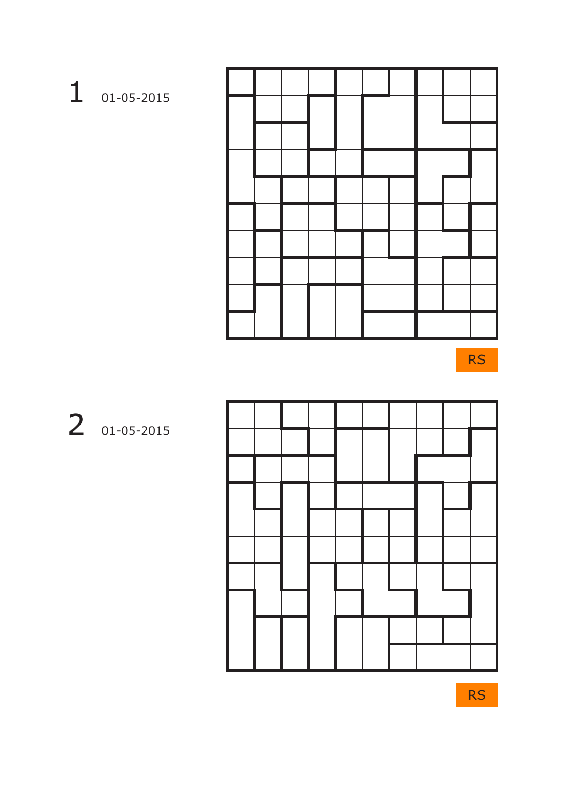| 01-05-2015 |
|------------|

| - 1 |                                                                                                                                 |  |  |  |  |
|-----|---------------------------------------------------------------------------------------------------------------------------------|--|--|--|--|
|     |                                                                                                                                 |  |  |  |  |
|     |                                                                                                                                 |  |  |  |  |
|     |                                                                                                                                 |  |  |  |  |
|     |                                                                                                                                 |  |  |  |  |
|     |                                                                                                                                 |  |  |  |  |
|     | $\mathcal{L}^{\text{max}}_{\text{max}}$ and $\mathcal{L}^{\text{max}}_{\text{max}}$ and $\mathcal{L}^{\text{max}}_{\text{max}}$ |  |  |  |  |
|     |                                                                                                                                 |  |  |  |  |
|     |                                                                                                                                 |  |  |  |  |
|     |                                                                                                                                 |  |  |  |  |
|     |                                                                                                                                 |  |  |  |  |

RS



2 01-05-2015

RS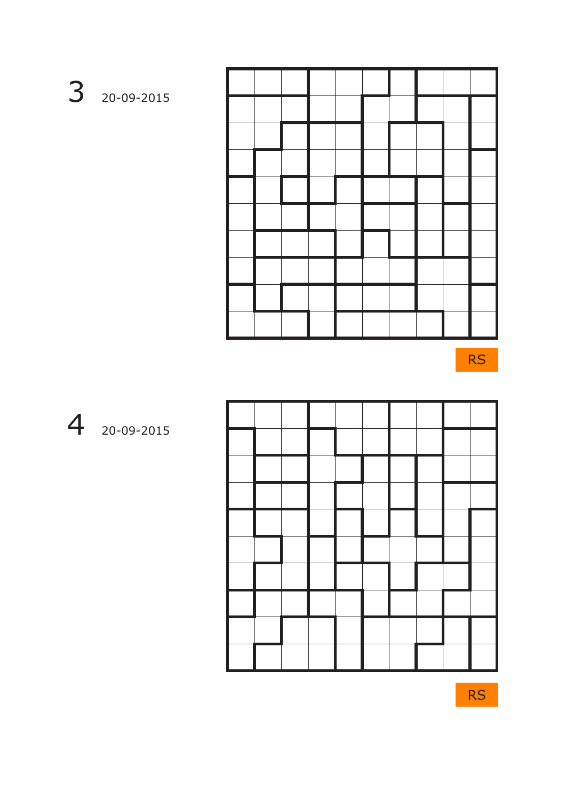3 20-09-2015

RS

4 20-09-2015

RS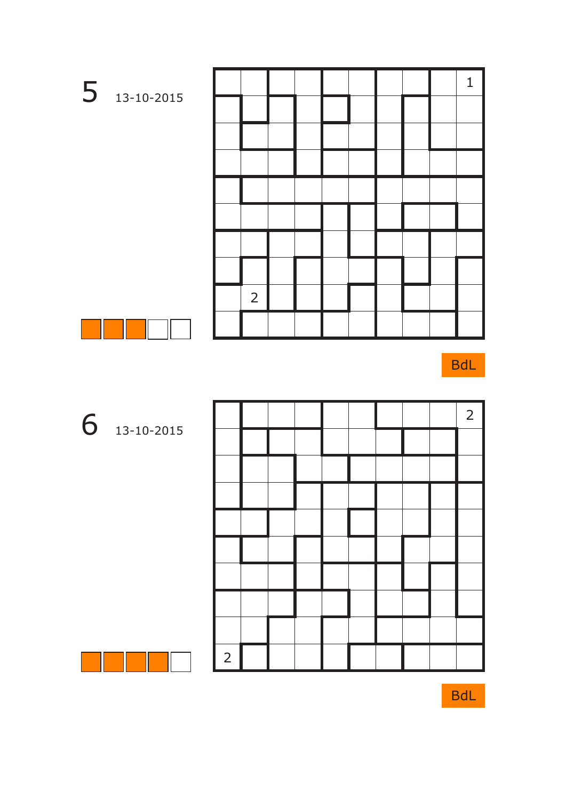

BdL





13-10-2015

BdL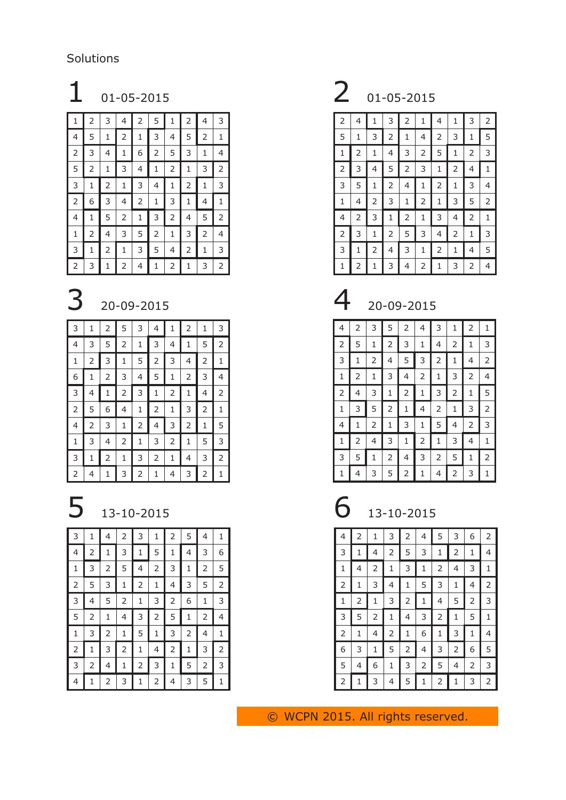Solutions

| 1 | 2 | 3 | 4 | 2 | 5 | 1              | $\mathsf{2}\,$ | 4 | 3 |
|---|---|---|---|---|---|----------------|----------------|---|---|
| 4 | 5 | 1 | 2 | 1 | 3 | 4              | 5              | 2 | 1 |
| 2 | 3 | 4 | 1 | 6 | 2 | 5              | 3              | 1 | 4 |
| 5 | 2 | 1 | 3 | 4 | 1 | $\overline{2}$ | 1              | 3 | 2 |
| 3 | 1 | 2 | 1 | 3 | 4 | 1              | 2              | 1 | 3 |
| 2 | 6 | 3 | 4 | 2 | 1 | 3              | 1              | 4 | 1 |
| 4 | 1 | 5 | 2 | 1 | 3 | 2              | 4              | 5 | 2 |
| 1 | 2 | 4 | 3 | 5 | 2 | 1              | 3              | 2 | 4 |
| 3 | 1 | 2 | 1 | 3 | 5 | 4              | 2              | 1 | 3 |
| 2 | 3 | 1 | 2 | 4 | 1 | 2              | 1              | 3 | 2 |

| 3 | 1 | 2 | 5 | 3 | 4 | 1 | 2 | 1 | 3              |
|---|---|---|---|---|---|---|---|---|----------------|
| 4 | 3 | 5 | 2 | 1 | 3 | 4 | 1 | 5 | $\overline{2}$ |
| 1 | 2 | 3 | 1 | 5 | 2 | 3 | 4 | 2 | 1              |
| 6 | 1 | 2 | 3 | 4 | 5 | 1 | 2 | 3 | 4              |
| 3 | 4 | 1 | 2 | 3 | 1 | 2 | 1 | 4 | $\overline{2}$ |
| 2 | 5 | 6 | 4 | 1 | 2 | 1 | 3 | 2 | 1              |
| 4 | 2 | 3 | 1 | 2 | 4 | 3 | 2 | 1 | 5              |
| 1 | 3 | 4 | 2 | 1 | 3 | 2 | 1 | 5 | 3              |
| 3 | 1 | 2 | 1 | 3 | 2 | 1 | 4 | 3 | 2              |
| 2 | 4 | 1 | 3 | 2 | 1 | 4 | 3 | 2 | 1              |

# 13-10-2015 6 13-10-2015

| 3 | 1 | 4 | 2 | 3 | 1              | 2 | 5 | 4 | 1 |
|---|---|---|---|---|----------------|---|---|---|---|
| 4 | 2 | 1 | 3 | 1 | 5              | 1 | 4 | 3 | 6 |
| 1 | 3 | 2 | 5 | 4 | $\overline{c}$ | 3 | 1 | 2 | 5 |
| 2 | 5 | 3 | 1 | 2 | 1              | 4 | 3 | 5 | 2 |
| 3 | 4 | 5 | 2 | 1 | 3              | 2 | 6 | 1 | 3 |
| 5 | 2 | 1 | 4 | 3 | 2              | 5 | 1 | 2 | 4 |
| 1 | 3 | 2 | 1 | 5 | 1              | 3 | 2 | 4 | 1 |
| 2 | 1 | 3 | 2 | 1 | 4              | 2 | 1 | 3 | 2 |
| 3 | 2 | 4 | 1 | 2 | 3              | 1 | 5 | 2 | 3 |
| 4 | 1 | 2 | 3 | 1 | 2              | 4 | 3 | 5 | 1 |

### 01-05-2015 2 01-05-2015

| 2 | 4 | 1 | 3 | 2 | 1 | 4 | 1 | 3 | 2 |
|---|---|---|---|---|---|---|---|---|---|
| 5 | 1 | 3 | 2 | 1 | 4 | 2 | 3 | 1 | 5 |
| 1 | 2 | 1 | 4 | 3 | 2 | 5 | 1 | 2 | 3 |
| 2 | 3 | 4 | 5 | 2 | 3 | 1 | 2 | 4 | 1 |
| 3 | 5 | 1 | 2 | 4 | 1 | 2 | 1 | 3 | 4 |
| 1 | 4 | 2 | 3 | 1 | 2 | 1 | 3 | 5 | 2 |
| 4 | 2 | 3 | 1 | 2 | 1 | 3 | 4 | 2 | 1 |
| 2 | 3 | 1 | 2 | 5 | 3 | 4 | 2 | 1 | 3 |
| 3 | 1 | 2 | 4 | 3 | 1 | 2 | 1 | 4 | 5 |
| 1 | 2 | 1 | 3 | 4 | 2 | 1 | 3 | 2 | 4 |

## 20-09-2015 4 20-09-2015

| 4 | 2 | 3 | 5 | 2              | 4 | 3 | 1 | 2 | 1              |
|---|---|---|---|----------------|---|---|---|---|----------------|
| 2 | 5 | 1 | 2 | 3              | 1 | 4 | 2 | 1 | 3              |
| 3 | 1 | 2 | 4 | 5              | 3 | 2 | 1 | 4 | 2              |
| 1 | 2 | 1 | 3 | 4              | 2 | 1 | 3 | 2 | 4              |
| 2 | 4 | 3 | 1 | $\overline{2}$ | 1 | 3 | 2 | 1 | 5              |
| 1 | 3 | 5 | 2 | 1              | 4 | 2 | 1 | 3 | $\overline{2}$ |
| 4 | 1 | 2 | 1 | 3              | 1 | 5 | 4 | 2 | 3              |
| 1 | 2 | 4 | 3 | 1              | 2 | 1 | 3 | 4 | 1              |
| 3 | 5 | 1 | 2 | 4              | 3 | 2 | 5 | 1 | $\overline{2}$ |
| 1 | 4 | 3 | 5 | 2              | 1 | 4 | 2 | 3 | 1              |

| 13-10-2015 |  |
|------------|--|
|------------|--|

| $\overline{4}$ | $\overline{2}$ | 1              | 3              | $\overline{2}$ | 4 | 5 | 3 | 6              |                |
|----------------|----------------|----------------|----------------|----------------|---|---|---|----------------|----------------|
| $\mathsf 3$    | 1              | 4              | 2              | 5              | 3 | 1 | 2 | 1              | 4              |
| $\mathbf 1$    | 4              | 2              | 1              | 3              | 1 | 2 | 4 | 3              | $\mathbf{1}$   |
| $\mathsf{2}\,$ | 1              | 3              | 4              | 1              | 5 | 3 | 1 | 4              | $\overline{2}$ |
| $\mathbf 1$    | $\overline{2}$ | 1              | 3              | 2              | 1 | 4 | 5 | 2              | 3              |
| $\mathsf 3$    | 5              | $\overline{2}$ | 1              | 4              | 3 | 2 | 1 | 5              | $\mathbf{1}$   |
| $\overline{2}$ | 1              | 4              | 2              | 1              | 6 | 1 | 3 | 1              | 4              |
| 6              | 3              | 1              | 5              | 2              | 4 | 3 | 2 | 6              | 5              |
| 5              | 4              | 6              | $\mathbf 1$    | 3              | 2 | 5 | 4 | $\mathsf{2}\,$ | 3              |
| $\overline{2}$ |                | 3              | $\overline{4}$ | 5              | 1 | 2 | 1 | 3              | 2              |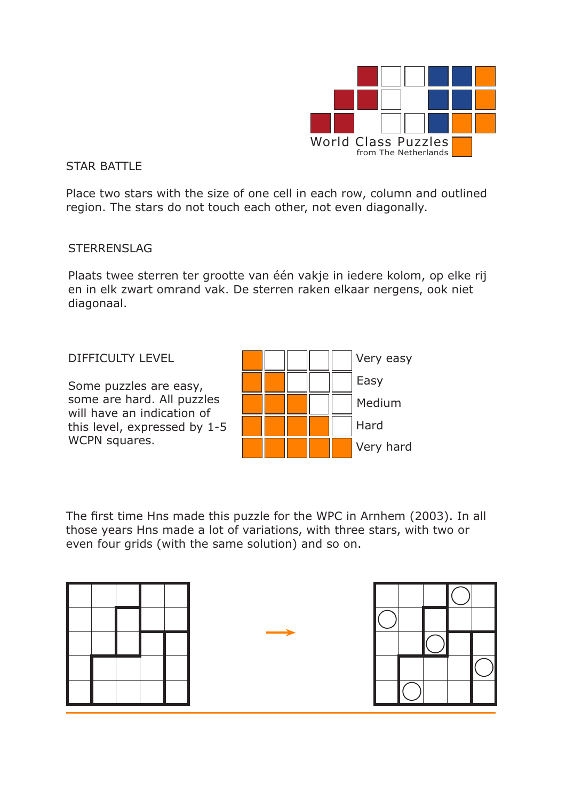

### STAR BATTLE

Place two stars with the size of one cell in each row, column and outlined region. The stars do not touch each other, not even diagonally.

### STERRENSLAG

Plaats twee sterren ter grootte van één vakje in iedere kolom, op elke rij en in elk zwart omrand vak. De sterren raken elkaar nergens, ook niet diagonaal.

### DIFFICULTY LEVEL

Some puzzles are easy, some are hard. All puzzles will have an indication of this level, expressed by 1-5 WCPN squares.



The first time Hns made this puzzle for the WPC in Arnhem (2003). In all those years Hns made a lot of variations, with three stars, with two or even four grids (with the same solution) and so on.

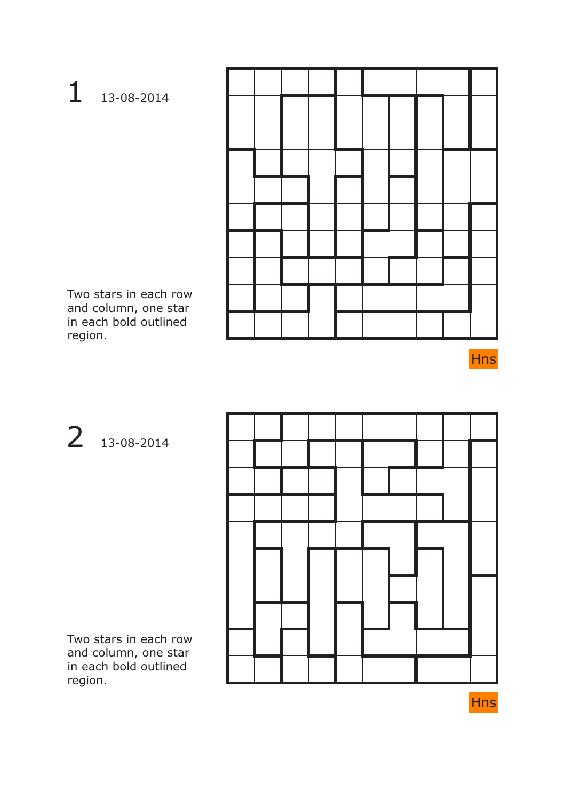### 1 13-08-2014

Two stars in each row and column, one star in each bold outlined region.

Hns

2 13-08-2014



Two stars in each row and column, one star in each bold outlined region.

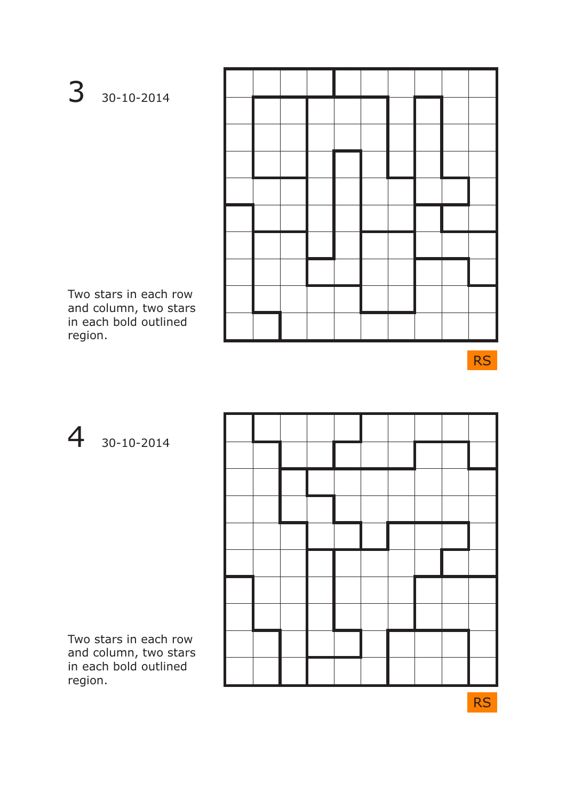3 30-10-2014

Two stars in each row and column, two stars in each bold outlined region.

RS

4 30-10-2014



Two stars in each row and column, two stars in each bold outlined region.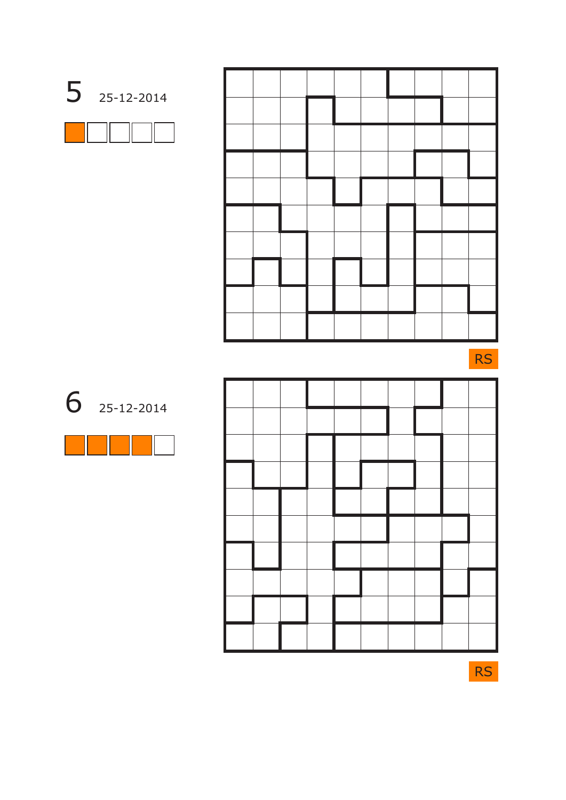| 25-12-2014 |
|------------|
|            |

RS





6 25-12-2014

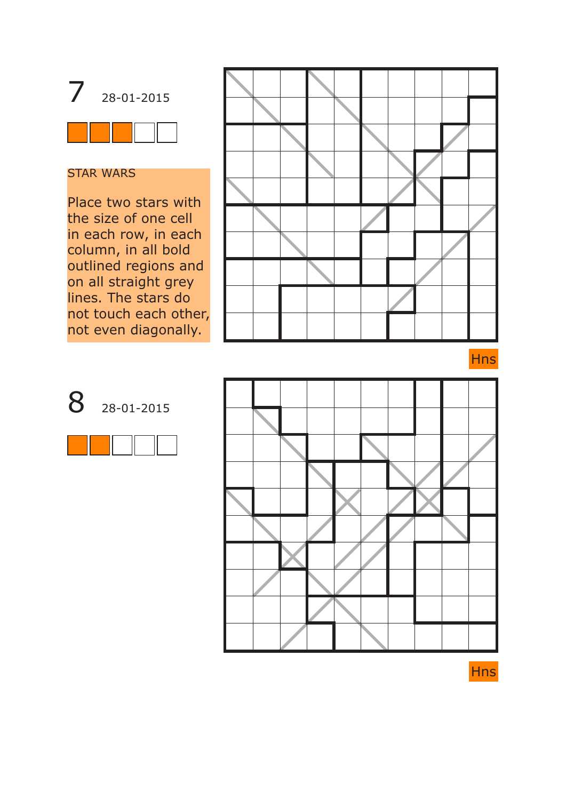

## STAR WARS

Place two stars with the size of one cell in each row, in each column, in all bold outlined regions and on all straight grey lines. The stars do not touch each other, not even diagonally.









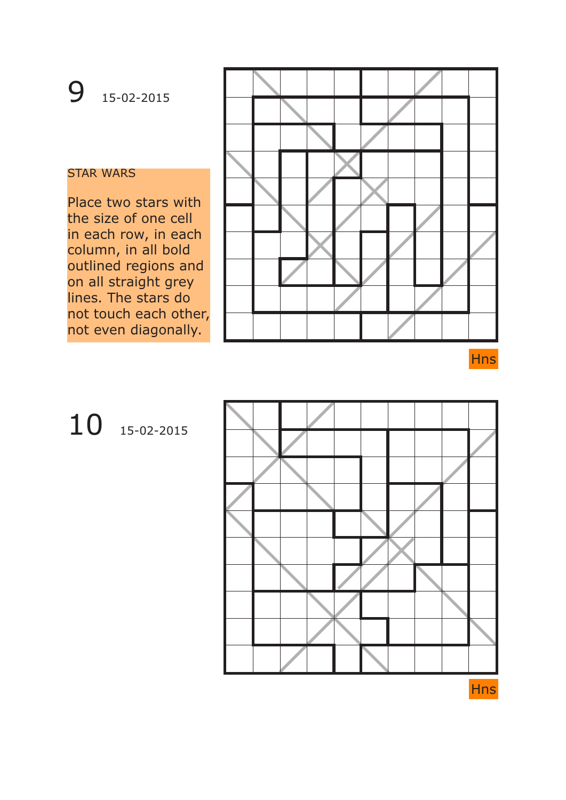## 9 15-02-2015

### STAR WARS

Place two stars with the size of one cell in each row, in each column, in all bold outlined regions and on all straight grey lines. The stars do not touch each other, not even diagonally.



Hns

# 10 15-02-2015

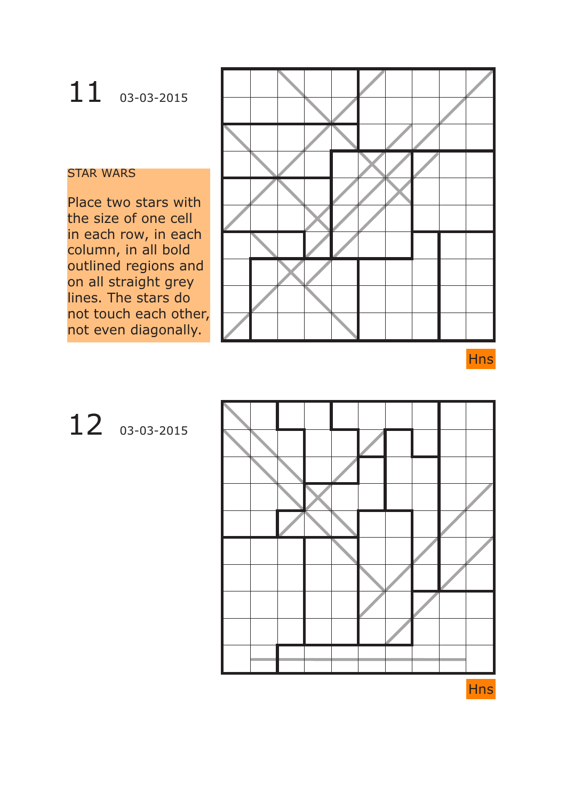# 11 03-03-2015

#### STAR WARS

Place two stars with the size of one cell in each row, in each column, in all bold outlined regions and on all straight grey lines. The stars do not touch each other, not even diagonally.



Hns

# 12 03-03-2015

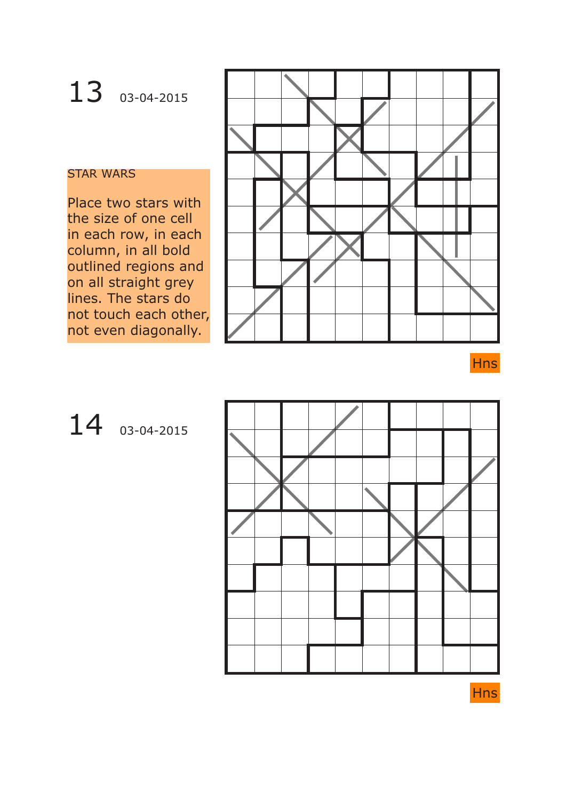# 13 03-04-2015

### STAR WARS

Place two stars with the size of one cell in each row, in each column, in all bold outlined regions and on all straight grey lines. The stars do not touch each other, not even diagonally.



### Hns

## 14 03-04-2015



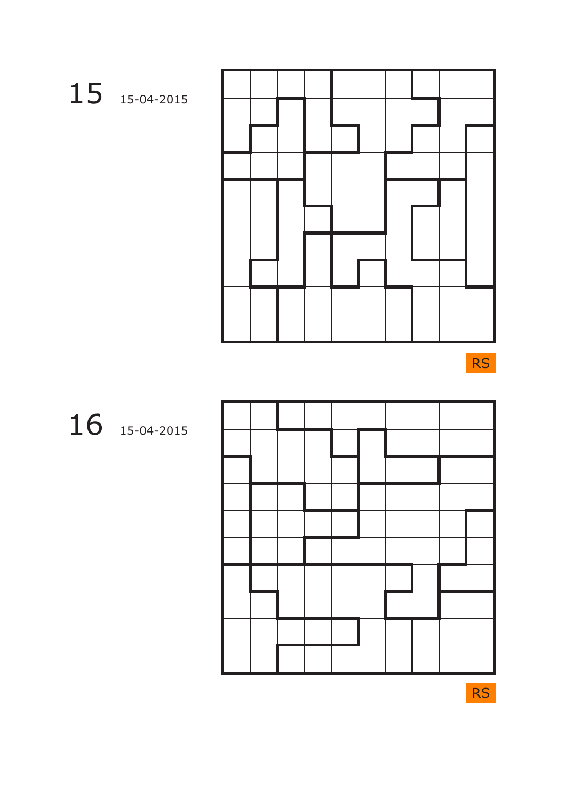RS



16 15-04-2015

RS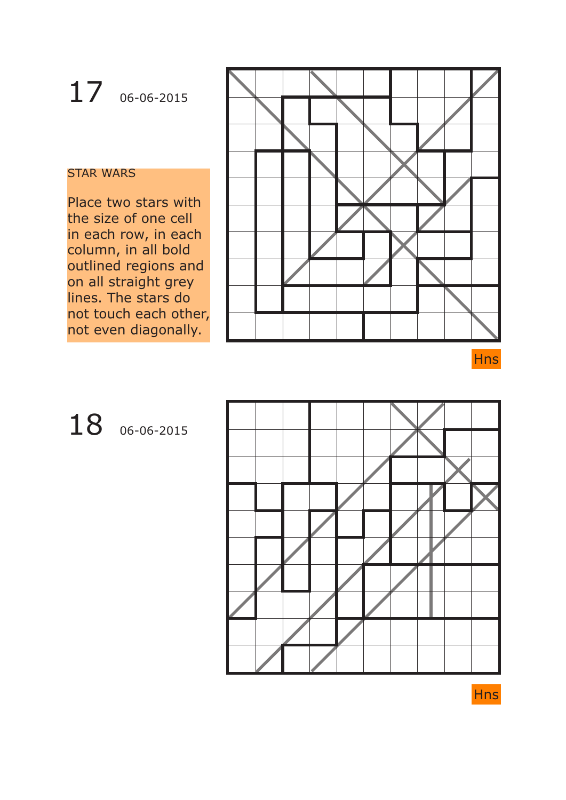# 17 06-06-2015

#### STAR WARS

Place two stars with the size of one cell in each row, in each column, in all bold outlined regions and on all straight grey lines. The stars do not touch each other, not even diagonally.





## 18 06-06-2015



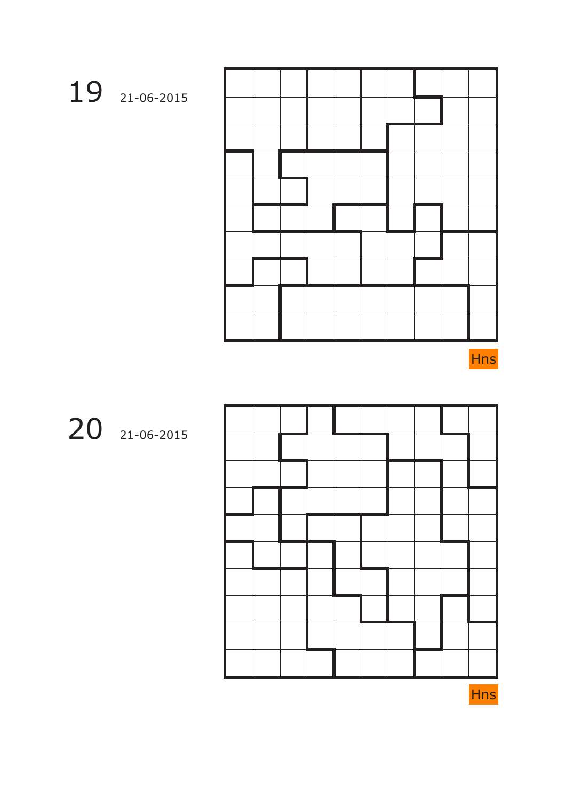Hns



20 21-06-2015

19 21-06-2015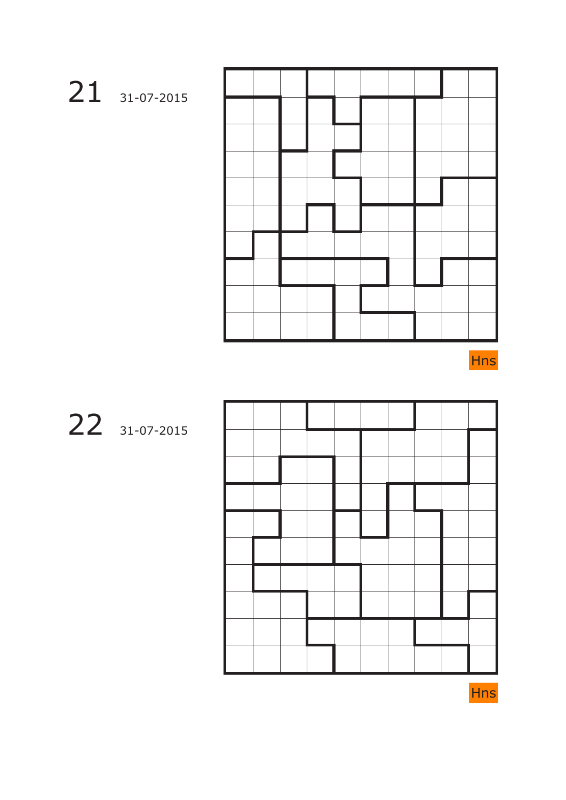Hns



22 31-07-2015

21 31-07-2015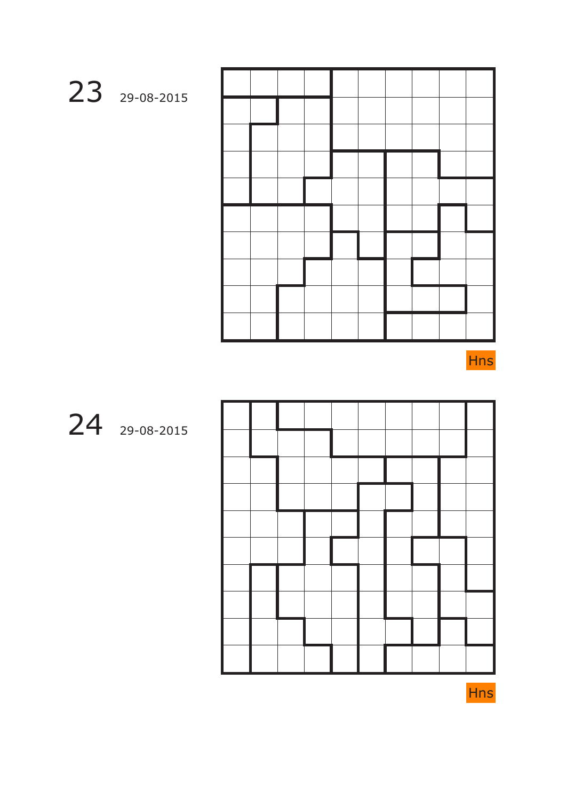



24 29-08-2015

23 29-08-2015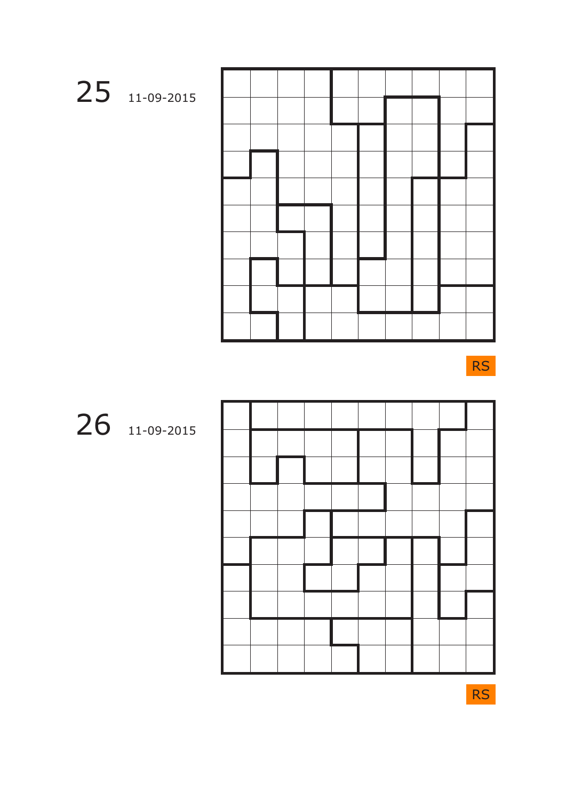

RS



26 11-09-2015

RS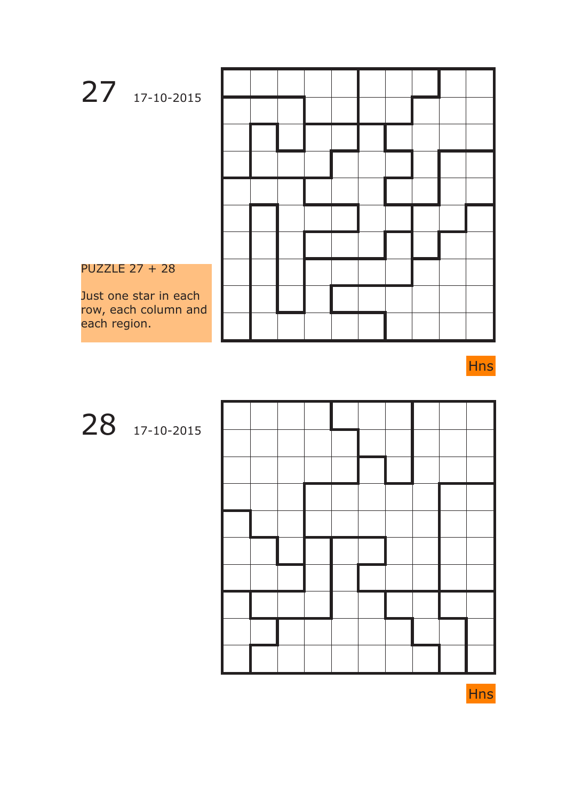

28 17-10-2015



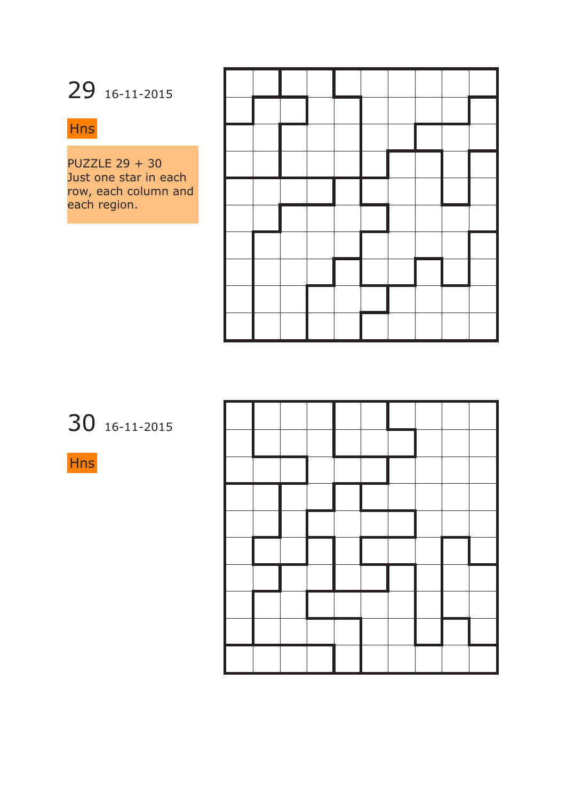## 29 16-11-2015

### Hns

PUZZLE 29 + 30 Just one star in each row, each column and each region.

30 16-11-2015

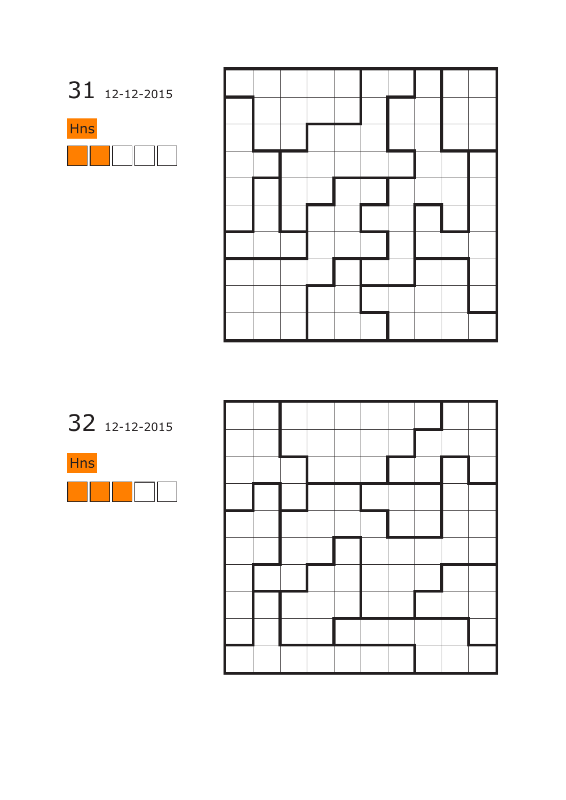

32 12-12-2015



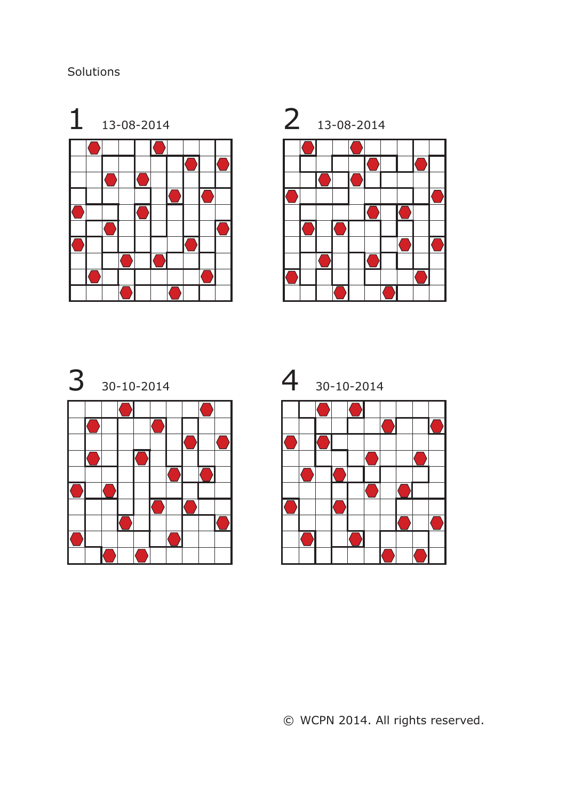### Solutions







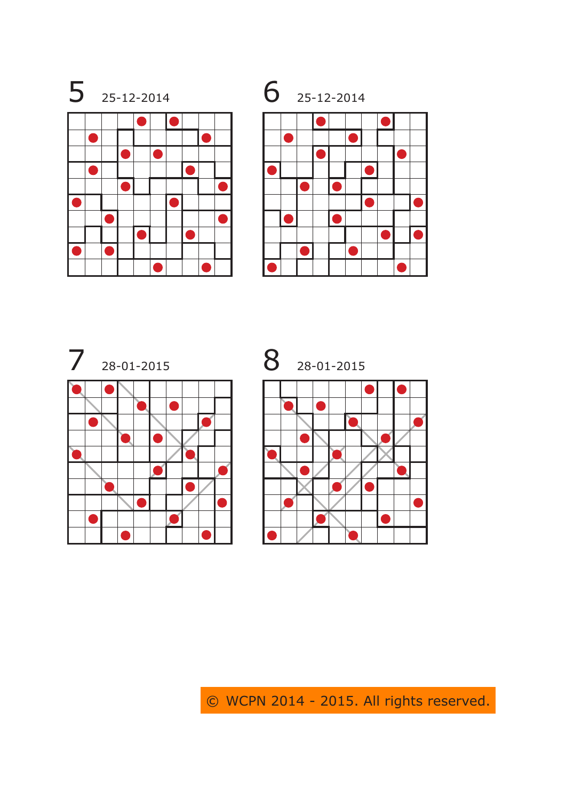







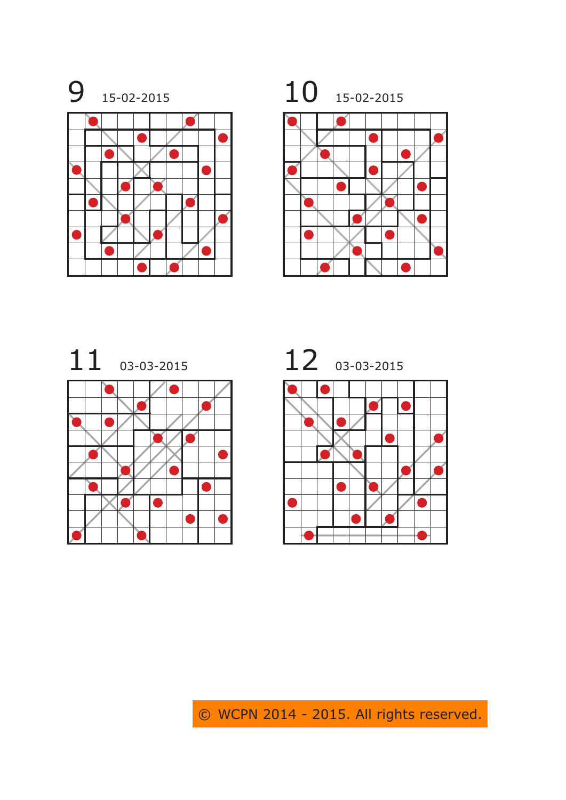





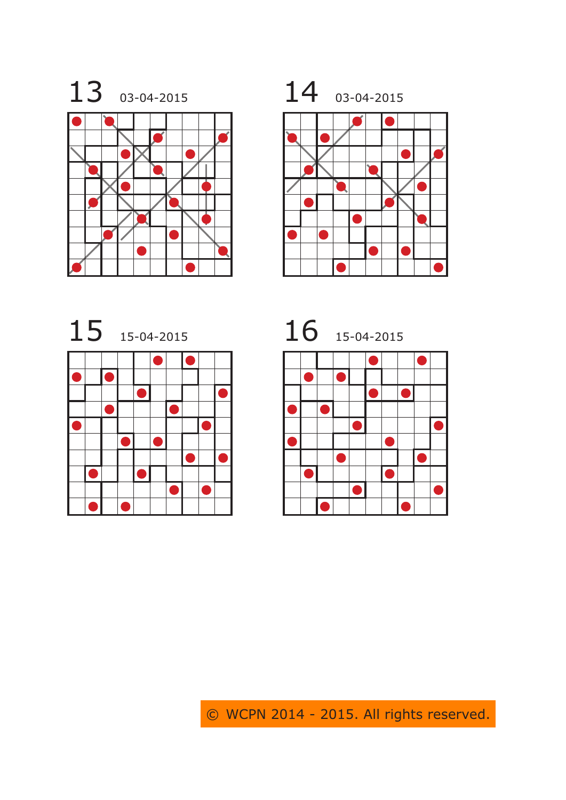







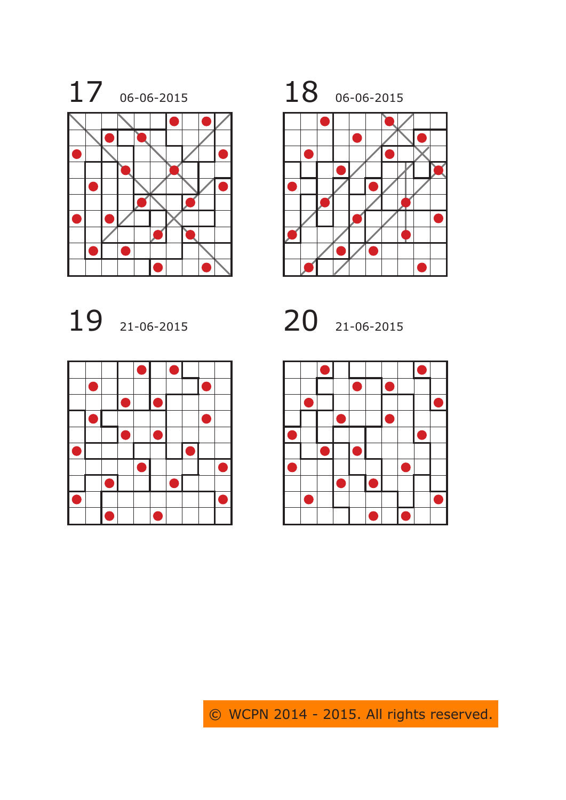









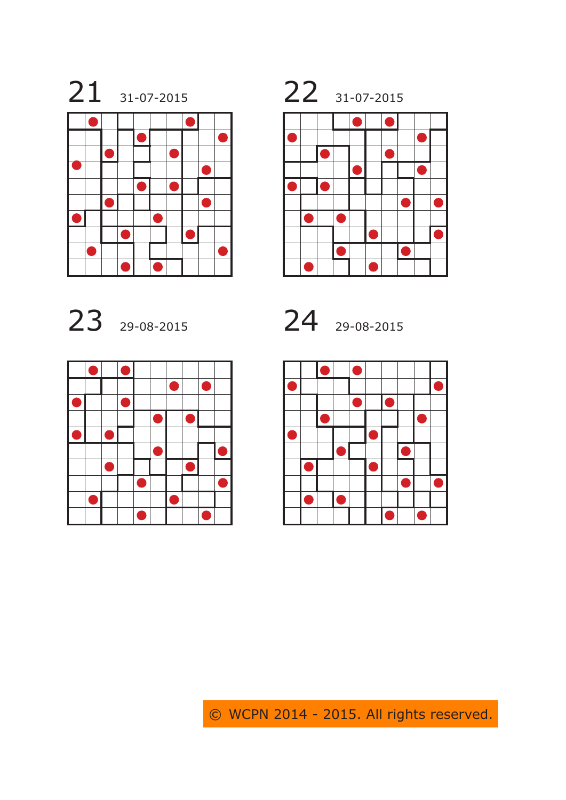









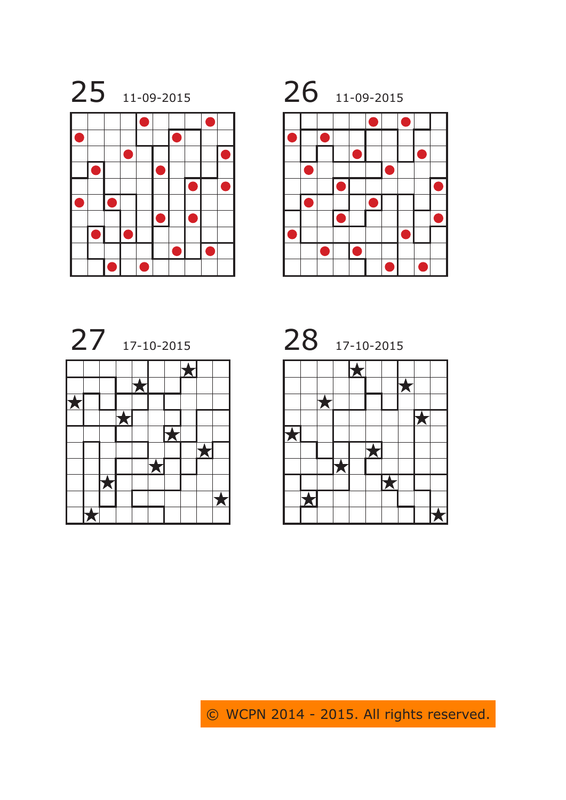







 $\overline{\textbf{X}}$